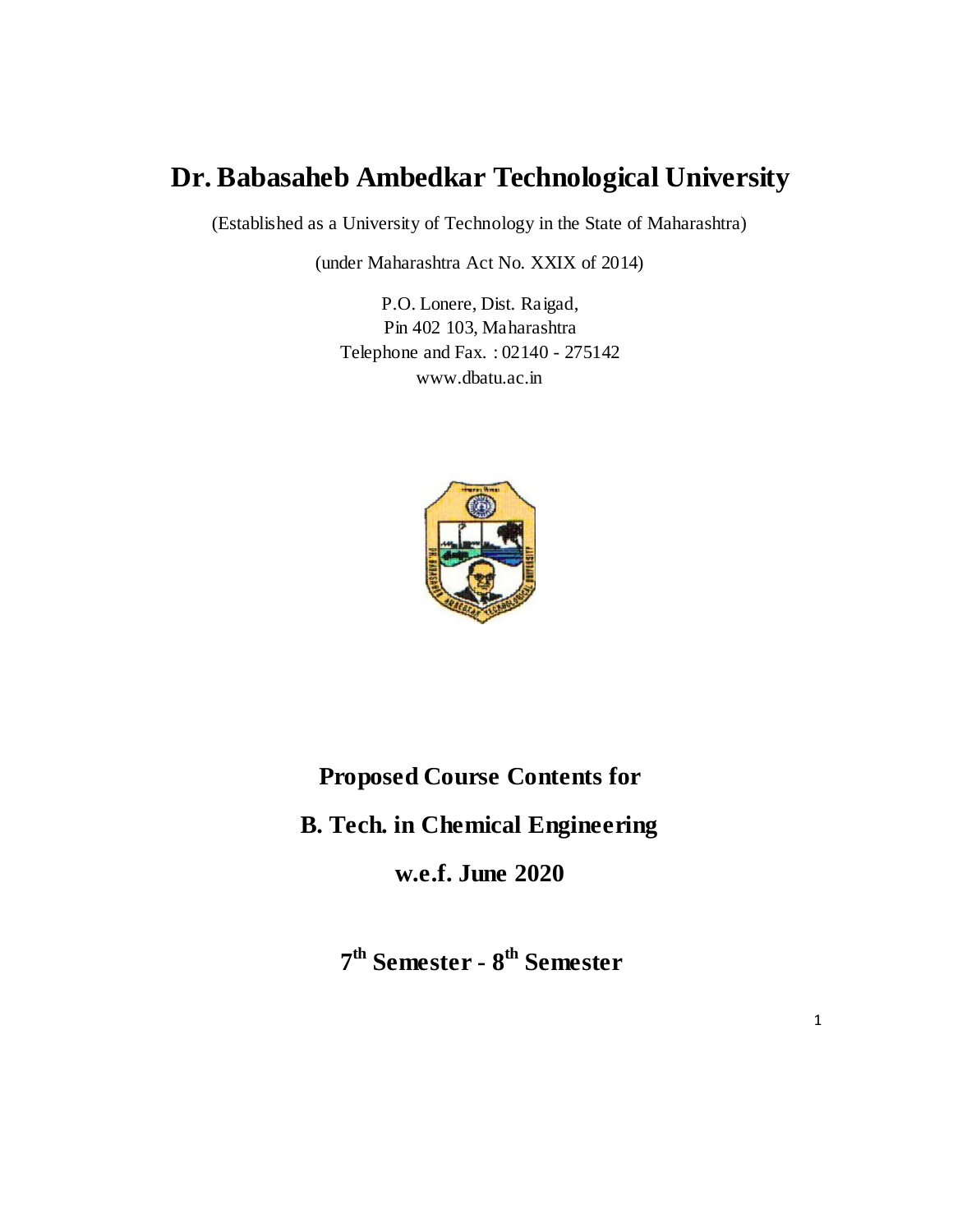# **Dr. Babasaheb Ambedkar Technological University**

(Established as a University of Technology in the State of Maharashtra)

(under Maharashtra Act No. XXIX of 2014)

P.O. Lonere, Dist. Raigad, Pin 402 103, Maharashtra Telephone and Fax. : 02140 - 275142 www.dbatu.ac.in



# **Proposed Course Contents for**

**B. Tech. in Chemical Engineering**

**w.e.f. June 2020**

**7 th Semester - 8 th Semester**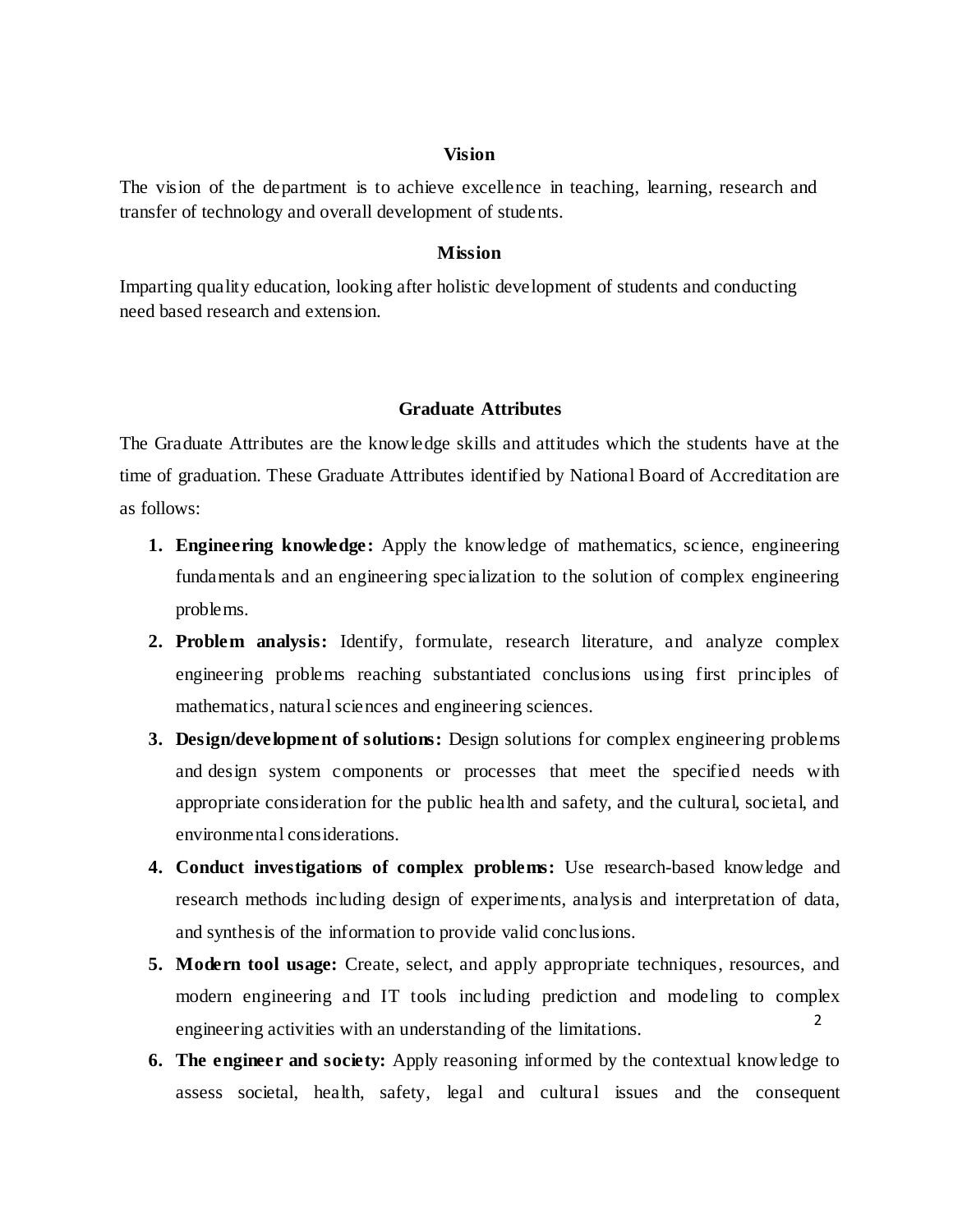#### **Vision**

The vision of the department is to achieve excellence in teaching, learning, research and transfer of technology and overall development of students.

#### **Mission**

Imparting quality education, looking after holistic development of students and conducting need based research and extension.

#### **Graduate Attributes**

The Graduate Attributes are the knowledge skills and attitudes which the students have at the time of graduation. These Graduate Attributes identified by National Board of Accreditation are as follows:

- **1. Engineering knowledge:** Apply the knowledge of mathematics, science, engineering fundamentals and an engineering specialization to the solution of complex engineering problems.
- **2. Problem analysis:** Identify, formulate, research literature, and analyze complex engineering problems reaching substantiated conclusions using first principles of mathematics, natural sciences and engineering sciences.
- **3. Design/development of solutions:** Design solutions for complex engineering problems and design system components or processes that meet the specified needs with appropriate consideration for the public health and safety, and the cultural, societal, and environmental considerations.
- **4. Conduct investigations of complex problems:** Use research-based knowledge and research methods including design of experiments, analysis and interpretation of data, and synthesis of the information to provide valid conclusions.
- 2 **5. Modern tool usage:** Create, select, and apply appropriate techniques, resources, and modern engineering and IT tools including prediction and modeling to complex engineering activities with an understanding of the limitations.
- **6. The engineer and society:** Apply reasoning informed by the contextual knowledge to assess societal, health, safety, legal and cultural issues and the consequent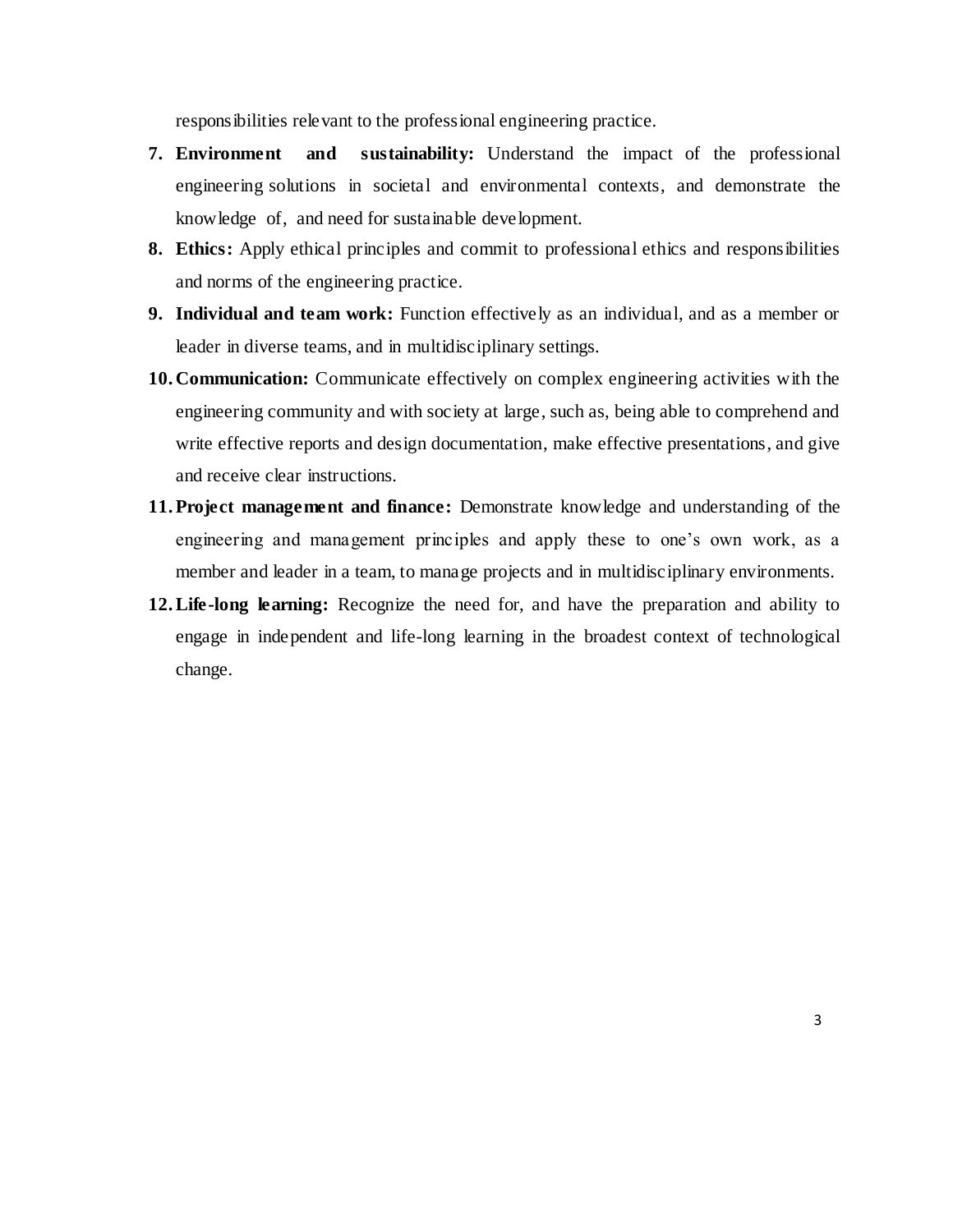responsibilities relevant to the professional engineering practice.

- **7. Environment and sustainability:** Understand the impact of the professional engineering solutions in societal and environmental contexts, and demonstrate the knowledge of, and need for sustainable development.
- **8. Ethics:** Apply ethical principles and commit to professional ethics and responsibilities and norms of the engineering practice.
- **9. Individual and team work:** Function effectively as an individual, and as a member or leader in diverse teams, and in multidisciplinary settings.
- **10. Communication:** Communicate effectively on complex engineering activities with the engineering community and with society at large, such as, being able to comprehend and write effective reports and design documentation, make effective presentations, and give and receive clear instructions.
- **11.Project management and finance:** Demonstrate knowledge and understanding of the engineering and management principles and apply these to one's own work, as a member and leader in a team, to manage projects and in multidisciplinary environments.
- **12.Life-long learning:** Recognize the need for, and have the preparation and ability to engage in independent and life-long learning in the broadest context of technological change.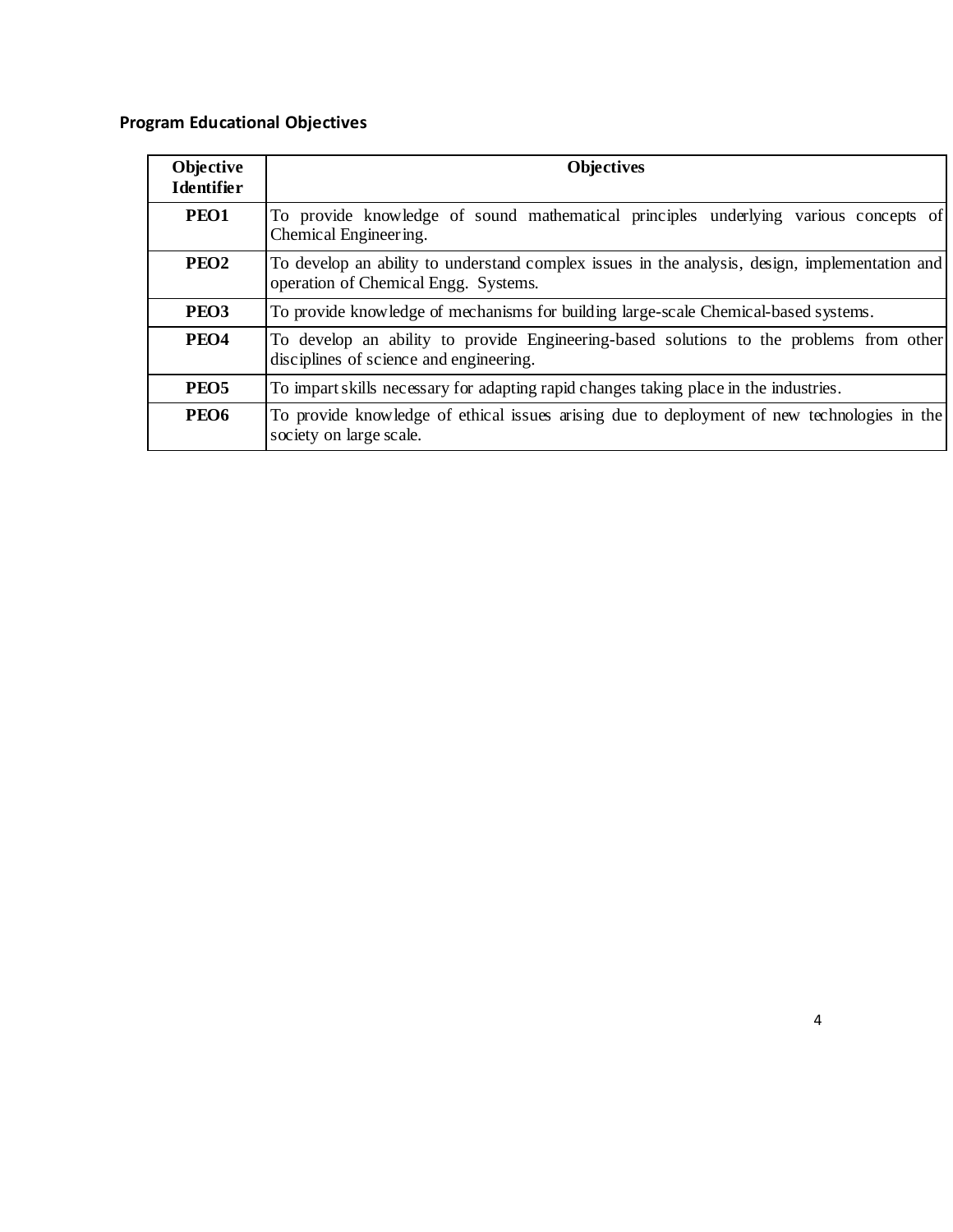# **Program Educational Objectives**

| Objective<br><b>Identifier</b> | <b>Objectives</b>                                                                                                                      |
|--------------------------------|----------------------------------------------------------------------------------------------------------------------------------------|
| PEO1                           | To provide knowledge of sound mathematical principles underlying various concepts of<br>Chemical Engineering.                          |
| PEO <sub>2</sub>               | To develop an ability to understand complex issues in the analysis, design, implementation and<br>operation of Chemical Engg. Systems. |
| PEO <sub>3</sub>               | To provide knowledge of mechanisms for building large-scale Chemical-based systems.                                                    |
| PEO <sub>4</sub>               | To develop an ability to provide Engineering-based solutions to the problems from other<br>disciplines of science and engineering.     |
| PEO <sub>5</sub>               | To impart skills necessary for adapting rapid changes taking place in the industries.                                                  |
| PEO <sub>6</sub>               | To provide knowledge of ethical issues arising due to deployment of new technologies in the<br>society on large scale.                 |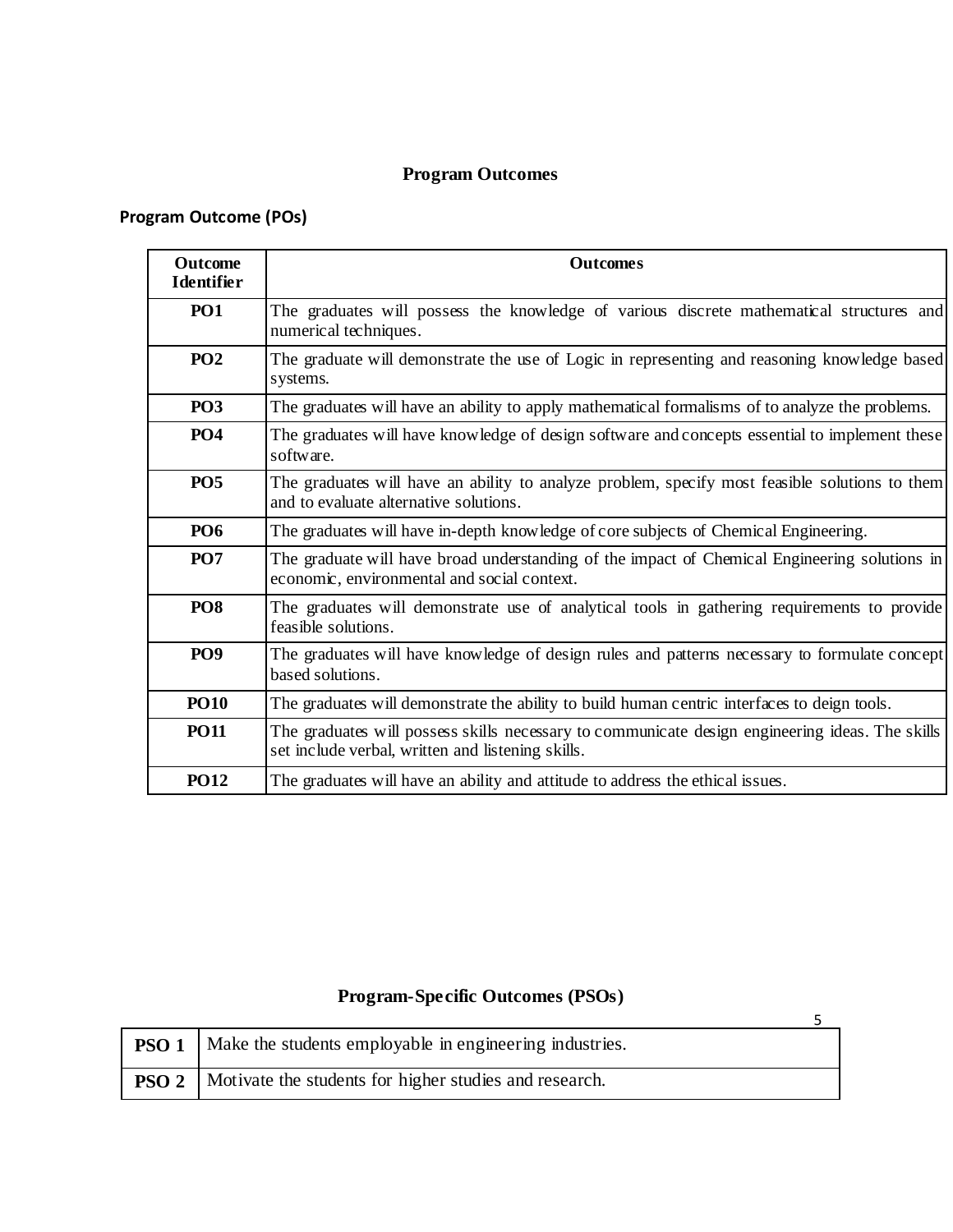# **Program Outcomes**

# **Program Outcome (POs)**

| <b>Outcome</b><br><b>Identifier</b> | <b>Outcomes</b>                                                                                                                                      |
|-------------------------------------|------------------------------------------------------------------------------------------------------------------------------------------------------|
| <b>PO1</b>                          | The graduates will possess the knowledge of various discrete mathematical structures and<br>numerical techniques.                                    |
| PO <sub>2</sub>                     | The graduate will demonstrate the use of Logic in representing and reasoning knowledge based<br>systems.                                             |
| PO <sub>3</sub>                     | The graduates will have an ability to apply mathematical formalisms of to analyze the problems.                                                      |
| PO <sub>4</sub>                     | The graduates will have knowledge of design software and concepts essential to implement these<br>software.                                          |
| PO <sub>5</sub>                     | The graduates will have an ability to analyze problem, specify most feasible solutions to them<br>and to evaluate alternative solutions.             |
| <b>PO6</b>                          | The graduates will have in-depth knowledge of core subjects of Chemical Engineering.                                                                 |
| <b>PO7</b>                          | The graduate will have broad understanding of the impact of Chemical Engineering solutions in<br>economic, environmental and social context.         |
| PO <sub>8</sub>                     | The graduates will demonstrate use of analytical tools in gathering requirements to provide<br>feasible solutions.                                   |
| PO <sub>9</sub>                     | The graduates will have knowledge of design rules and patterns necessary to formulate concept<br>based solutions.                                    |
| <b>PO10</b>                         | The graduates will demonstrate the ability to build human centric interfaces to deign tools.                                                         |
| <b>PO11</b>                         | The graduates will possess skills necessary to communicate design engineering ideas. The skills<br>set include verbal, written and listening skills. |
| <b>PO12</b>                         | The graduates will have an ability and attitude to address the ethical issues.                                                                       |

# **Program-Specific Outcomes (PSOs)**

| <b>PSO 1</b>   Make the students employable in engineering industries. |  |
|------------------------------------------------------------------------|--|
| <b>PSO 2</b>   Motivate the students for higher studies and research.  |  |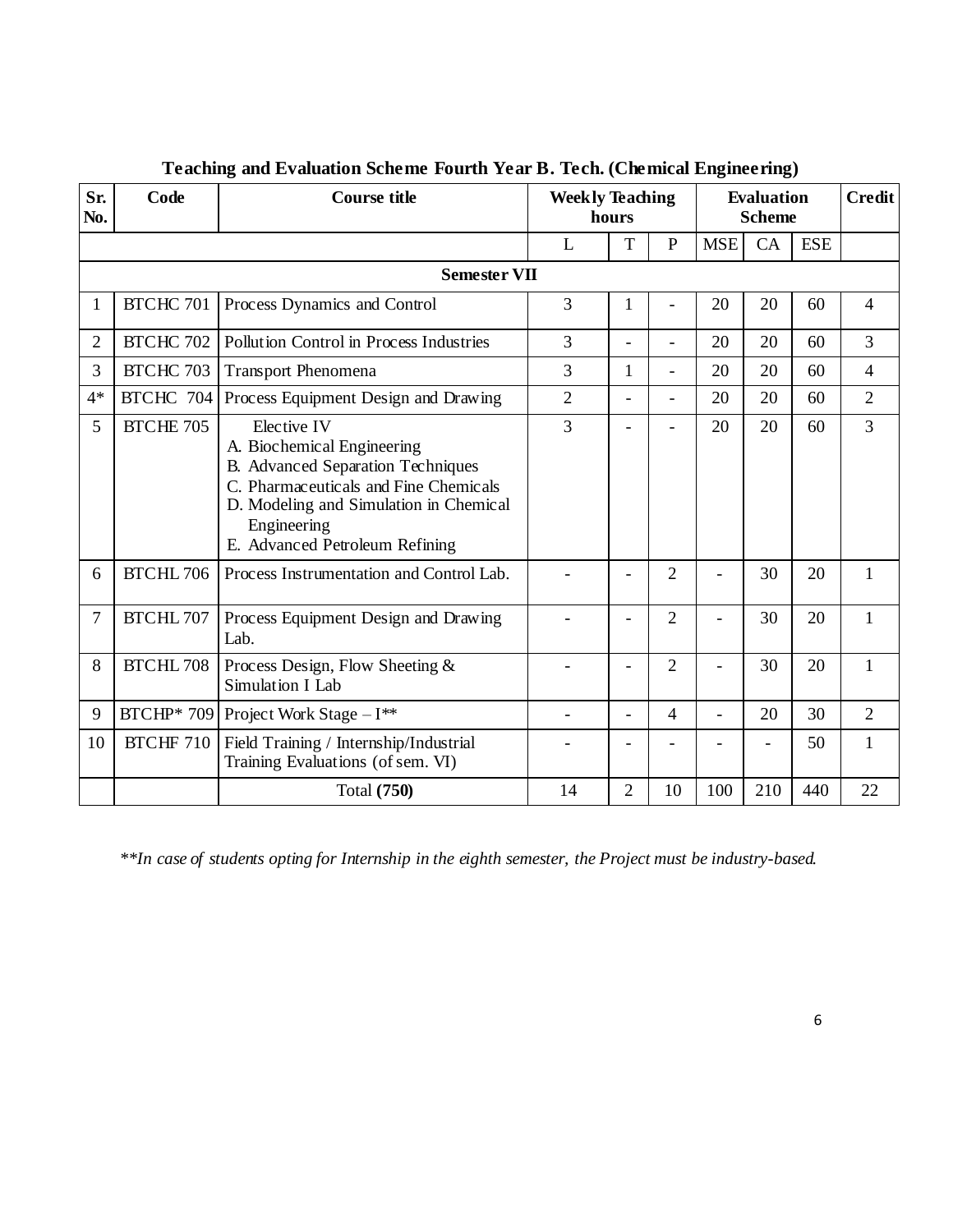| Sr.            | Code             | <b>Course title</b>                                                                                                                                                                                                | <b>Weekly Teaching</b> |                          | <b>Evaluation</b><br><b>Scheme</b> | <b>Credit</b>            |     |     |                |  |  |  |
|----------------|------------------|--------------------------------------------------------------------------------------------------------------------------------------------------------------------------------------------------------------------|------------------------|--------------------------|------------------------------------|--------------------------|-----|-----|----------------|--|--|--|
| No.            |                  |                                                                                                                                                                                                                    | hours                  |                          |                                    |                          |     |     |                |  |  |  |
|                |                  |                                                                                                                                                                                                                    | $\mathbf{P}$<br>T<br>L |                          |                                    |                          |     |     |                |  |  |  |
|                |                  | <b>Semester VII</b>                                                                                                                                                                                                |                        |                          |                                    |                          |     |     |                |  |  |  |
| 1              | BTCHC 701        | Process Dynamics and Control                                                                                                                                                                                       | 3                      | 1                        |                                    | 20                       | 20  | 60  | $\overline{4}$ |  |  |  |
| $\overline{2}$ | <b>BTCHC 702</b> | Pollution Control in Process Industries                                                                                                                                                                            | $\overline{3}$         | $\overline{a}$           | $\overline{a}$                     | 20                       | 20  | 60  | $\overline{3}$ |  |  |  |
| 3              | BTCHC 703        | <b>Transport Phenomena</b>                                                                                                                                                                                         | 3                      | 1                        | $\overline{\phantom{0}}$           | 20                       | 20  | 60  | $\overline{4}$ |  |  |  |
| $4*$           | BTCHC 704        | Process Equipment Design and Drawing                                                                                                                                                                               | $\overline{2}$         | $\equiv$                 | $\equiv$                           | 20                       | 20  | 60  | $\overline{2}$ |  |  |  |
| 5              | <b>BTCHE 705</b> | Elective IV<br>A. Biochemical Engineering<br>B. Advanced Separation Techniques<br>C. Pharmaceuticals and Fine Chemicals<br>D. Modeling and Simulation in Chemical<br>Engineering<br>E. Advanced Petroleum Refining | 3                      |                          |                                    | 20                       | 20  | 60  | $\overline{3}$ |  |  |  |
| 6              | BTCHL 706        | Process Instrumentation and Control Lab.                                                                                                                                                                           |                        |                          | 2                                  |                          | 30  | 20  | 1              |  |  |  |
| 7              | <b>BTCHL 707</b> | Process Equipment Design and Drawing<br>Lab.                                                                                                                                                                       |                        | -                        | $\overline{2}$                     |                          | 30  | 20  | 1              |  |  |  |
| 8              | <b>BTCHL 708</b> | Process Design, Flow Sheeting &<br>Simulation I Lab                                                                                                                                                                |                        | ÷,                       | 2                                  | ۳                        | 30  | 20  | 1              |  |  |  |
| 9              |                  | BTCHP* 709   Project Work Stage $-I$ **                                                                                                                                                                            |                        | $\overline{\phantom{0}}$ | $\overline{4}$                     | $\overline{\phantom{0}}$ | 20  | 30  | $\overline{2}$ |  |  |  |
| 10             |                  | BTCHF 710   Field Training / Internship/Industrial<br>Training Evaluations (of sem. VI)                                                                                                                            |                        |                          |                                    |                          |     | 50  | $\mathbf{1}$   |  |  |  |
|                |                  | <b>Total</b> (750)                                                                                                                                                                                                 | 14                     | $\overline{2}$           | 10                                 | 100                      | 210 | 440 | 22             |  |  |  |

# **Teaching and Evaluation Scheme Fourth Year B. Tech. (Chemical Engineering)**

*\*\*In case of students opting for Internship in the eighth semester, the Project must be industry-based.*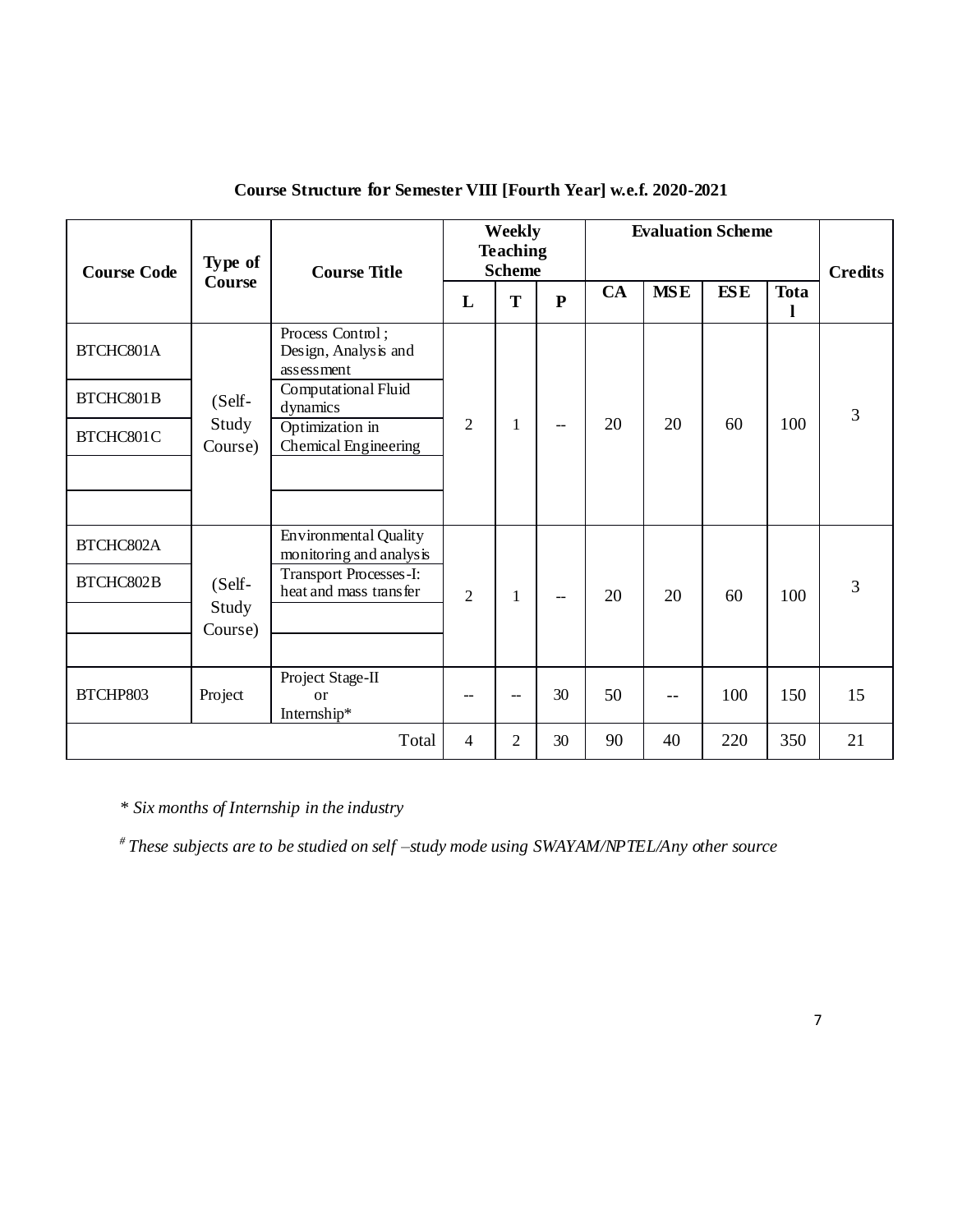| <b>Course Code</b> | Type of          | <b>Course Title</b>                                     |                | Weekly<br><b>Teaching</b><br><b>Scheme</b> |              |    |            | <b>Evaluation Scheme</b> |             | <b>Credits</b> |
|--------------------|------------------|---------------------------------------------------------|----------------|--------------------------------------------|--------------|----|------------|--------------------------|-------------|----------------|
|                    | Course           |                                                         | L              | T                                          | $\mathbf{P}$ | CA | <b>MSE</b> | <b>ESE</b>               | <b>Tota</b> |                |
| BTCHC801A          |                  | Process Control;<br>Design, Analysis and<br>assessment  |                |                                            |              |    |            |                          |             |                |
| BTCHC801B          | (Self-           | Computational Fluid<br>dynamics                         |                |                                            |              |    |            |                          |             | 3              |
| BTCHC801C          | Study<br>Course) | Optimization in<br>Chemical Engineering                 | $\overline{2}$ | 1                                          | $-$          | 20 | 20         | 60                       | 100         |                |
|                    |                  |                                                         |                |                                            |              |    |            |                          |             |                |
| BTCHC802A          |                  | <b>Environmental Quality</b><br>monitoring and analysis |                |                                            |              |    |            |                          |             |                |
| BTCHC802B          | (Self-<br>Study  | <b>Transport Processes-I:</b><br>heat and mass transfer | $\overline{2}$ | 1                                          | $-$          | 20 | 20         | 60                       | 100         | $\overline{3}$ |
|                    | Course)          |                                                         |                |                                            |              |    |            |                          |             |                |
| BTCHP803           | Project          | Project Stage-II<br><sub>or</sub><br>Internship*        |                | --                                         | 30           | 50 | $- -$      | 100                      | 150         | 15             |
|                    |                  | Total                                                   | 4              | 2                                          | 30           | 90 | 40         | 220                      | 350         | 21             |

# **Course Structure for Semester VIII [Fourth Year] w.e.f. 2020-2021**

*\* Six months of Internship in the industry* 

*# These subjects are to be studied on self –study mode using SWAYAM/NPTEL/Any other source*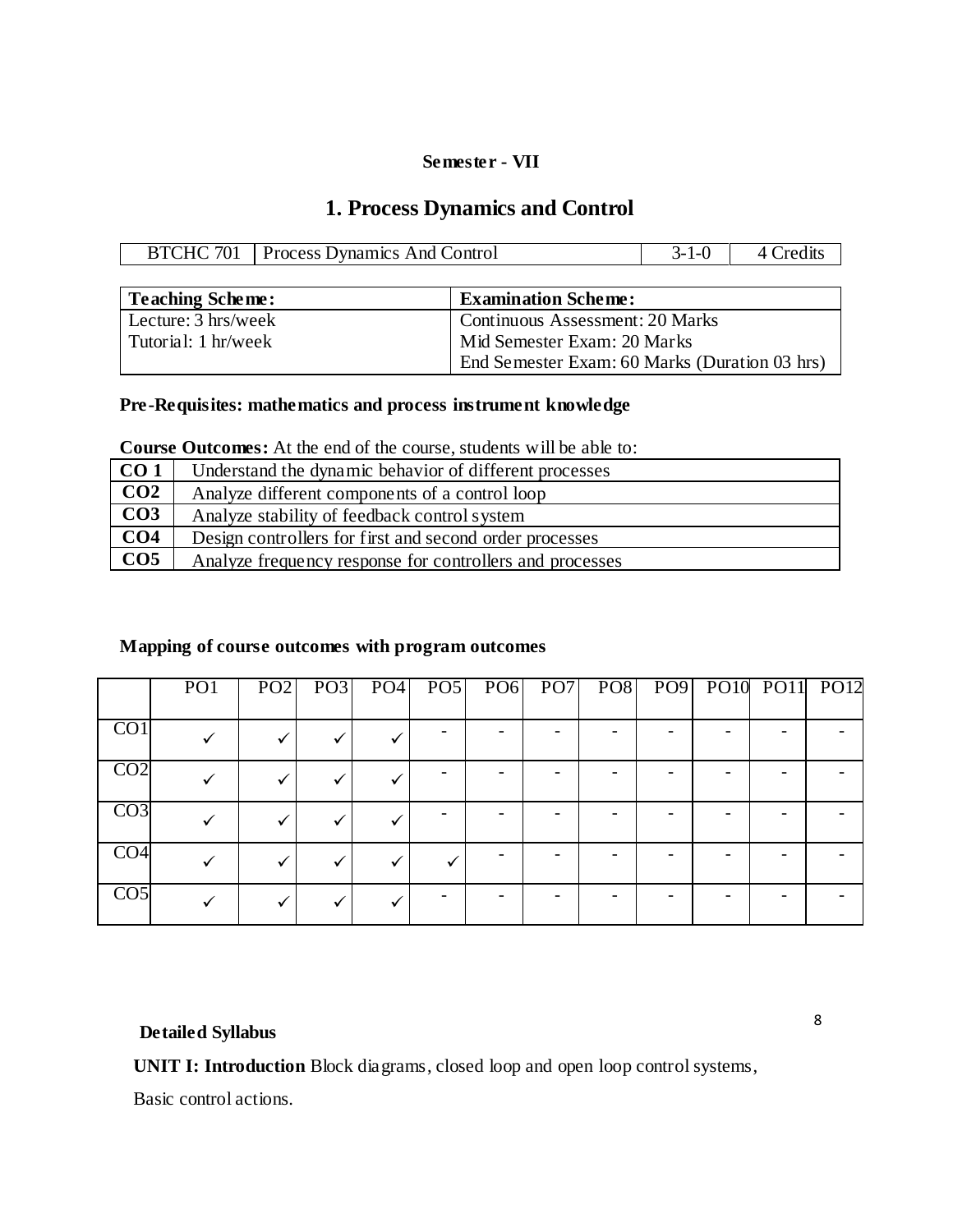#### **Semester - VII**

# **1. Process Dynamics and Control**

| <b>BTCHC 701</b>        | <b>Process Dynamics And Control</b> |                            |  |  |  |
|-------------------------|-------------------------------------|----------------------------|--|--|--|
|                         |                                     |                            |  |  |  |
| <b>Teaching Scheme:</b> |                                     | <b>Examination Scheme:</b> |  |  |  |

| Lecture: $3 \text{ hrs/week}$ | Continuous Assessment: 20 Marks               |
|-------------------------------|-----------------------------------------------|
| Tutorial: 1 hr/week           | Mid Semester Exam: 20 Marks                   |
|                               | End Semester Exam: 60 Marks (Duration 03 hrs) |

# **Pre-Requisites: mathematics and process instrument knowledge**

| CO <sub>1</sub> | Understand the dynamic behavior of different processes   |
|-----------------|----------------------------------------------------------|
| CO <sub>2</sub> | Analyze different components of a control loop           |
| CO <sub>3</sub> | Analyze stability of feedback control system             |
| CO <sub>4</sub> | Design controllers for first and second order processes  |
| CO <sub>5</sub> | Analyze frequency response for controllers and processes |

# **Mapping of course outcomes with program outcomes**

|                  | PO <sub>1</sub> |  |  |  |  | PO2 PO3 PO4 PO5 PO6 PO7 PO8 PO9 PO10 PO11 PO12 |  |
|------------------|-----------------|--|--|--|--|------------------------------------------------|--|
| $\overline{CO1}$ |                 |  |  |  |  |                                                |  |
| CO <sub>2</sub>  |                 |  |  |  |  |                                                |  |
| CO <sub>3</sub>  |                 |  |  |  |  |                                                |  |
| CO <sub>4</sub>  |                 |  |  |  |  |                                                |  |
| CO <sub>5</sub>  |                 |  |  |  |  |                                                |  |

# **Detailed Syllabus**

**UNIT I: Introduction** Block diagrams, closed loop and open loop control systems,

Basic control actions.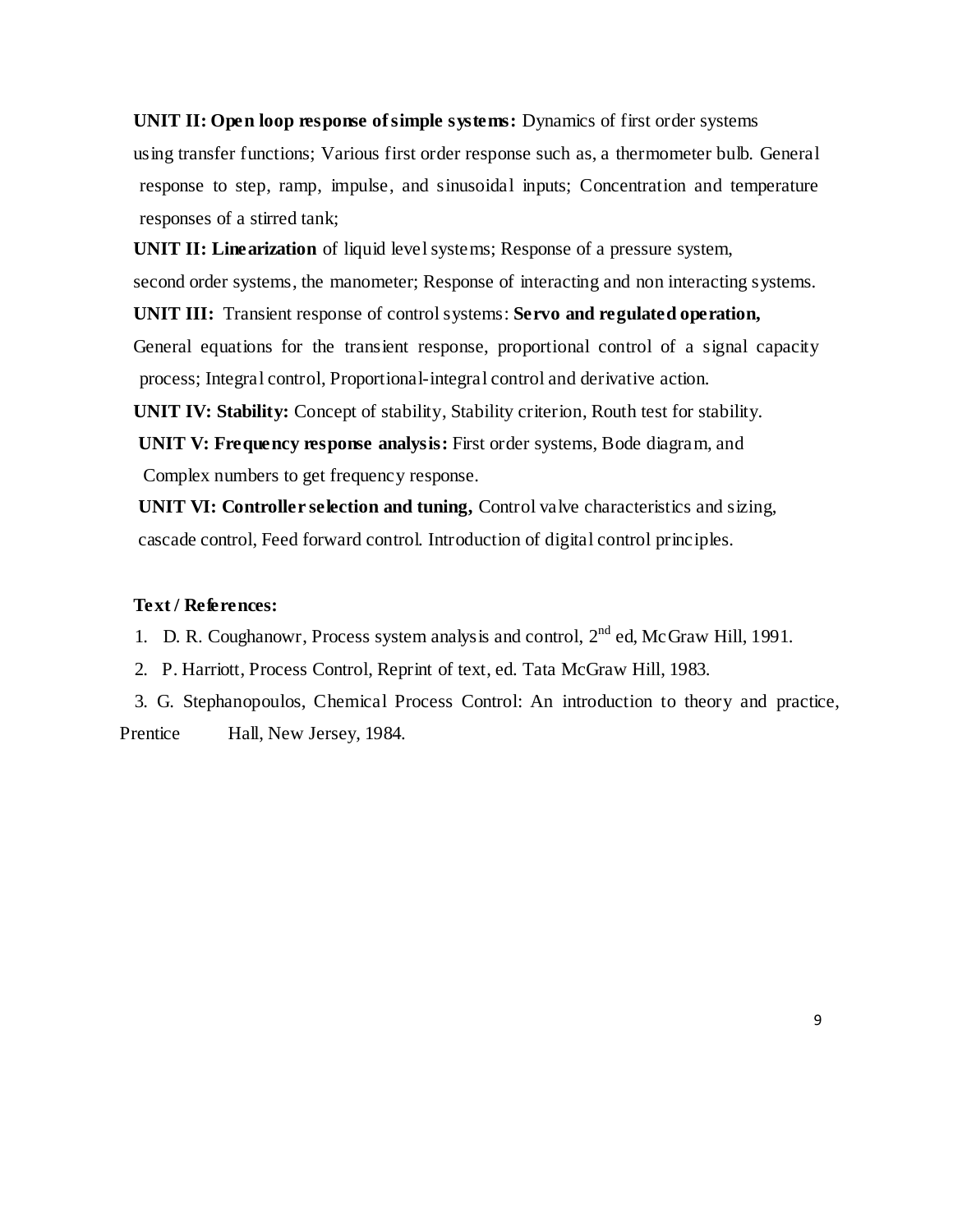**UNIT II: Open loop response of simple systems:** Dynamics of first order systems using transfer functions; Various first order response such as, a thermometer bulb. General response to step, ramp, impulse, and sinusoidal inputs; Concentration and temperature responses of a stirred tank;

**UNIT II: Linearization** of liquid level systems; Response of a pressure system, second order systems, the manometer; Response of interacting and non interacting systems. **UNIT III:** Transient response of control systems: **Servo and regulated operation,** General equations for the transient response, proportional control of a signal capacity process; Integral control, Proportional-integral control and derivative action.

**UNIT IV: Stability:** Concept of stability, Stability criterion, Routh test for stability.

 **UNIT V: Frequency response analysis:** First order systems, Bode diagram, and Complex numbers to get frequency response.

 **UNIT VI: Controller selection and tuning,** Control valve characteristics and sizing, cascade control, Feed forward control. Introduction of digital control principles.

## **Text / References:**

1. D. R. Coughanowr, Process system analysis and control,  $2<sup>nd</sup>$  ed, McGraw Hill, 1991.

- 2. P. Harriott, Process Control, Reprint of text, ed. Tata McGraw Hill, 1983.
- 3. G. Stephanopoulos, Chemical Process Control: An introduction to theory and practice, Prentice Hall, New Jersey, 1984.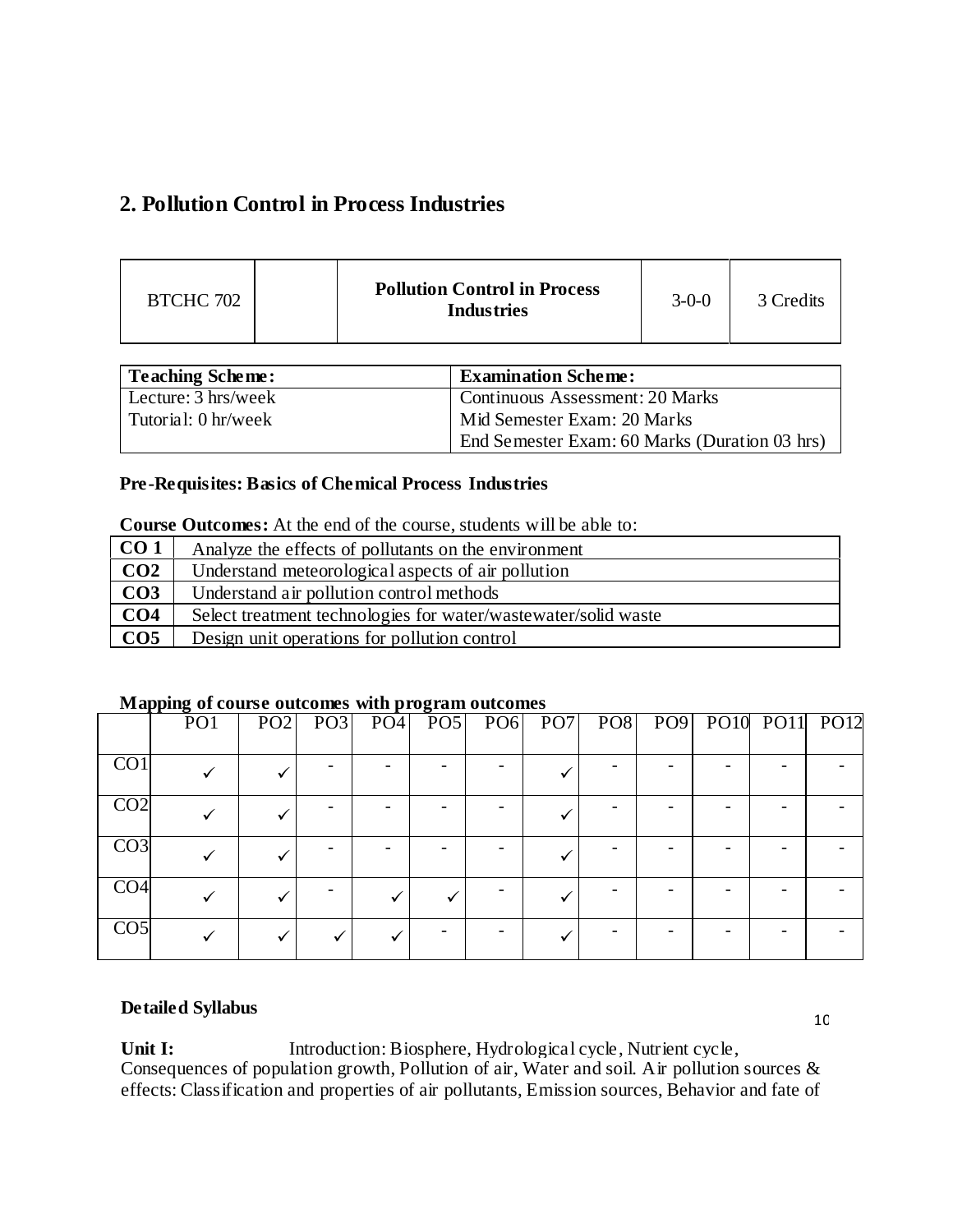# **2. Pollution Control in Process Industries**

| BTCHC 702 |  | <b>Pollution Control in Process</b><br><b>Industries</b> | $3 - 0 - 0$ | 3 Credits |
|-----------|--|----------------------------------------------------------|-------------|-----------|
|-----------|--|----------------------------------------------------------|-------------|-----------|

| <b>Teaching Scheme:</b> | <b>Examination Scheme:</b>                    |
|-------------------------|-----------------------------------------------|
| Lecture: 3 hrs/week     | Continuous Assessment: 20 Marks               |
| Tutorial: 0 hr/week     | Mid Semester Exam: 20 Marks                   |
|                         | End Semester Exam: 60 Marks (Duration 03 hrs) |

# **Pre-Requisites: Basics of Chemical Process Industries**

|                 | Course Outcomes. The the cha of the course, stagents will be able to. |  |  |  |  |  |
|-----------------|-----------------------------------------------------------------------|--|--|--|--|--|
| CO <sub>1</sub> | Analyze the effects of pollutants on the environment                  |  |  |  |  |  |
| CO <sub>2</sub> | Understand meteorological aspects of air pollution                    |  |  |  |  |  |
| CO <sub>3</sub> | Understand air pollution control methods                              |  |  |  |  |  |
| CO <sub>4</sub> | Select treatment technologies for water/wastewater/solid waste        |  |  |  |  |  |
| CO <sub>5</sub> | Design unit operations for pollution control                          |  |  |  |  |  |

# **Course Outcomes:** At the end of the course, students will be able to:

## **Mapping of course outcomes with program outcomes**

|                  | PO1 | PO2 |  |  |  | PO3 PO4 PO5 PO6 PO7 PO8 PO9 PO10 PO11 PO12 |  |
|------------------|-----|-----|--|--|--|--------------------------------------------|--|
| $\overline{CO1}$ |     |     |  |  |  |                                            |  |
| CO <sub>2</sub>  |     |     |  |  |  |                                            |  |
| CO <sub>3</sub>  |     |     |  |  |  |                                            |  |
| CO <sub>4</sub>  |     |     |  |  |  |                                            |  |
| CO <sub>5</sub>  |     |     |  |  |  |                                            |  |

#### **Detailed Syllabus**

Unit I: Introduction: Biosphere, Hydrological cycle, Nutrient cycle, Consequences of population growth, Pollution of air, Water and soil. Air pollution sources & effects: Classification and properties of air pollutants, Emission sources, Behavior and fate of

10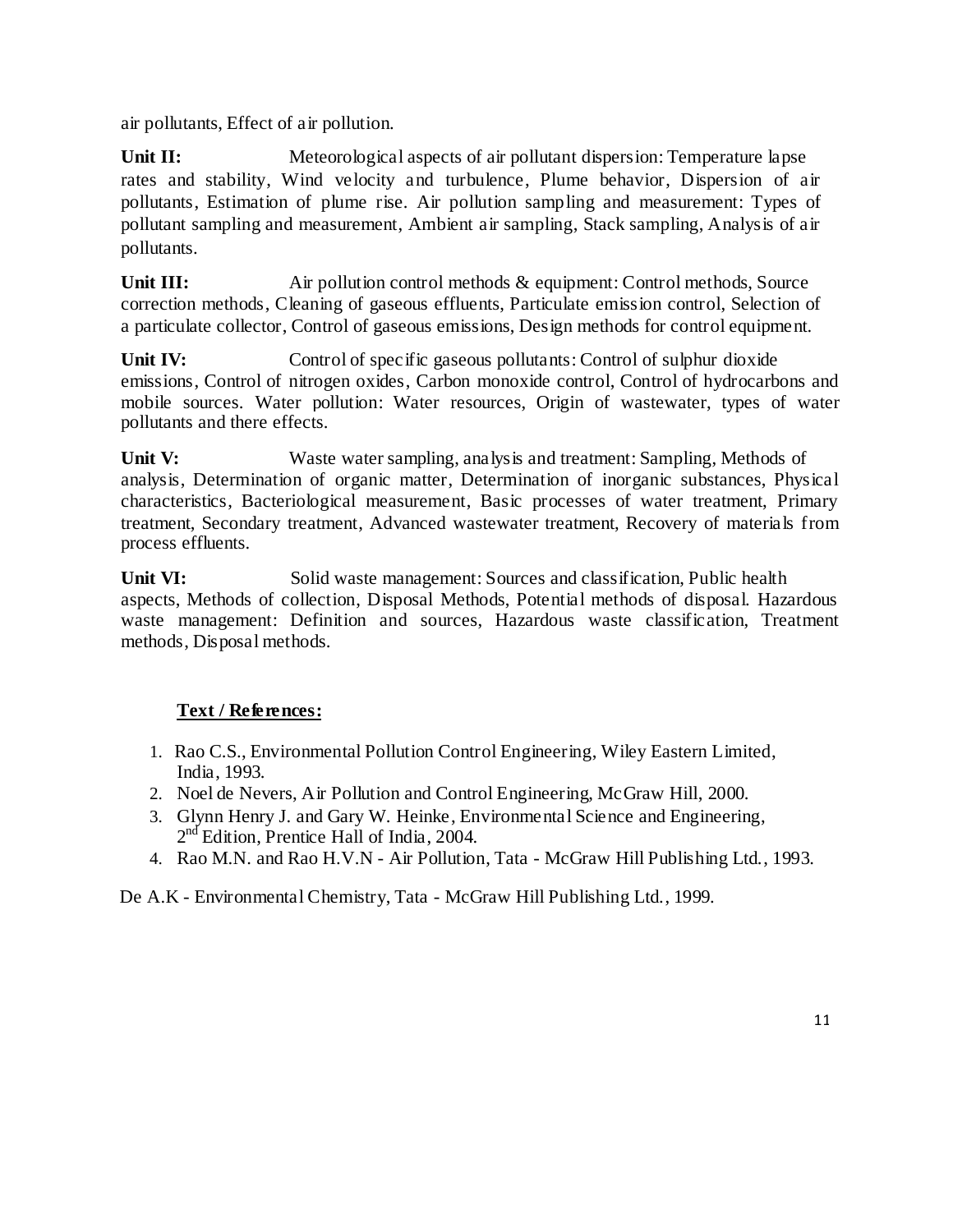air pollutants, Effect of air pollution.

Unit II: Meteorological aspects of air pollutant dispersion: Temperature lapse rates and stability, Wind velocity and turbulence, Plume behavior, Dispersion of air pollutants, Estimation of plume rise. Air pollution sampling and measurement: Types of pollutant sampling and measurement, Ambient air sampling, Stack sampling, Analysis of air pollutants.

**Unit III:** Air pollution control methods & equipment: Control methods, Source correction methods, Cleaning of gaseous effluents, Particulate emission control, Selection of a particulate collector, Control of gaseous emissions, Design methods for control equipment.

Unit IV: Control of specific gaseous pollutants: Control of sulphur dioxide emissions, Control of nitrogen oxides, Carbon monoxide control, Control of hydrocarbons and mobile sources. Water pollution: Water resources, Origin of wastewater, types of water pollutants and there effects.

**Unit V:** Waste water sampling, analysis and treatment: Sampling, Methods of analysis, Determination of organic matter, Determination of inorganic substances, Physical characteristics, Bacteriological measurement, Basic processes of water treatment, Primary treatment, Secondary treatment, Advanced wastewater treatment, Recovery of materials from process effluents.

**Unit VI:** Solid waste management: Sources and classification, Public health aspects, Methods of collection, Disposal Methods, Potential methods of disposal. Hazardous waste management: Definition and sources, Hazardous waste classification, Treatment methods, Disposal methods.

# **Text / References:**

- 1. Rao C.S., Environmental Pollution Control Engineering, Wiley Eastern Limited, India, 1993.
- 2. Noel de Nevers, Air Pollution and Control Engineering, McGraw Hill, 2000.
- 3. Glynn Henry J. and Gary W. Heinke, Environmental Science and Engineering, 2<sup>nd</sup> Edition, Prentice Hall of India, 2004.
- 4. Rao M.N. and Rao H.V.N Air Pollution, Tata McGraw Hill Publishing Ltd., 1993.

De A.K - Environmental Chemistry, Tata - McGraw Hill Publishing Ltd., 1999.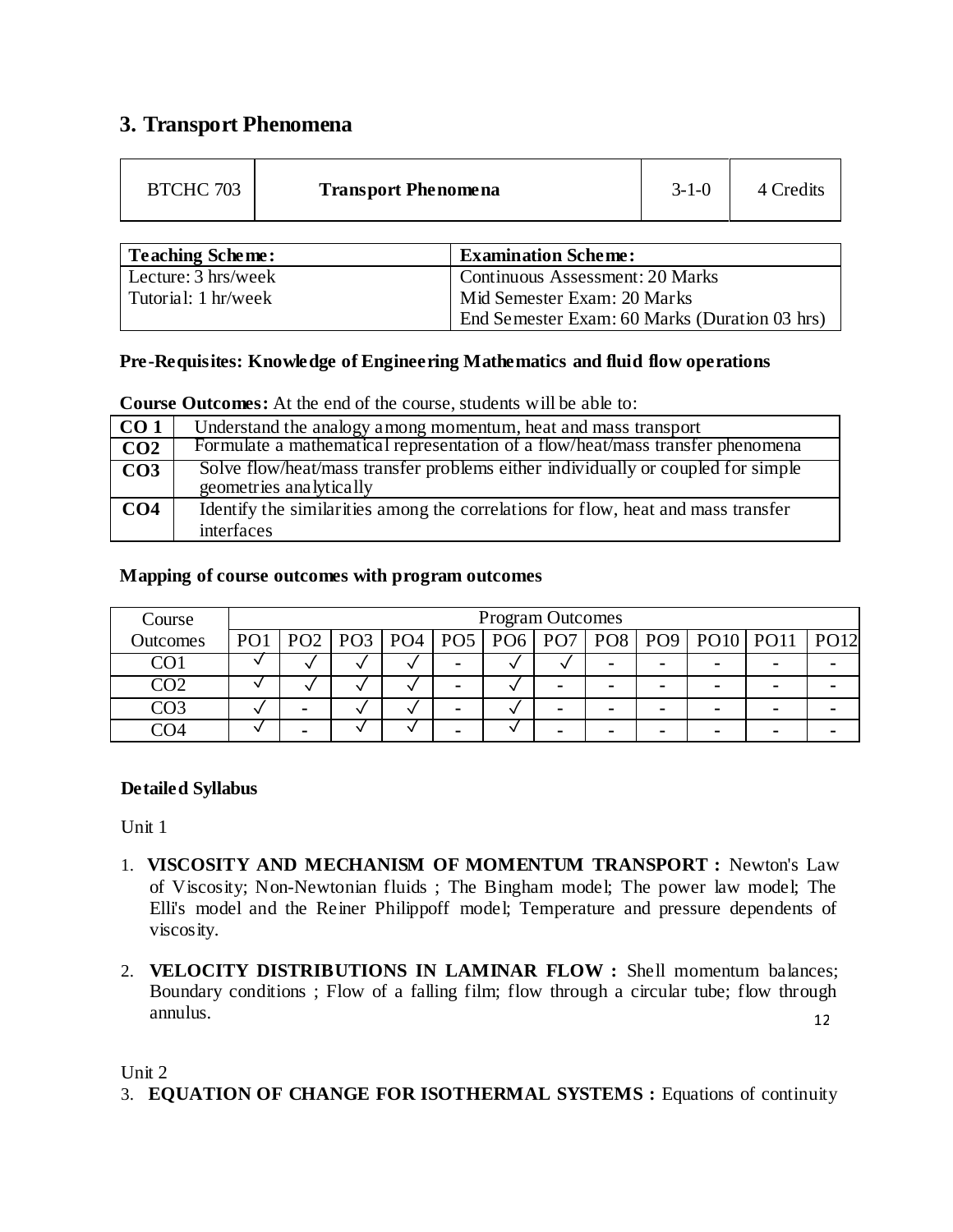# **3. Transport Phenomena**

| Teaching Scheme:    | <b>Examination Scheme:</b>                    |
|---------------------|-----------------------------------------------|
| Lecture: 3 hrs/week | <b>Continuous Assessment: 20 Marks</b>        |
| Tutorial: 1 hr/week | Mid Semester Exam: 20 Marks                   |
|                     | End Semester Exam: 60 Marks (Duration 03 hrs) |

# **Pre-Requisites: Knowledge of Engineering Mathematics and fluid flow operations**

**Course Outcomes:** At the end of the course, students will be able to:

| CO <sub>1</sub> | Understand the analogy among momentum, heat and mass transport                                              |
|-----------------|-------------------------------------------------------------------------------------------------------------|
| CO <sub>2</sub> | Formulate a mathematical representation of a flow/heat/mass transfer phenomena                              |
| CO <sub>3</sub> | Solve flow/heat/mass transfer problems either individually or coupled for simple<br>geometries analytically |
| CO <sub>4</sub> | Identify the similarities among the correlations for flow, heat and mass transfer<br>interfaces             |

# **Mapping of course outcomes with program outcomes**

| Course   | <b>Program Outcomes</b> |  |  |  |  |  |  |  |   |                                                                          |  |
|----------|-------------------------|--|--|--|--|--|--|--|---|--------------------------------------------------------------------------|--|
| Outcomes |                         |  |  |  |  |  |  |  |   | PO1   PO2   PO3   PO4   PO5   PO6   PO7   PO8   PO9   PO10   PO11   PO12 |  |
|          |                         |  |  |  |  |  |  |  | - | $\blacksquare$                                                           |  |
| 202      |                         |  |  |  |  |  |  |  | - |                                                                          |  |
| 203      | $\sim$                  |  |  |  |  |  |  |  | ۰ | $\blacksquare$                                                           |  |
|          | $\sim$                  |  |  |  |  |  |  |  | ۰ |                                                                          |  |

# **Detailed Syllabus**

Unit 1

- 1. **VISCOSITY AND MECHANISM OF MOMENTUM TRANSPORT :** Newton's Law of Viscosity; Non-Newtonian fluids ; The Bingham model; The power law model; The Elli's model and the Reiner Philippoff model; Temperature and pressure dependents of viscosity.
- 12 2. **VELOCITY DISTRIBUTIONS IN LAMINAR FLOW :** Shell momentum balances; Boundary conditions ; Flow of a falling film; flow through a circular tube; flow through annulus.

Unit 2

3. **EQUATION OF CHANGE FOR ISOTHERMAL SYSTEMS :** Equations of continuity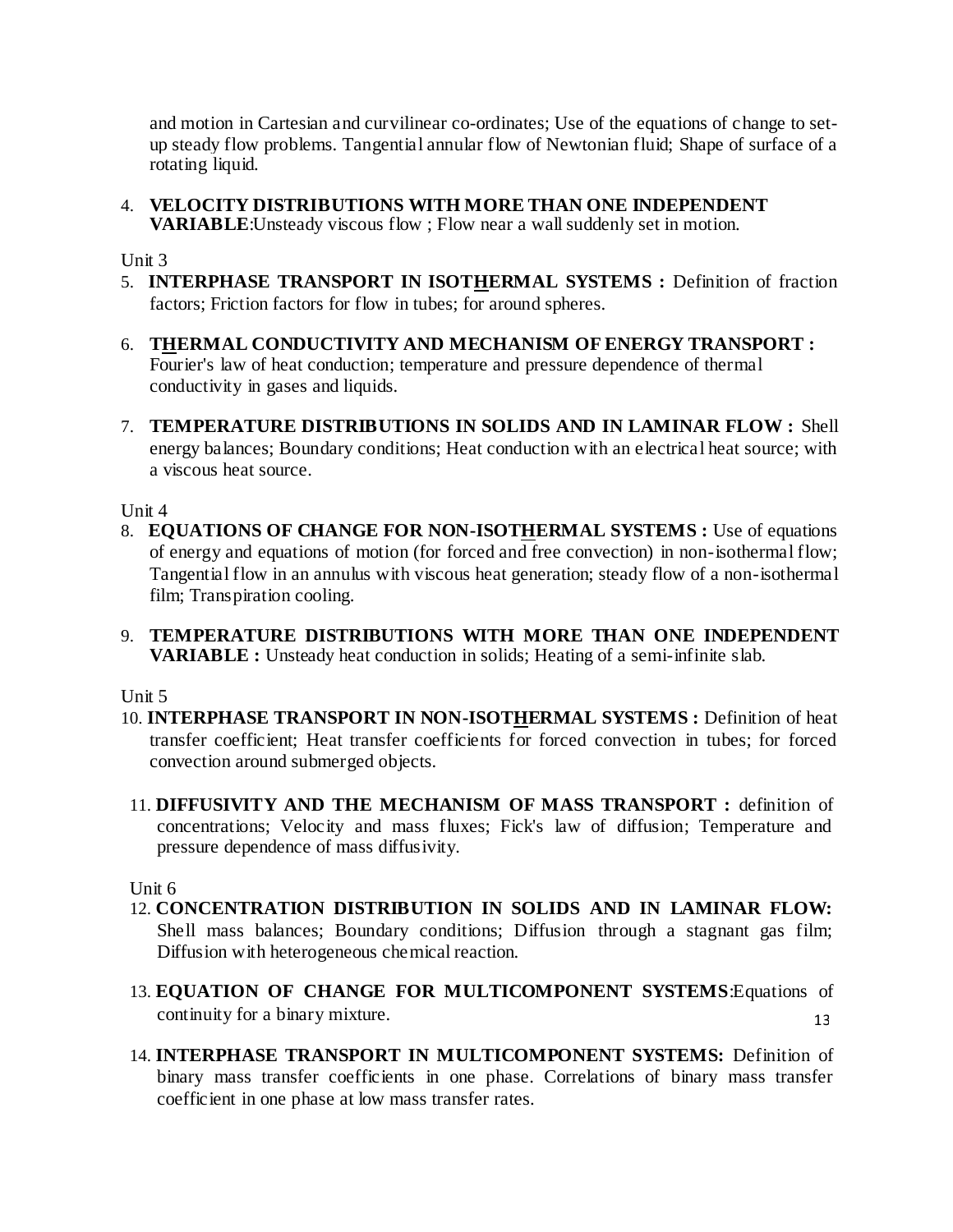and motion in Cartesian and curvilinear co-ordinates; Use of the equations of change to setup steady flow problems. Tangential annular flow of Newtonian fluid; Shape of surface of a rotating liquid.

4. **VELOCITY DISTRIBUTIONS WITH MORE THAN ONE INDEPENDENT VARIABLE**:Unsteady viscous flow ; Flow near a wall suddenly set in motion.

Unit 3

- 5. **INTERPHASE TRANSPORT IN ISOTHERMAL SYSTEMS :** Definition of fraction factors; Friction factors for flow in tubes; for around spheres.
- 6. **THERMAL CONDUCTIVITY AND MECHANISM OF ENERGY TRANSPORT :** Fourier's law of heat conduction; temperature and pressure dependence of thermal conductivity in gases and liquids.
- 7. **TEMPERATURE DISTRIBUTIONS IN SOLIDS AND IN LAMINAR FLOW :** Shell energy balances; Boundary conditions; Heat conduction with an electrical heat source; with a viscous heat source.

Unit 4

- 8. **EQUATIONS OF CHANGE FOR NON-ISOTHERMAL SYSTEMS :** Use of equations of energy and equations of motion (for forced and free convection) in non-isothermal flow; Tangential flow in an annulus with viscous heat generation; steady flow of a non-isothermal film; Transpiration cooling.
- 9. **TEMPERATURE DISTRIBUTIONS WITH MORE THAN ONE INDEPENDENT VARIABLE :** Unsteady heat conduction in solids; Heating of a semi-infinite slab.

Unit 5

- 10. **INTERPHASE TRANSPORT IN NON-ISOTHERMAL SYSTEMS :** Definition of heat transfer coefficient; Heat transfer coefficients for forced convection in tubes; for forced convection around submerged objects.
- 11. **DIFFUSIVITY AND THE MECHANISM OF MASS TRANSPORT :** definition of concentrations; Velocity and mass fluxes; Fick's law of diffusion; Temperature and pressure dependence of mass diffusivity.

Unit 6

- 12. **CONCENTRATION DISTRIBUTION IN SOLIDS AND IN LAMINAR FLOW:** Shell mass balances; Boundary conditions; Diffusion through a stagnant gas film; Diffusion with heterogeneous chemical reaction.
- 13 13. **EQUATION OF CHANGE FOR MULTICOMPONENT SYSTEMS**:Equations of continuity for a binary mixture.
- 14. **INTERPHASE TRANSPORT IN MULTICOMPONENT SYSTEMS:** Definition of binary mass transfer coefficients in one phase. Correlations of binary mass transfer coefficient in one phase at low mass transfer rates.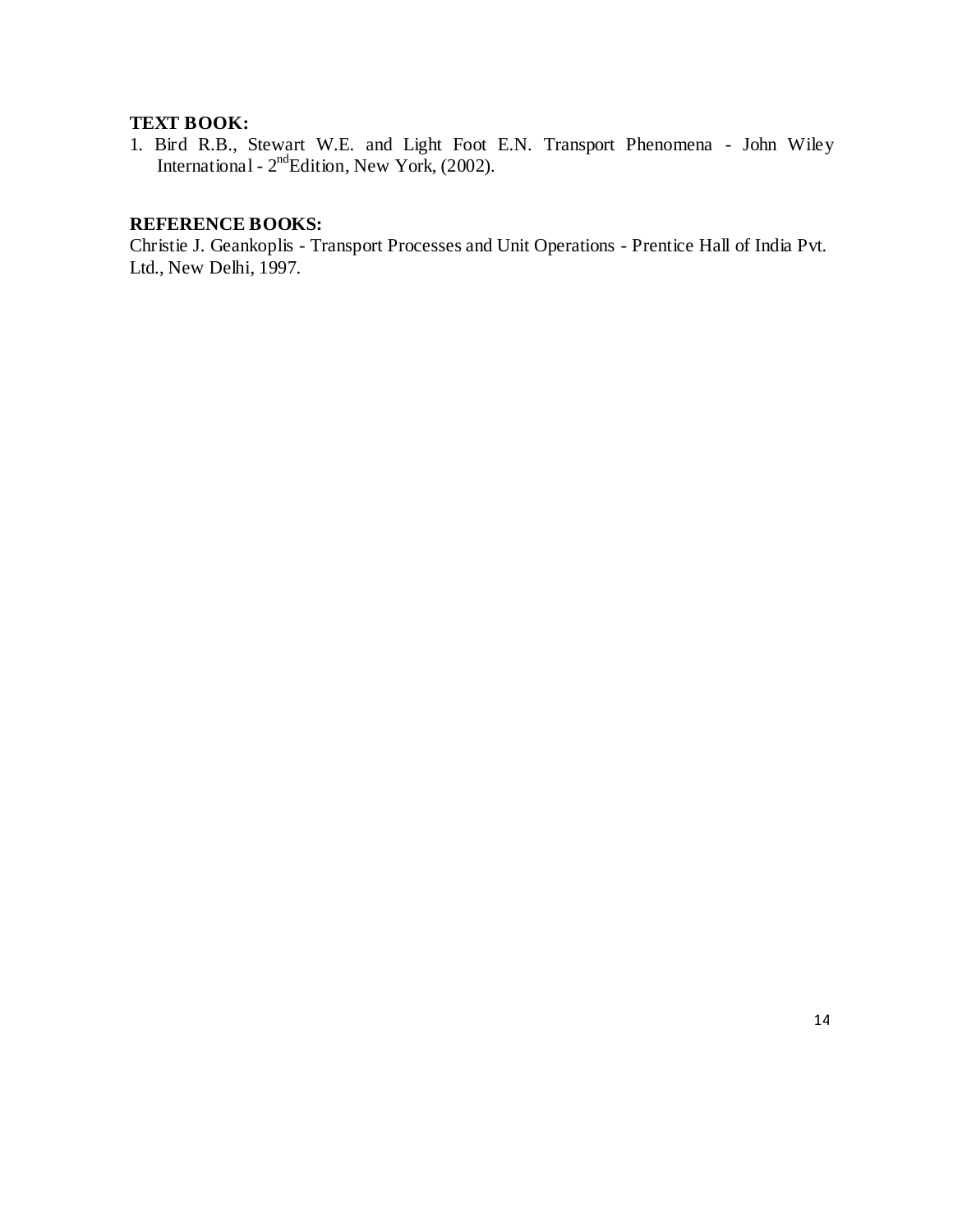# **TEXT BOOK:**

1. Bird R.B., Stewart W.E. and Light Foot E.N. Transport Phenomena - John Wiley International -  $2<sup>nd</sup>$ Edition, New York, (2002).

# **REFERENCE BOOKS:**

Christie J. Geankoplis - Transport Processes and Unit Operations - Prentice Hall of India Pvt. Ltd., New Delhi, 1997.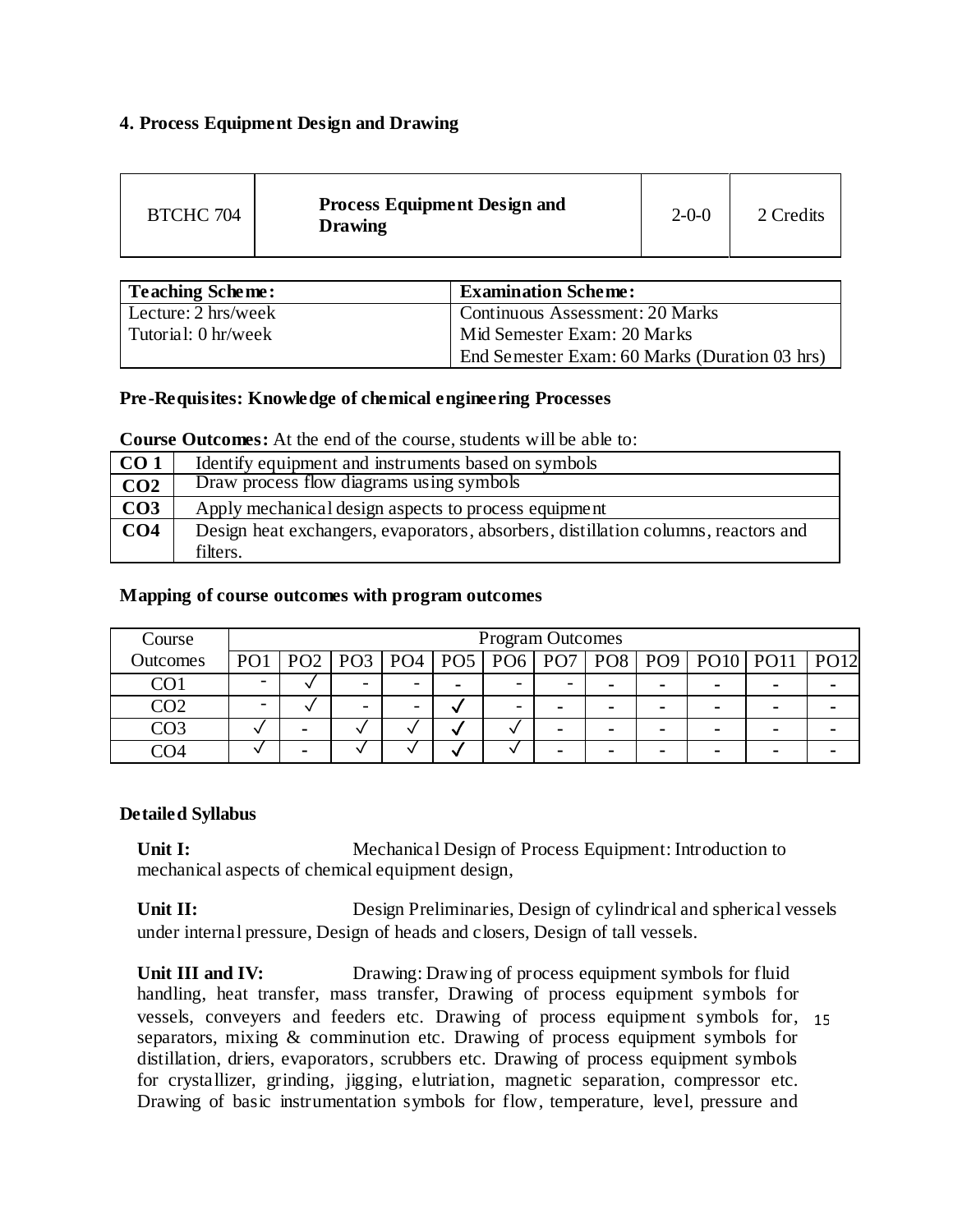## **4. Process Equipment Design and Drawing**

| BTCHC 704 | <b>Process Equipment Design and</b><br><b>Drawing</b> | $2 - 0 - 0$ | 2 Credits |
|-----------|-------------------------------------------------------|-------------|-----------|
|-----------|-------------------------------------------------------|-------------|-----------|

| Teaching Scheme:       | <b>Examination Scheme:</b>                    |
|------------------------|-----------------------------------------------|
| $L$ ecture: 2 hrs/week | <b>Continuous Assessment: 20 Marks</b>        |
| Tutorial: 0 hr/week    | Mid Semester Exam: 20 Marks                   |
|                        | End Semester Exam: 60 Marks (Duration 03 hrs) |

## **Pre-Requisites: Knowledge of chemical engineering Processes**

**Course Outcomes:** At the end of the course, students will be able to:

| CO <sub>1</sub> | Identify equipment and instruments based on symbols                                |
|-----------------|------------------------------------------------------------------------------------|
| CO <sub>2</sub> | Draw process flow diagrams using symbols                                           |
| CO <sub>3</sub> | Apply mechanical design aspects to process equipment                               |
| CO <sub>4</sub> | Design heat exchangers, evaporators, absorbers, distillation columns, reactors and |
|                 | filters.                                                                           |

## **Mapping of course outcomes with program outcomes**

| Course          | <b>Program Outcomes</b> |                          |                          |  |                          |   |  |  |                |                                                                          |  |
|-----------------|-------------------------|--------------------------|--------------------------|--|--------------------------|---|--|--|----------------|--------------------------------------------------------------------------|--|
| <b>Outcomes</b> |                         |                          |                          |  |                          |   |  |  |                | PO1   PO2   PO3   PO4   PO5   PO6   PO7   PO8   PO9   PO10   PO11   PO12 |  |
| CO <sub>1</sub> |                         | $\overline{\phantom{0}}$ | $\overline{\phantom{0}}$ |  | $\overline{\phantom{0}}$ | - |  |  | $\blacksquare$ |                                                                          |  |
| CO2             |                         | $\overline{\phantom{0}}$ | $\overline{\phantom{0}}$ |  | -                        |   |  |  | $\blacksquare$ |                                                                          |  |
| CO3             |                         |                          |                          |  |                          |   |  |  |                | -                                                                        |  |
|                 |                         |                          |                          |  |                          |   |  |  | -              | $\blacksquare$                                                           |  |

## **Detailed Syllabus**

**Unit I:** Mechanical Design of Process Equipment: Introduction to mechanical aspects of chemical equipment design,

Unit II: Design Preliminaries, Design of cylindrical and spherical vessels under internal pressure, Design of heads and closers, Design of tall vessels.

vessels, conveyers and feeders etc. Drawing of process equipment symbols for, 15 **Unit III and IV:** Drawing: Drawing of process equipment symbols for fluid handling, heat transfer, mass transfer, Drawing of process equipment symbols for separators, mixing & comminution etc. Drawing of process equipment symbols for distillation, driers, evaporators, scrubbers etc. Drawing of process equipment symbols for crystallizer, grinding, jigging, elutriation, magnetic separation, compressor etc. Drawing of basic instrumentation symbols for flow, temperature, level, pressure and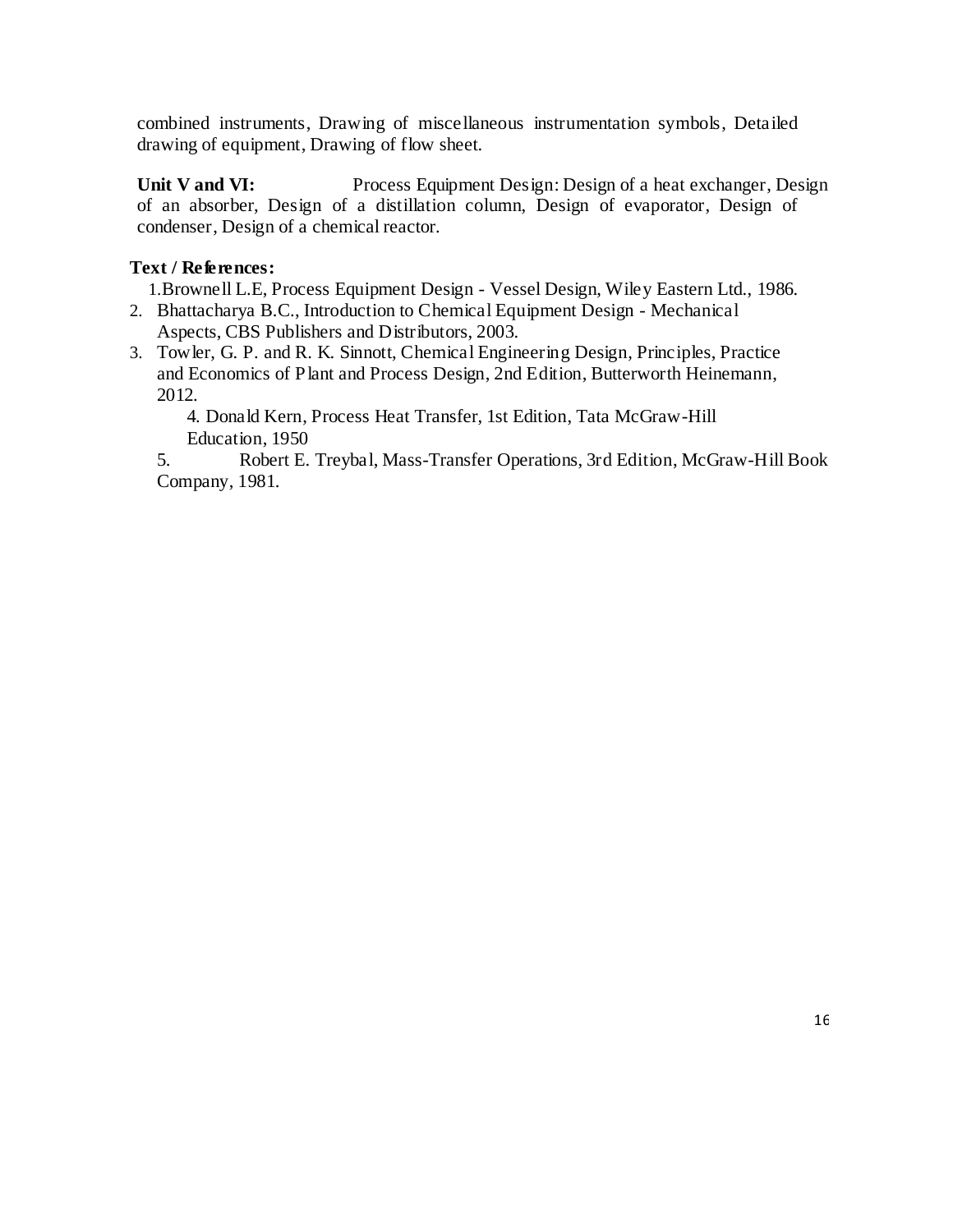combined instruments, Drawing of miscellaneous instrumentation symbols, Detailed drawing of equipment, Drawing of flow sheet.

**Unit V and VI:** Process Equipment Design: Design of a heat exchanger, Design of an absorber, Design of a distillation column, Design of evaporator, Design of condenser, Design of a chemical reactor.

# **Text / References:**

1.Brownell L.E, Process Equipment Design - Vessel Design, Wiley Eastern Ltd., 1986.

- 2. Bhattacharya B.C., Introduction to Chemical Equipment Design Mechanical Aspects, CBS Publishers and Distributors, 2003.
- 3. Towler, G. P. and R. K. Sinnott, Chemical Engineering Design, Principles, Practice and Economics of Plant and Process Design, 2nd Edition, Butterworth Heinemann, 2012.

4. Donald Kern, Process Heat Transfer, 1st Edition, Tata McGraw-Hill Education, 1950

5. Robert E. Treybal, Mass-Transfer Operations, 3rd Edition, McGraw-Hill Book Company, 1981.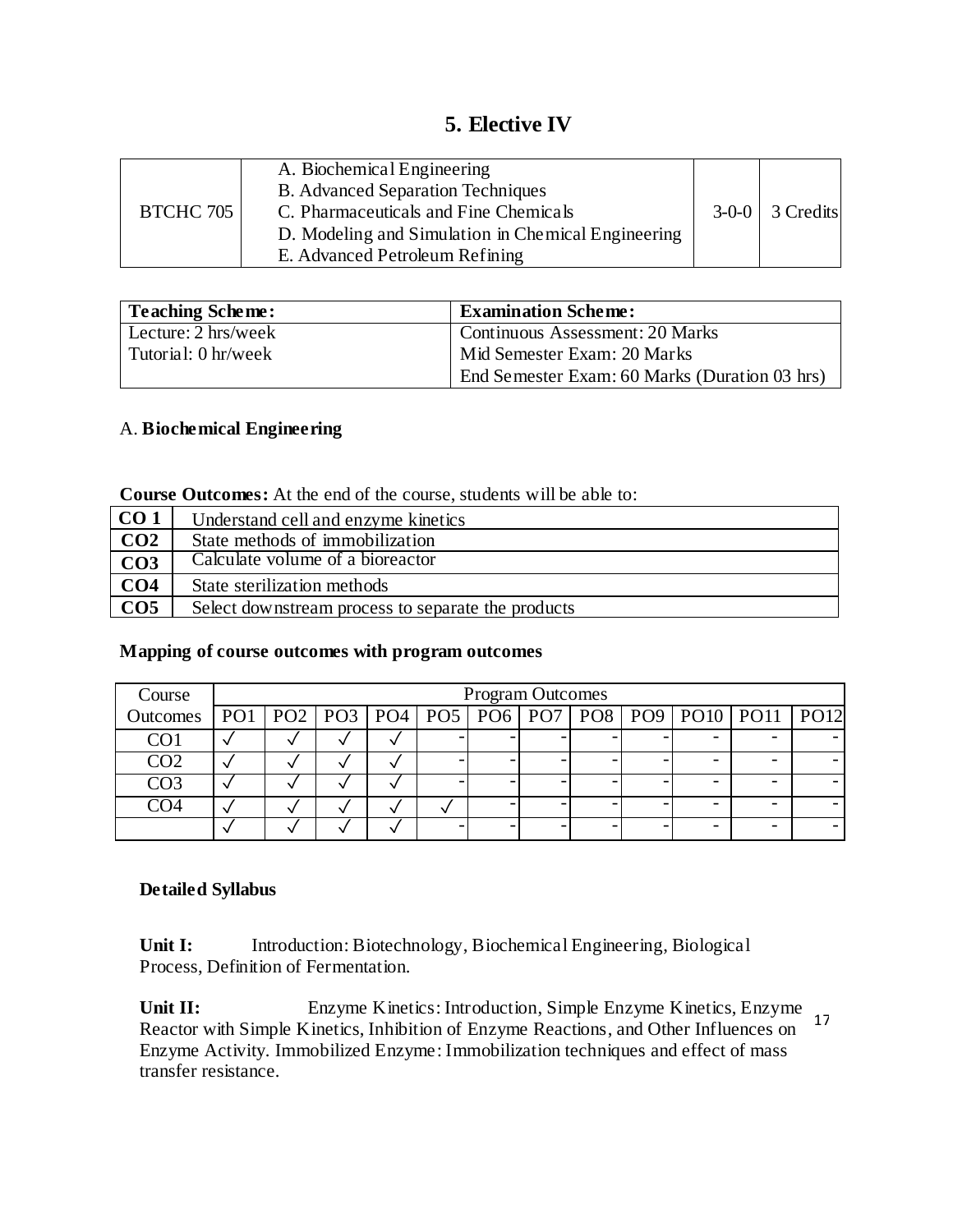# **5. Elective IV**

| <b>BTCHC 705</b> | A. Biochemical Engineering<br><b>B.</b> Advanced Separation Techniques<br>C. Pharmaceuticals and Fine Chemicals<br>D. Modeling and Simulation in Chemical Engineering<br>E. Advanced Petroleum Refining |  | $3-0-0$ 3 Credits |
|------------------|---------------------------------------------------------------------------------------------------------------------------------------------------------------------------------------------------------|--|-------------------|
|------------------|---------------------------------------------------------------------------------------------------------------------------------------------------------------------------------------------------------|--|-------------------|

| Teaching Scheme:              | <b>Examination Scheme:</b>                    |
|-------------------------------|-----------------------------------------------|
| Lecture: $2 \text{ hrs/week}$ | Continuous Assessment: 20 Marks               |
| Tutorial: 0 hr/week           | Mid Semester Exam: 20 Marks                   |
|                               | End Semester Exam: 60 Marks (Duration 03 hrs) |

## A. **Biochemical Engineering**

| <b>Course Outcomes:</b> At the end of the course, students will be able to: |  |  |  |  |  |  |
|-----------------------------------------------------------------------------|--|--|--|--|--|--|
|-----------------------------------------------------------------------------|--|--|--|--|--|--|

| CO <sub>1</sub> | Understand cell and enzyme kinetics                |
|-----------------|----------------------------------------------------|
| CO <sub>2</sub> | State methods of immobilization                    |
| CO <sub>3</sub> | Calculate volume of a bioreactor                   |
| CO <sub>4</sub> | State sterilization methods                        |
| CO <sub>5</sub> | Select downstream process to separate the products |

## **Mapping of course outcomes with program outcomes**

| Course          | <b>Program Outcomes</b> |  |  |  |  |  |  |  |  |                                                                          |  |
|-----------------|-------------------------|--|--|--|--|--|--|--|--|--------------------------------------------------------------------------|--|
| <b>Outcomes</b> |                         |  |  |  |  |  |  |  |  | PO1   PO2   PO3   PO4   PO5   PO6   PO7   PO8   PO9   PO10   PO11   PO12 |  |
| CO.             |                         |  |  |  |  |  |  |  |  |                                                                          |  |
| CO <sub>2</sub> |                         |  |  |  |  |  |  |  |  |                                                                          |  |
| CO3             |                         |  |  |  |  |  |  |  |  |                                                                          |  |
|                 |                         |  |  |  |  |  |  |  |  |                                                                          |  |
|                 |                         |  |  |  |  |  |  |  |  |                                                                          |  |

# **Detailed Syllabus**

Unit I: Introduction: Biotechnology, Biochemical Engineering, Biological Process, Definition of Fermentation.

17 **Unit II:** Enzyme Kinetics: Introduction, Simple Enzyme Kinetics, Enzyme Reactor with Simple Kinetics, Inhibition of Enzyme Reactions, and Other Influences on Enzyme Activity. Immobilized Enzyme: Immobilization techniques and effect of mass transfer resistance.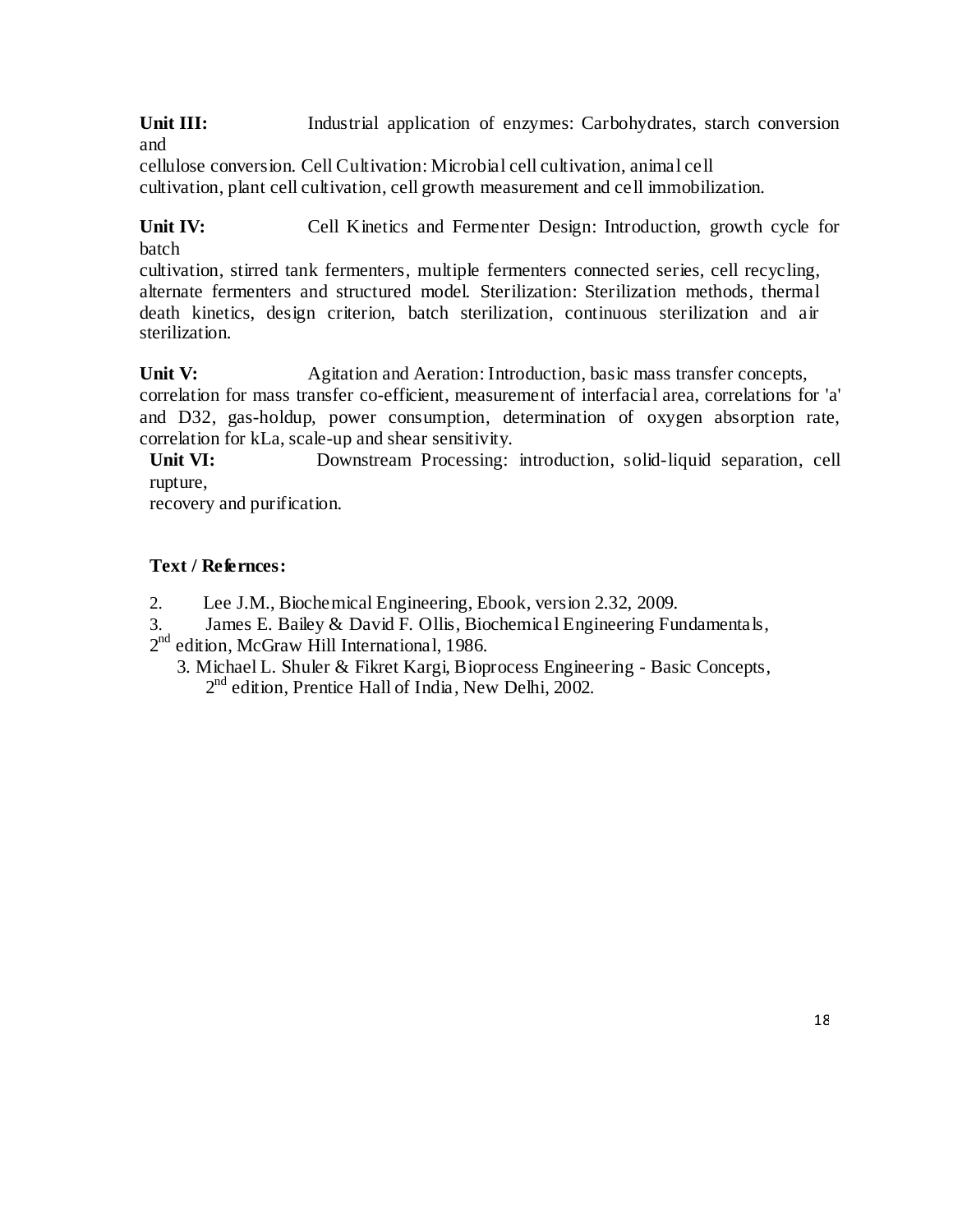Unit III: Industrial application of enzymes: Carbohydrates, starch conversion and

cellulose conversion. Cell Cultivation: Microbial cell cultivation, animal cell cultivation, plant cell cultivation, cell growth measurement and cell immobilization.

Unit IV: Cell Kinetics and Fermenter Design: Introduction, growth cycle for batch

cultivation, stirred tank fermenters, multiple fermenters connected series, cell recycling, alternate fermenters and structured model. Sterilization: Sterilization methods, thermal death kinetics, design criterion, batch sterilization, continuous sterilization and air sterilization.

**Unit V:** Agitation and Aeration: Introduction, basic mass transfer concepts, correlation for mass transfer co-efficient, measurement of interfacial area, correlations for 'a' and D32, gas-holdup, power consumption, determination of oxygen absorption rate, correlation for kLa, scale-up and shear sensitivity.

**Unit VI:** Downstream Processing: introduction, solid-liquid separation, cell rupture,

recovery and purification.

# **Text / Refernces:**

- 2. Lee J.M., Biochemical Engineering, Ebook, version 2.32, 2009.
- 3. James E. Bailey & David F. Ollis, Biochemical Engineering Fundamentals,

2<sup>nd</sup> edition, McGraw Hill International, 1986.

3. Michael L. Shuler & Fikret Kargi, Bioprocess Engineering - Basic Concepts, 2<sup>nd</sup> edition, Prentice Hall of India, New Delhi, 2002.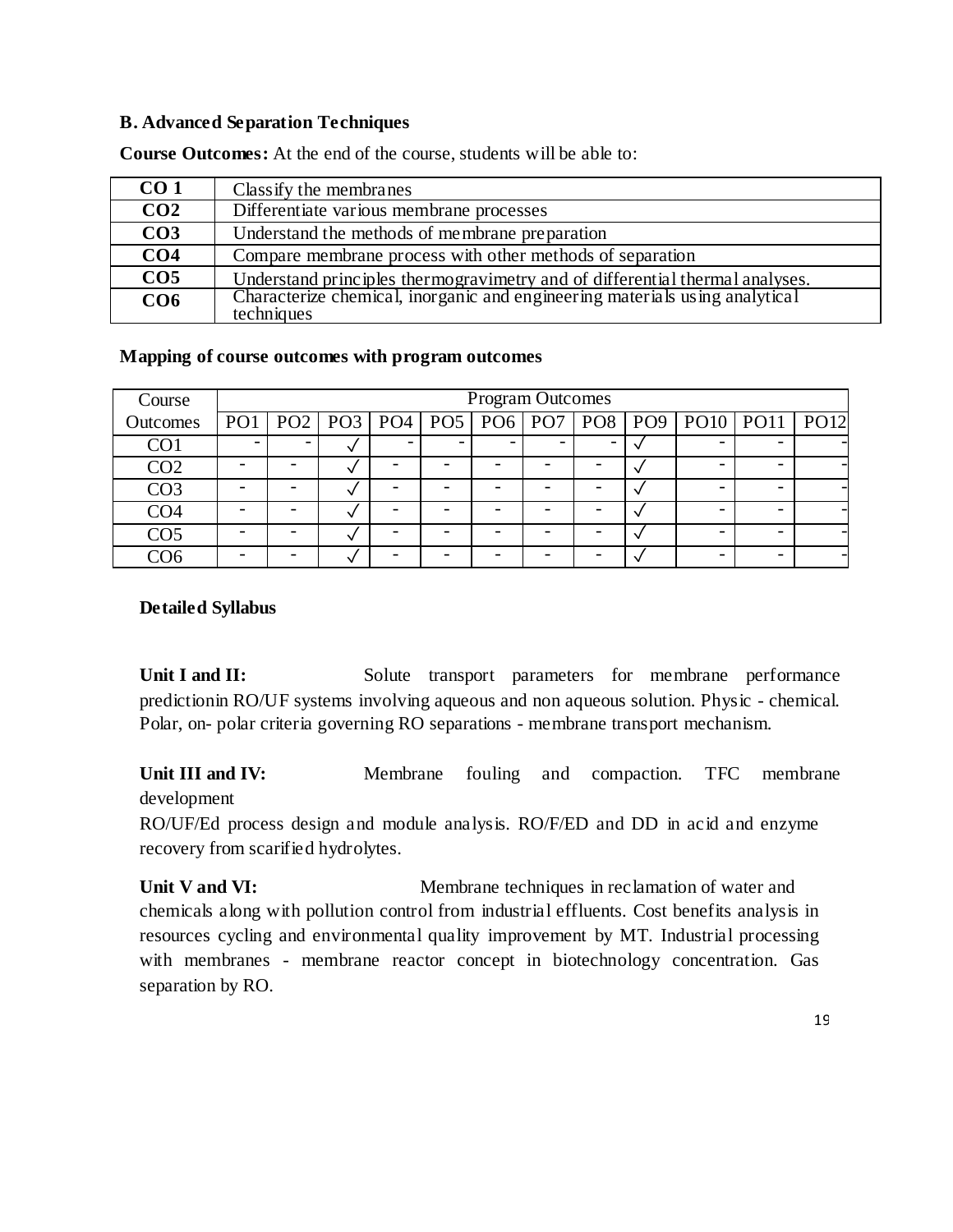#### **B. Advanced Separation Techniques**

| CO <sub>1</sub> | Class if y the membranes                                                     |
|-----------------|------------------------------------------------------------------------------|
| CO <sub>2</sub> | Differentiate various membrane processes                                     |
| CO <sub>3</sub> | Understand the methods of membrane preparation                               |
| CO <sub>4</sub> | Compare membrane process with other methods of separation                    |
| CO <sub>5</sub> | Understand principles thermogravimetry and of differential thermal analyses. |
| CO <sub>6</sub> | Characterize chemical, inorganic and engineering materials using analytical  |
|                 | techniques                                                                   |

**Course Outcomes:** At the end of the course, students will be able to:

#### **Mapping of course outcomes with program outcomes**

| Course          | <b>Program Outcomes</b> |   |  |  |  |  |  |  |  |                                                                   |      |
|-----------------|-------------------------|---|--|--|--|--|--|--|--|-------------------------------------------------------------------|------|
| Outcomes        |                         |   |  |  |  |  |  |  |  | PO1   PO2   PO3   PO4   PO5   PO6   PO7   PO8   PO9   PO10   PO11 | PO12 |
| CO <sub>1</sub> |                         | v |  |  |  |  |  |  |  |                                                                   |      |
| CO <sub>2</sub> |                         | v |  |  |  |  |  |  |  |                                                                   |      |
| CO <sub>3</sub> |                         | v |  |  |  |  |  |  |  |                                                                   |      |
| CO <sub>4</sub> |                         | ◡ |  |  |  |  |  |  |  |                                                                   |      |
| CO <sub>5</sub> |                         |   |  |  |  |  |  |  |  |                                                                   |      |
| 206             |                         |   |  |  |  |  |  |  |  |                                                                   |      |

#### **Detailed Syllabus**

Unit I and II: Solute transport parameters for membrane performance predictionin RO/UF systems involving aqueous and non aqueous solution. Physic - chemical. Polar, on- polar criteria governing RO separations - membrane transport mechanism.

Unit III and IV: Membrane fouling and compaction. TFC membrane development

RO/UF/Ed process design and module analysis. RO/F/ED and DD in acid and enzyme recovery from scarified hydrolytes.

**Unit V and VI:** Membrane techniques in reclamation of water and chemicals along with pollution control from industrial effluents. Cost benefits analysis in resources cycling and environmental quality improvement by MT. Industrial processing with membranes - membrane reactor concept in biotechnology concentration. Gas separation by RO.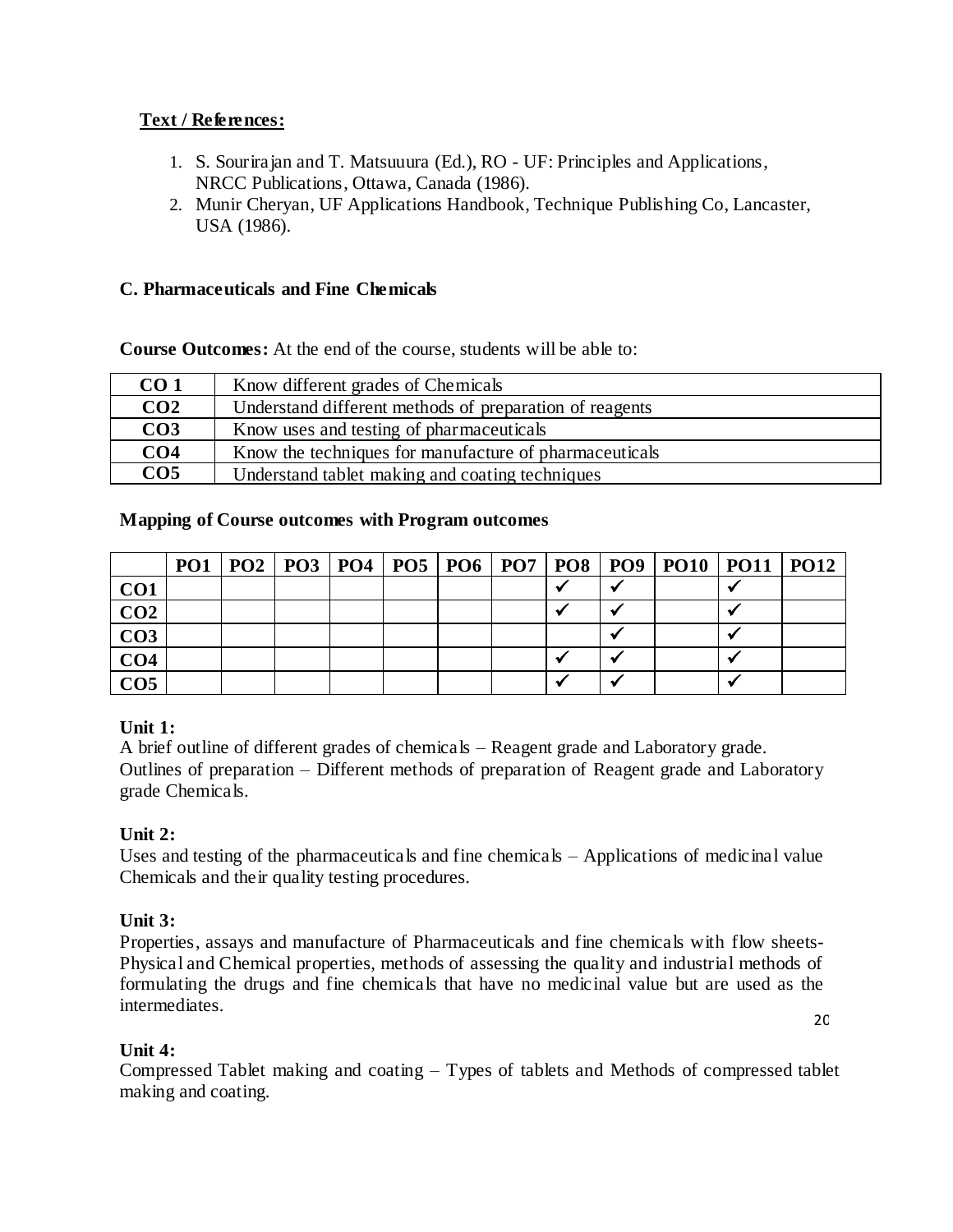# **Text / References:**

- 1. S. Sourirajan and T. Matsuuura (Ed.), RO UF: Principles and Applications, NRCC Publications, Ottawa, Canada (1986).
- 2. Munir Cheryan, UF Applications Handbook, Technique Publishing Co, Lancaster, USA (1986).

# **C. Pharmaceuticals and Fine Chemicals**

# **Course Outcomes:** At the end of the course, students will be able to:

| CO <sub>1</sub> | Know different grades of Chemicals                      |
|-----------------|---------------------------------------------------------|
| CO <sub>2</sub> | Understand different methods of preparation of reagents |
| CO <sub>3</sub> | Know uses and testing of pharmaceuticals                |
| CO <sub>4</sub> | Know the techniques for manufacture of pharmaceuticals  |
| CO <sub>5</sub> | Understand tablet making and coating techniques         |

# **Mapping of Course outcomes with Program outcomes**

|                 |  |  |  |  | PO1   PO2   PO3   PO4   PO5   PO6   PO7   PO8   PO9   PO10   PO11   PO12 |  |
|-----------------|--|--|--|--|--------------------------------------------------------------------------|--|
| CO <sub>1</sub> |  |  |  |  |                                                                          |  |
| CO <sub>2</sub> |  |  |  |  |                                                                          |  |
| CO <sub>3</sub> |  |  |  |  |                                                                          |  |
| CO <sub>4</sub> |  |  |  |  |                                                                          |  |
| CO <sub>5</sub> |  |  |  |  |                                                                          |  |

# **Unit 1:**

A brief outline of different grades of chemicals – Reagent grade and Laboratory grade. Outlines of preparation – Different methods of preparation of Reagent grade and Laboratory grade Chemicals.

# **Unit 2:**

Uses and testing of the pharmaceuticals and fine chemicals – Applications of medicinal value Chemicals and their quality testing procedures.

# **Unit 3:**

Properties, assays and manufacture of Pharmaceuticals and fine chemicals with flow sheets-Physical and Chemical properties, methods of assessing the quality and industrial methods of formulating the drugs and fine chemicals that have no medicinal value but are used as the intermediates.

20

# **Unit 4:**

Compressed Tablet making and coating – Types of tablets and Methods of compressed tablet making and coating.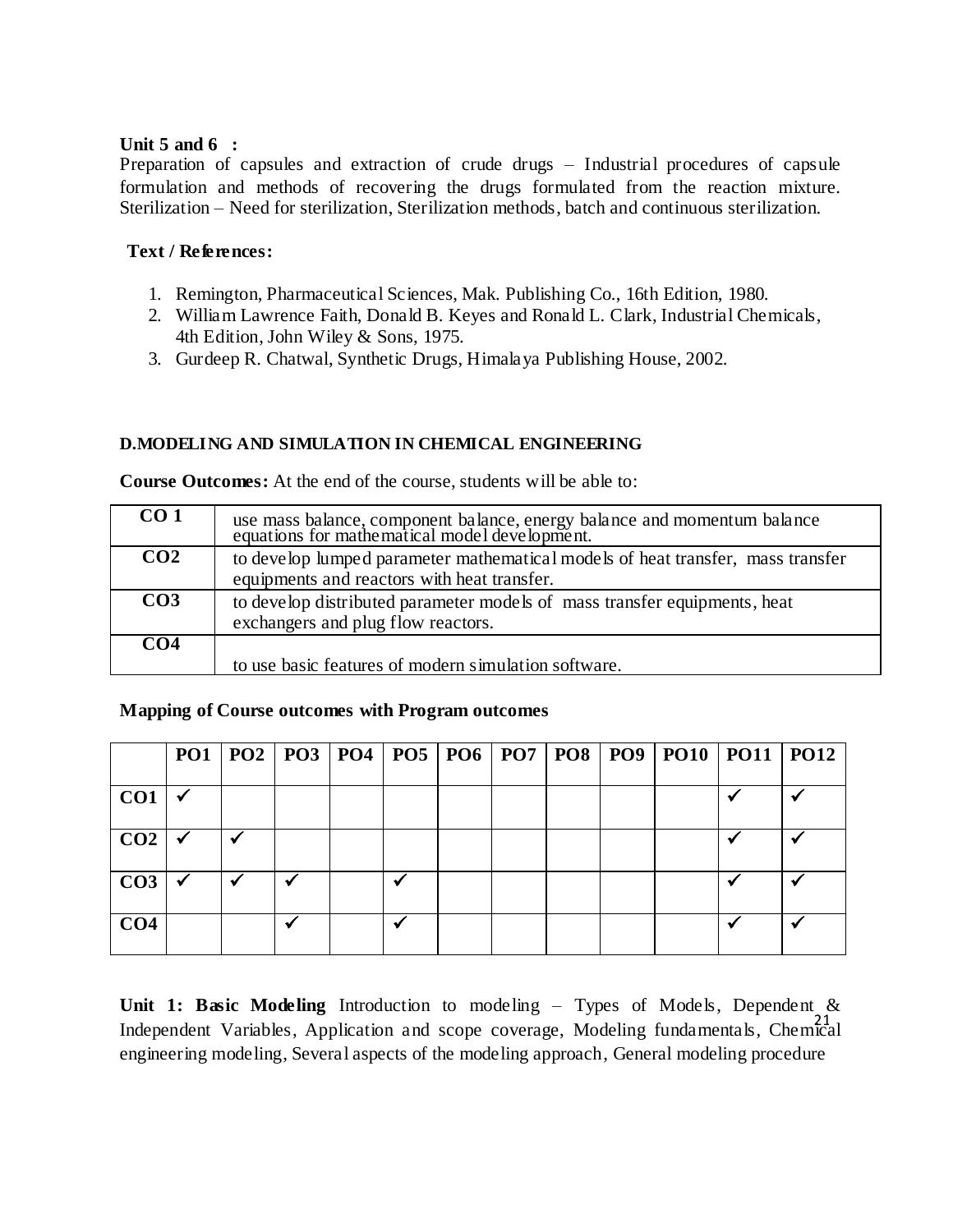## **Unit 5 and 6 :**

Preparation of capsules and extraction of crude drugs – Industrial procedures of capsule formulation and methods of recovering the drugs formulated from the reaction mixture. Sterilization – Need for sterilization, Sterilization methods, batch and continuous sterilization.

# **Text / References:**

- 1. Remington, Pharmaceutical Sciences, Mak. Publishing Co., 16th Edition, 1980.
- 2. William Lawrence Faith, Donald B. Keyes and Ronald L. Clark, Industrial Chemicals, 4th Edition, John Wiley & Sons, 1975.
- 3. Gurdeep R. Chatwal, Synthetic Drugs, Himalaya Publishing House, 2002.

# **D.MODELING AND SIMULATION IN CHEMICAL ENGINEERING**

| CO <sub>1</sub> | use mass balance, component balance, energy balance and momentum balance equations for mathematical model development. |
|-----------------|------------------------------------------------------------------------------------------------------------------------|
| CO <sub>2</sub> | to develop lumped parameter mathematical models of heat transfer, mass transfer                                        |
|                 | equipments and reactors with heat transfer.                                                                            |
| CO <sub>3</sub> | to develop distributed parameter models of mass transfer equipments, heat                                              |
|                 | exchangers and plug flow reactors.                                                                                     |
| CO <sub>4</sub> |                                                                                                                        |
|                 | to use basic features of modern simulation software.                                                                   |

**Course Outcomes:** At the end of the course, students will be able to:

# **Mapping of Course outcomes with Program outcomes**

|                 |                           |  |  |  |  | PO1   PO2   PO3   PO4   PO5   PO6   PO7   PO8   PO9   PO10   PO11   PO12 |  |
|-----------------|---------------------------|--|--|--|--|--------------------------------------------------------------------------|--|
| CO <sub>1</sub> |                           |  |  |  |  |                                                                          |  |
| CO <sub>2</sub> |                           |  |  |  |  |                                                                          |  |
| CO <sub>3</sub> | $\boldsymbol{\checkmark}$ |  |  |  |  |                                                                          |  |
| CO <sub>4</sub> |                           |  |  |  |  |                                                                          |  |

21 Independent Variables, Application and scope coverage, Modeling fundamentals, Chemical **Unit 1: Basic Modeling** Introduction to modeling – Types of Models, Dependent & engineering modeling, Several aspects of the modeling approach, General modeling procedure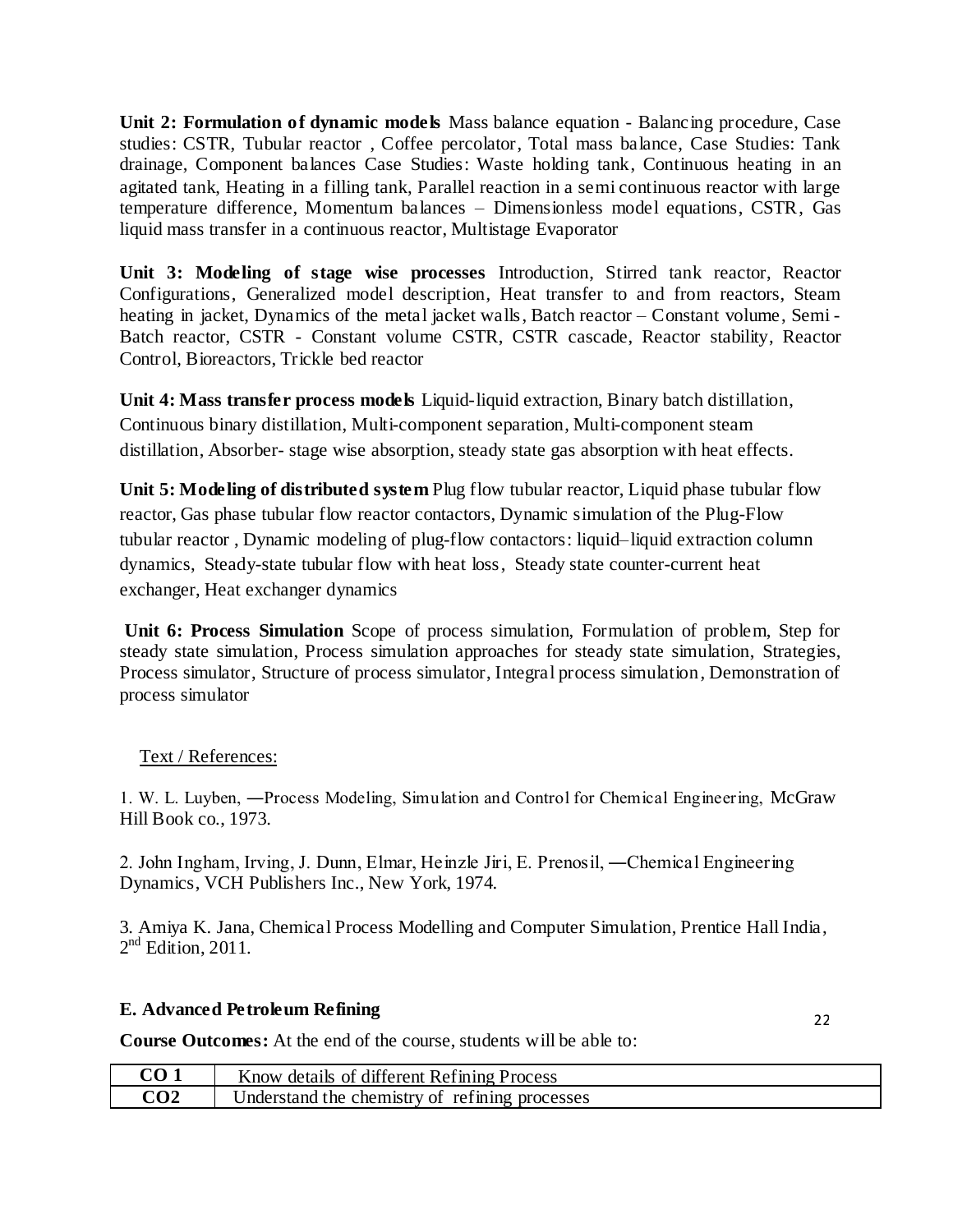**Unit 2: Formulation of dynamic models** Mass balance equation - Balancing procedure, Case studies: CSTR, Tubular reactor , Coffee percolator, Total mass balance, Case Studies: Tank drainage, Component balances Case Studies: Waste holding tank, Continuous heating in an agitated tank, Heating in a filling tank, Parallel reaction in a semi continuous reactor with large temperature difference, Momentum balances – Dimensionless model equations, CSTR, Gas liquid mass transfer in a continuous reactor, Multistage Evaporator

**Unit 3: Modeling of stage wise processes** Introduction, Stirred tank reactor, Reactor Configurations, Generalized model description, Heat transfer to and from reactors, Steam heating in jacket, Dynamics of the metal jacket walls, Batch reactor – Constant volume, Semi - Batch reactor, CSTR - Constant volume CSTR, CSTR cascade, Reactor stability, Reactor Control, Bioreactors, Trickle bed reactor

**Unit 4: Mass transfer process models** Liquid-liquid extraction, Binary batch distillation, Continuous binary distillation, Multi-component separation, Multi-component steam distillation, Absorber- stage wise absorption, steady state gas absorption with heat effects.

**Unit 5: Modeling of distributed system** Plug flow tubular reactor, Liquid phase tubular flow reactor, Gas phase tubular flow reactor contactors, Dynamic simulation of the Plug-Flow tubular reactor , Dynamic modeling of plug-flow contactors: liquid–liquid extraction column dynamics, Steady-state tubular flow with heat loss, Steady state counter-current heat exchanger, Heat exchanger dynamics

**Unit 6: Process Simulation** Scope of process simulation, Formulation of problem, Step for steady state simulation, Process simulation approaches for steady state simulation, Strategies, Process simulator, Structure of process simulator, Integral process simulation, Demonstration of process simulator

## Text / References:

1. W. L. Luyben, ―Process Modeling, Simulation and Control for Chemical Engineering, McGraw Hill Book co., 1973.

2. John Ingham, Irving, J. Dunn, Elmar, Heinzle Jiri, E. Prenosil, ―Chemical Engineering Dynamics, VCH Publishers Inc., New York, 1974.

3. Amiya K. Jana, Chemical Process Modelling and Computer Simulation, Prentice Hall India,  $2<sup>nd</sup>$  Edition, 2011.

## **E. Advanced Petroleum Refining**

22

**Course Outcomes:** At the end of the course, students will be able to:

| CO 1 | Know details of different Refining Process     |
|------|------------------------------------------------|
| CO2  | Understand the chemistry of refining processes |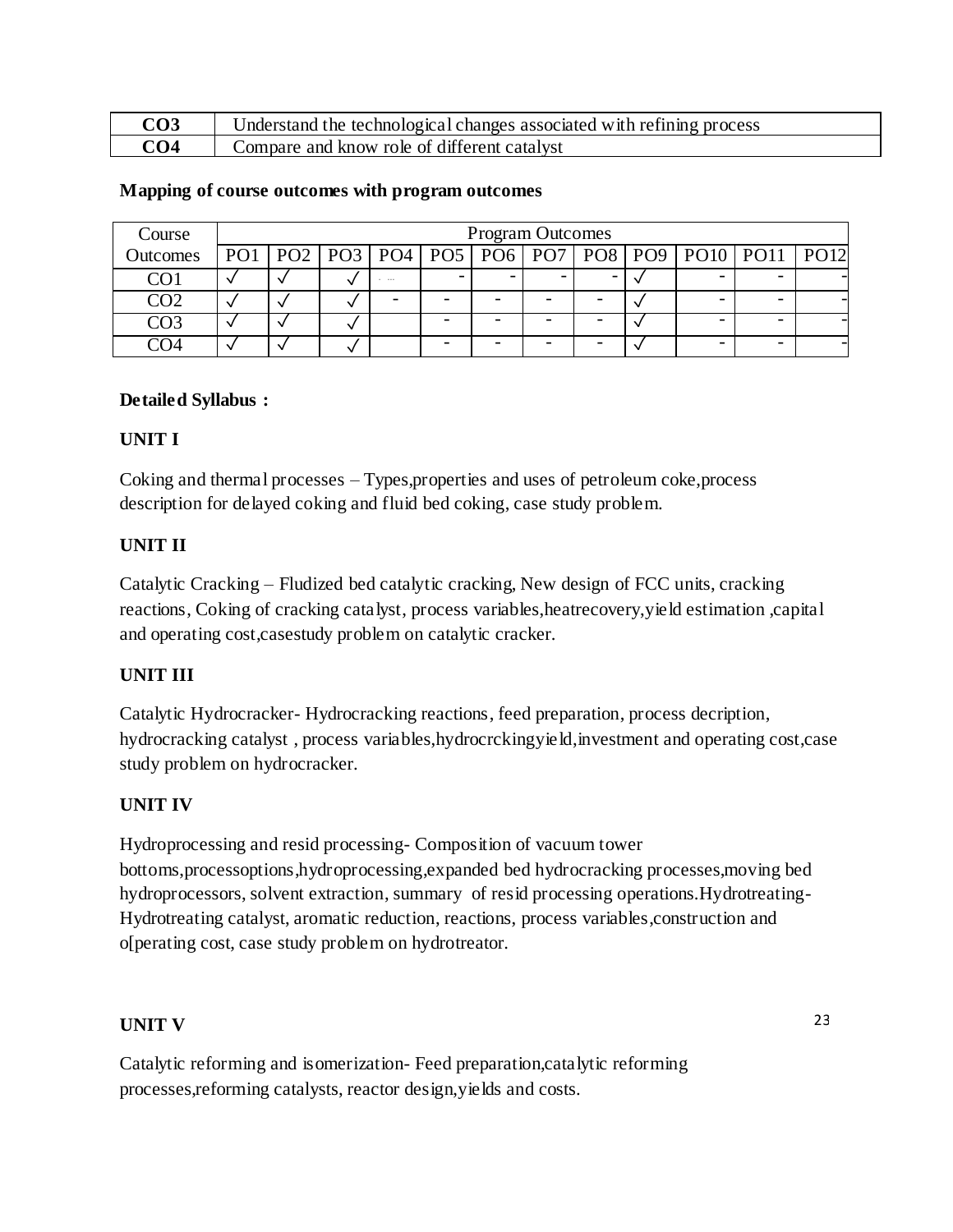| CO3 | Understand the technological changes associated with refining process |
|-----|-----------------------------------------------------------------------|
| CO4 | Compare and know role of different catalyst                           |

| Course          | <b>Program Outcomes</b> |  |       |  |  |  |  |  |  |                                                                          |  |
|-----------------|-------------------------|--|-------|--|--|--|--|--|--|--------------------------------------------------------------------------|--|
| Outcomes        |                         |  |       |  |  |  |  |  |  | PO1   PO2   PO3   PO4   PO5   PO6   PO7   PO8   PO9   PO10   PO11   PO12 |  |
| CO <sub>1</sub> |                         |  | - --- |  |  |  |  |  |  |                                                                          |  |
| നാ              |                         |  |       |  |  |  |  |  |  |                                                                          |  |
| നദ              |                         |  |       |  |  |  |  |  |  |                                                                          |  |
|                 |                         |  |       |  |  |  |  |  |  |                                                                          |  |

#### **Mapping of course outcomes with program outcomes**

#### **Detailed Syllabus :**

#### **UNIT I**

Coking and thermal processes – Types,properties and uses of petroleum coke,process description for delayed coking and fluid bed coking, case study problem.

#### **UNIT II**

Catalytic Cracking – Fludized bed catalytic cracking, New design of FCC units, cracking reactions, Coking of cracking catalyst, process variables,heatrecovery,yield estimation ,capital and operating cost,casestudy problem on catalytic cracker.

## **UNIT III**

Catalytic Hydrocracker- Hydrocracking reactions, feed preparation, process decription, hydrocracking catalyst , process variables,hydrocrckingyield,investment and operating cost,case study problem on hydrocracker.

## **UNIT IV**

Hydroprocessing and resid processing- Composition of vacuum tower bottoms,processoptions,hydroprocessing,expanded bed hydrocracking processes,moving bed hydroprocessors, solvent extraction, summary of resid processing operations.Hydrotreating-Hydrotreating catalyst, aromatic reduction, reactions, process variables,construction and o[perating cost, case study problem on hydrotreator.

#### **UNIT V**

Catalytic reforming and isomerization- Feed preparation,catalytic reforming processes,reforming catalysts, reactor design,yields and costs.

23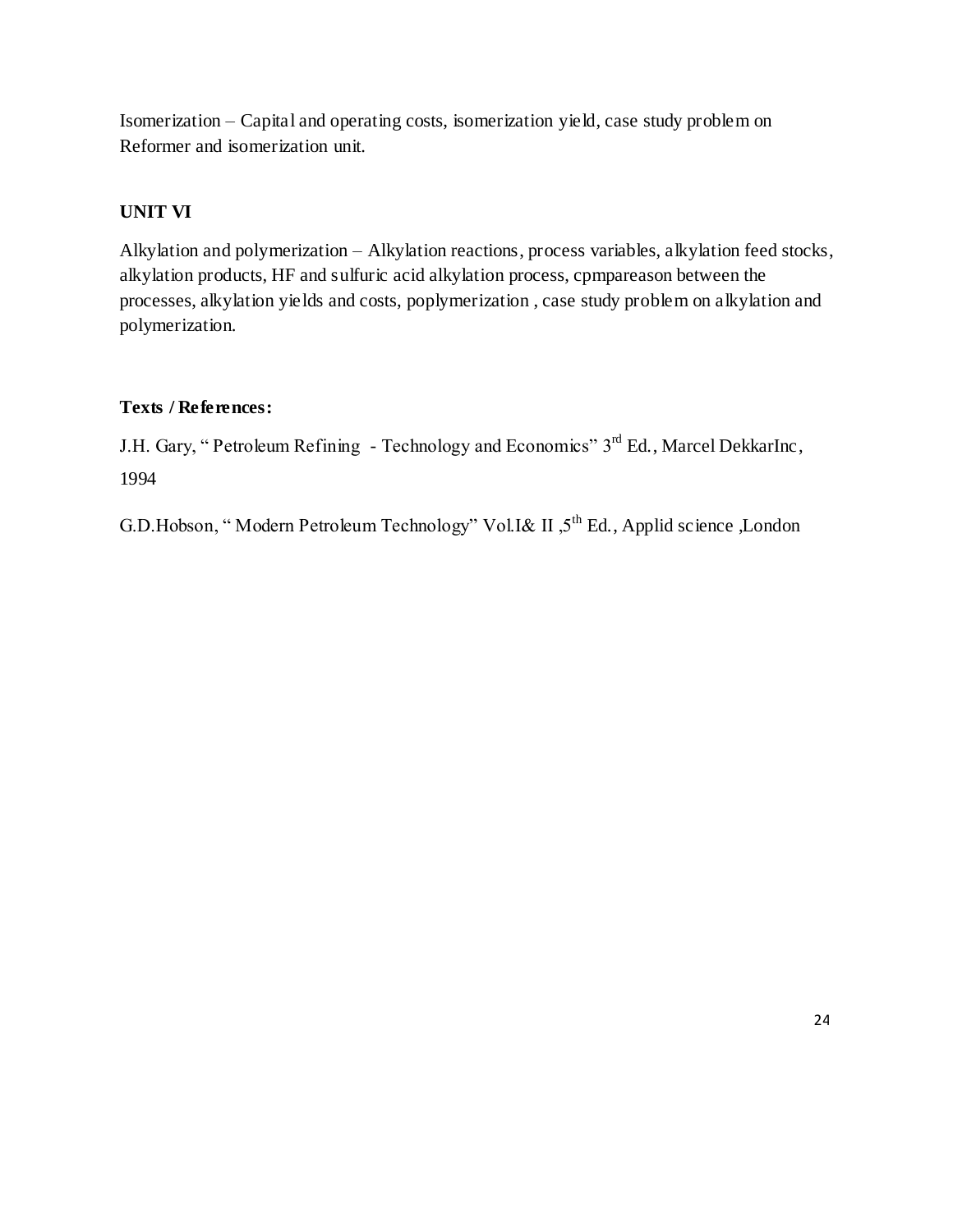Isomerization – Capital and operating costs, isomerization yield, case study problem on Reformer and isomerization unit.

# **UNIT VI**

Alkylation and polymerization – Alkylation reactions, process variables, alkylation feed stocks, alkylation products, HF and sulfuric acid alkylation process, cpmpareason between the processes, alkylation yields and costs, poplymerization , case study problem on alkylation and polymerization.

# **Texts / References:**

J.H. Gary, "Petroleum Refining - Technology and Economics" 3<sup>rd</sup> Ed., Marcel DekkarInc, 1994

G.D.Hobson, "Modern Petroleum Technology" Vol.I& II ,5<sup>th</sup> Ed., Applid science ,London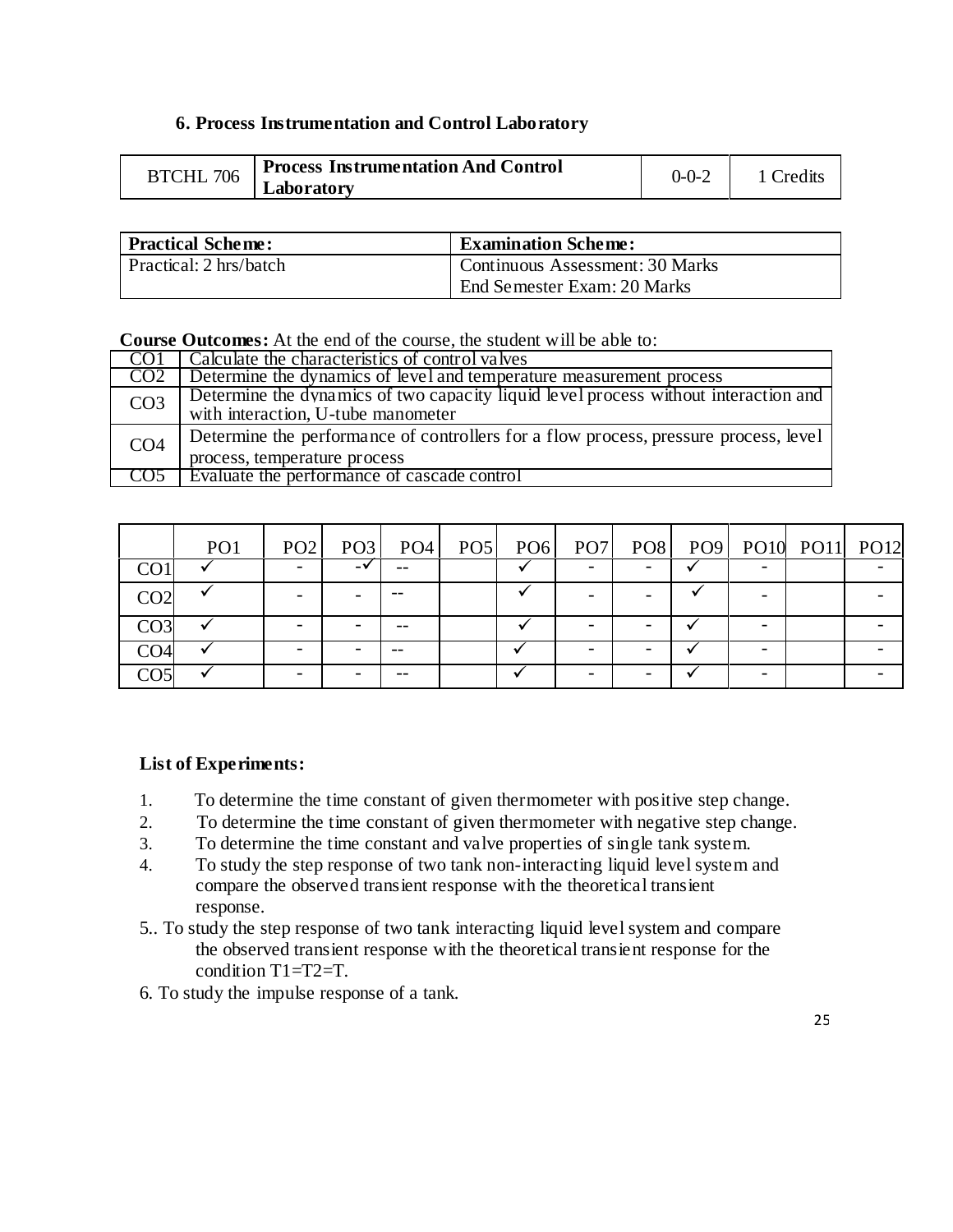## **6. Process Instrumentation and Control Laboratory**

| BTCHL 706 | <b>Process Instrumentation And Control</b> | 0-0-2 | 1 Credits |
|-----------|--------------------------------------------|-------|-----------|
|           | Laboratory                                 |       |           |

| <b>Practical Scheme:</b> | <b>Examination Scheme:</b>      |  |  |  |  |  |  |
|--------------------------|---------------------------------|--|--|--|--|--|--|
| Practical: 2 hrs/batch   | Continuous Assessment: 30 Marks |  |  |  |  |  |  |
|                          | End Semester Exam: 20 Marks     |  |  |  |  |  |  |

#### **Course Outcomes:** At the end of the course, the student will be able to:

| CO1             | Calculate the characteristics of control valves                                                                           |
|-----------------|---------------------------------------------------------------------------------------------------------------------------|
| CO <sub>2</sub> | Determine the dynamics of level and temperature measurement process                                                       |
| CO <sub>3</sub> | Determine the dynamics of two capacity liquid level process without interaction and<br>with interaction, U-tube manometer |
| CO <sub>4</sub> | Determine the performance of controllers for a flow process, pressure process, level<br>process, temperature process      |
|                 | Evaluate the performance of cascade control                                                                               |

|                 | PO <sub>1</sub> | PO2                      | PO <sub>3</sub> | PO4   | PO5 PO6 | PO <sub>7</sub> |                          |   | PO8 PO9 PO10 PO11 PO12 |  |
|-----------------|-----------------|--------------------------|-----------------|-------|---------|-----------------|--------------------------|---|------------------------|--|
| CO <sub>1</sub> |                 | $\overline{\phantom{0}}$ | $-\mathbf{v}$   | --    |         |                 |                          |   |                        |  |
| CO <sub>2</sub> |                 |                          |                 | $- -$ |         |                 |                          |   |                        |  |
| CO <sub>3</sub> |                 |                          |                 |       |         |                 |                          |   |                        |  |
| CO <sub>4</sub> |                 |                          |                 | $- -$ |         |                 |                          |   |                        |  |
| CO5             |                 | -                        |                 | --    |         |                 | $\overline{\phantom{0}}$ | - |                        |  |

## **List of Experiments:**

- 1. To determine the time constant of given thermometer with positive step change.
- 2. To determine the time constant of given thermometer with negative step change.
- 3. To determine the time constant and valve properties of single tank system.
- 4. To study the step response of two tank non-interacting liquid level system and compare the observed transient response with the theoretical transient response.
- 5.. To study the step response of two tank interacting liquid level system and compare the observed transient response with the theoretical transient response for the condition T1=T2=T.
- 6. To study the impulse response of a tank.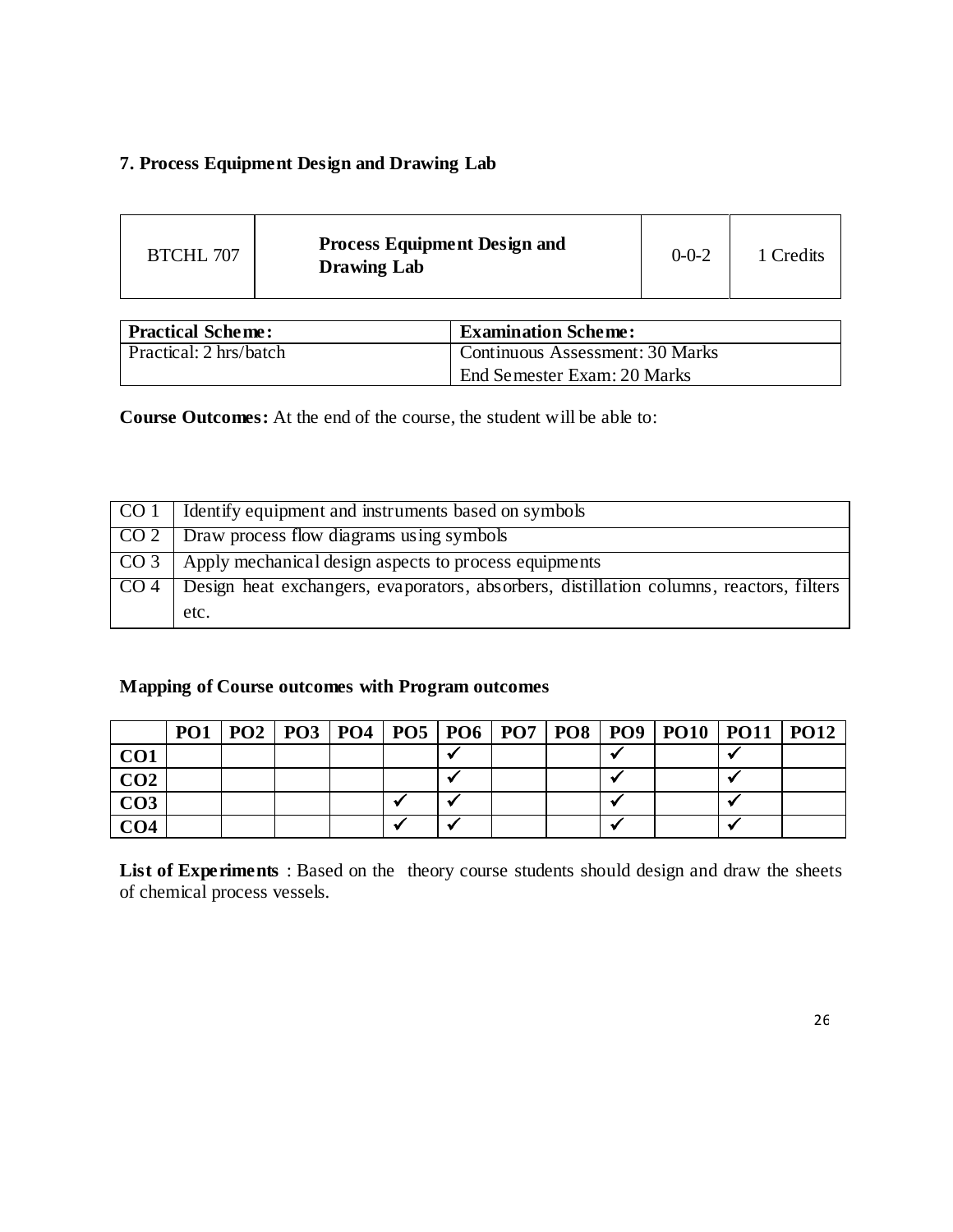# **7. Process Equipment Design and Drawing Lab**

| <b>BTCHL 707</b> | <b>Process Equipment Design and</b><br><b>Drawing Lab</b> | $0 - 0 - 2$ | 1 Credits |
|------------------|-----------------------------------------------------------|-------------|-----------|
|------------------|-----------------------------------------------------------|-------------|-----------|

| <b>Practical Scheme:</b> | <b>Examination Scheme:</b>      |  |  |  |  |  |  |
|--------------------------|---------------------------------|--|--|--|--|--|--|
| Practical: 2 hrs/batch   | Continuous Assessment: 30 Marks |  |  |  |  |  |  |
|                          | End Semester Exam: 20 Marks     |  |  |  |  |  |  |

**Course Outcomes:** At the end of the course, the student will be able to:

| CO <sub>1</sub> | Identify equipment and instruments based on symbols                                     |
|-----------------|-----------------------------------------------------------------------------------------|
|                 | CO 2 Draw process flow diagrams using symbols                                           |
| CO <sub>3</sub> | Apply mechanical design aspects to process equipments                                   |
| CO <sub>4</sub> | Design heat exchangers, evaporators, absorbers, distillation columns, reactors, filters |
|                 | etc.                                                                                    |

# **Mapping of Course outcomes with Program outcomes**

|                 |  |  |  |  | PO1   PO2   PO3   PO4   PO5   PO6   PO7   PO8   PO9   PO10   PO11   PO12 |  |
|-----------------|--|--|--|--|--------------------------------------------------------------------------|--|
| CO <sub>1</sub> |  |  |  |  |                                                                          |  |
| CO <sub>2</sub> |  |  |  |  |                                                                          |  |
| CO <sub>3</sub> |  |  |  |  |                                                                          |  |
| CO <sub>4</sub> |  |  |  |  |                                                                          |  |

**List of Experiments** : Based on the theory course students should design and draw the sheets of chemical process vessels.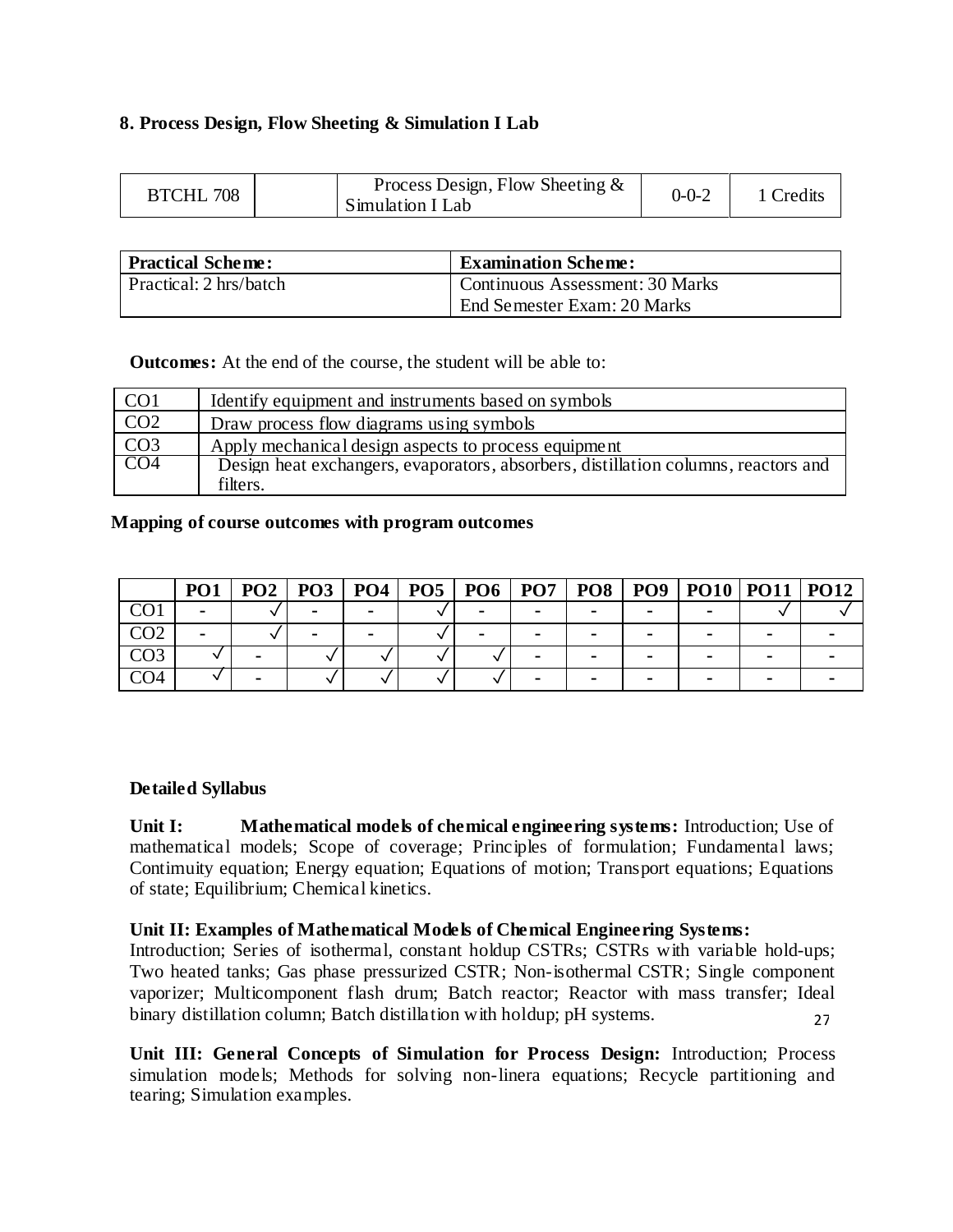## **8. Process Design, Flow Sheeting & Simulation I Lab**

| Process Design, Flow Sheeting $\&$<br><b>BTCHL 708</b><br>Simulation I Lab | $0 - 0 - 2$ | Credits |
|----------------------------------------------------------------------------|-------------|---------|
|----------------------------------------------------------------------------|-------------|---------|

| <b>Practical Scheme:</b> | <b>Examination Scheme:</b>      |  |  |  |  |  |  |
|--------------------------|---------------------------------|--|--|--|--|--|--|
| Practical: 2 hrs/batch   | Continuous Assessment: 30 Marks |  |  |  |  |  |  |
|                          | End Semester Exam: 20 Marks     |  |  |  |  |  |  |

**Outcomes:** At the end of the course, the student will be able to:

| CO <sub>1</sub> | Identify equipment and instruments based on symbols                                |
|-----------------|------------------------------------------------------------------------------------|
| CO <sub>2</sub> | Draw process flow diagrams using symbols                                           |
| CO <sub>3</sub> | Apply mechanical design aspects to process equipment                               |
| CO <sub>4</sub> | Design heat exchangers, evaporators, absorbers, distillation columns, reactors and |
|                 | filters.                                                                           |

## **Mapping of course outcomes with program outcomes**

|                 | PO <sub>1</sub> | PO2 | PO3 | PO4                      | PO5 | PO6 | PO <sub>7</sub> | PO <sub>8</sub> | PO <sub>9</sub> | PO10   PO11   PO12 |  |
|-----------------|-----------------|-----|-----|--------------------------|-----|-----|-----------------|-----------------|-----------------|--------------------|--|
| $\cap$          | $\blacksquare$  |     |     | $\overline{\phantom{a}}$ |     | -   |                 |                 |                 |                    |  |
| CO <sub>2</sub> | $\blacksquare$  |     |     | $\blacksquare$           |     |     |                 |                 |                 |                    |  |
| CO <sub>3</sub> |                 |     |     |                          |     |     |                 |                 |                 |                    |  |
| CO4             |                 |     |     |                          |     |     |                 |                 |                 |                    |  |

## **Detailed Syllabus**

**Unit I: Mathematical models of chemical engineering systems:** Introduction; Use of mathematical models; Scope of coverage; Principles of formulation; Fundamental laws; Contimuity equation; Energy equation; Equations of motion; Transport equations; Equations of state; Equilibrium; Chemical kinetics.

## **Unit II: Examples of Mathematical Models of Chemical Engineering Systems:**

27 Introduction; Series of isothermal, constant holdup CSTRs; CSTRs with variable hold-ups; Two heated tanks; Gas phase pressurized CSTR; Non-isothermal CSTR; Single component vaporizer; Multicomponent flash drum; Batch reactor; Reactor with mass transfer; Ideal binary distillation column; Batch distillation with holdup; pH systems.

**Unit III: General Concepts of Simulation for Process Design:** Introduction; Process simulation models; Methods for solving non-linera equations; Recycle partitioning and tearing; Simulation examples.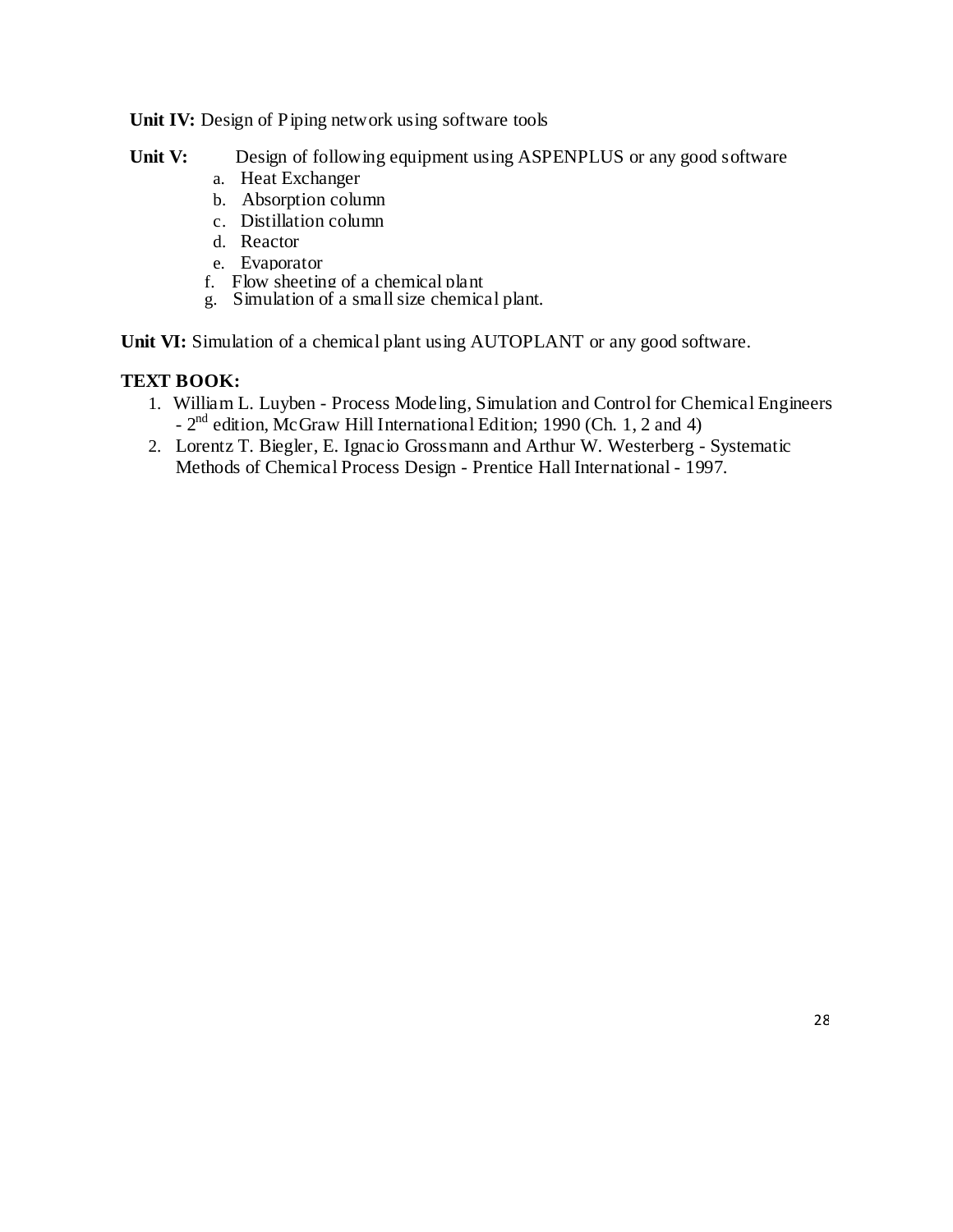#### **Unit IV:** Design of Piping network using software tools

- Unit V: Design of following equipment using ASPENPLUS or any good software
	- a. Heat Exchanger
	- b. Absorption column
	- c. Distillation column
	- d. Reactor
	- e. Evaporator
	- f. Flow sheeting of a chemical plant
	- g. Simulation of a small size chemical plant.

**Unit VI:** Simulation of a chemical plant using AUTOPLANT or any good software.

# **TEXT BOOK:**

- 1. William L. Luyben Process Modeling, Simulation and Control for Chemical Engineers - 2<sup>nd</sup> edition, McGraw Hill International Edition; 1990 (Ch. 1, 2 and 4)
- 2. Lorentz T. Biegler, E. Ignacio Grossmann and Arthur W. Westerberg Systematic Methods of Chemical Process Design - Prentice Hall International - 1997.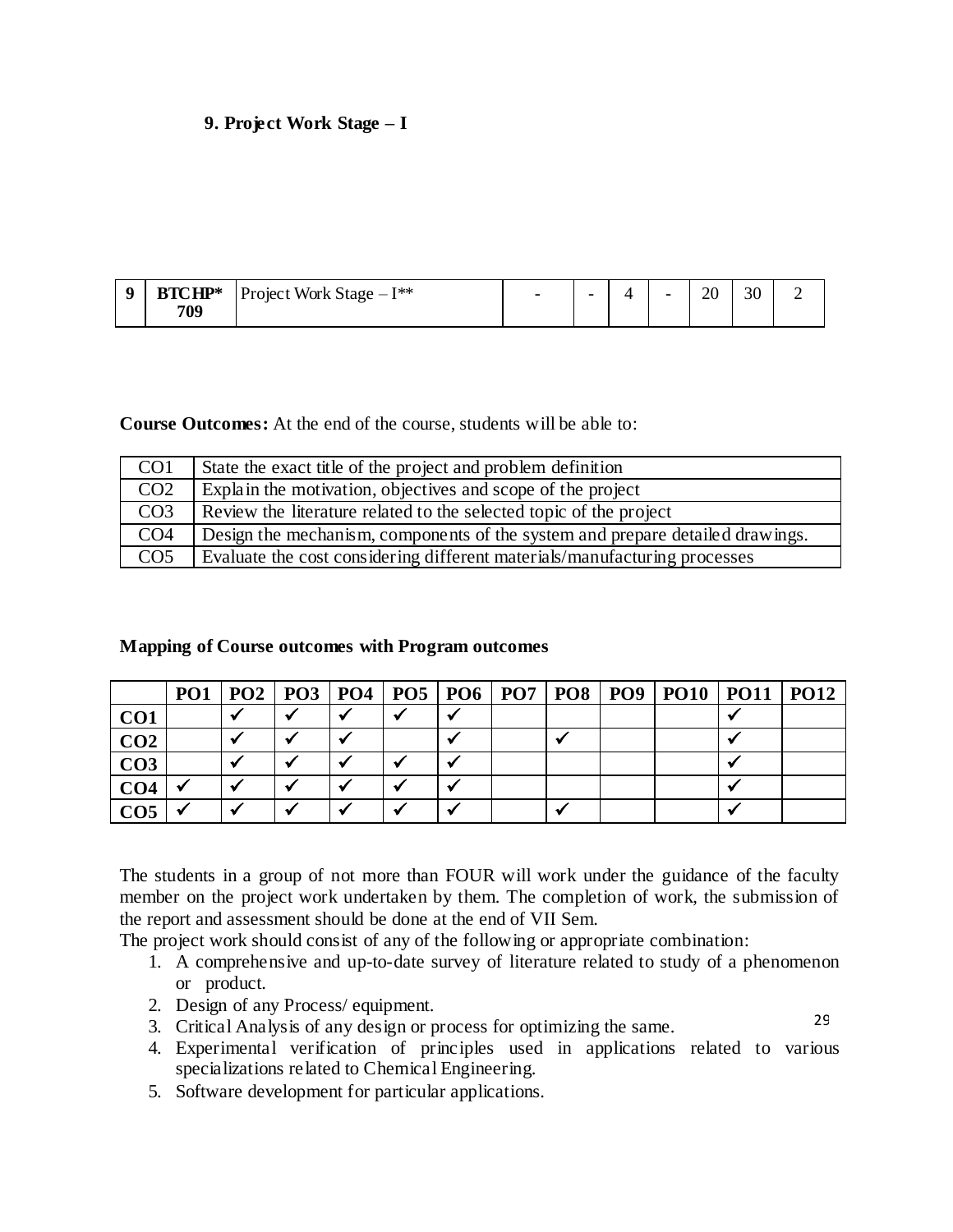# **9. Project Work Stage – I**

| <b>BTCHP*</b> | Project Work Stage $-I^{**}$ | $\overline{\phantom{a}}$ |  | - | ററ<br>້ |  |
|---------------|------------------------------|--------------------------|--|---|---------|--|
| 709           |                              |                          |  |   |         |  |

**Course Outcomes:** At the end of the course, students will be able to:

| CO <sub>1</sub>  | State the exact title of the project and problem definition                   |
|------------------|-------------------------------------------------------------------------------|
| CO <sub>2</sub>  | Explain the motivation, objectives and scope of the project                   |
| $\overline{CO3}$ | Review the literature related to the selected topic of the project            |
| CO <sub>4</sub>  | Design the mechanism, components of the system and prepare detailed drawings. |
| CO <sub>5</sub>  | Evaluate the cost considering different materials/manufacturing processes     |

#### **Mapping of Course outcomes with Program outcomes**

|                 | PO1 |                         |  |   |  | PO2   PO3   PO4   PO5   PO6   PO7   PO8   PO9   PO10   PO11   PO12 |  |
|-----------------|-----|-------------------------|--|---|--|--------------------------------------------------------------------|--|
| CO <sub>1</sub> |     |                         |  |   |  |                                                                    |  |
| CO <sub>2</sub> |     |                         |  |   |  |                                                                    |  |
| CO <sub>3</sub> |     | $\overline{\mathbf{v}}$ |  | v |  |                                                                    |  |
| CO <sub>4</sub> |     |                         |  |   |  |                                                                    |  |
| CO5             |     | $\overline{\mathbf{v}}$ |  | M |  |                                                                    |  |

The students in a group of not more than FOUR will work under the guidance of the faculty member on the project work undertaken by them. The completion of work, the submission of the report and assessment should be done at the end of VII Sem.

The project work should consist of any of the following or appropriate combination:

- 1. A comprehensive and up-to-date survey of literature related to study of a phenomenon or product.
- 2. Design of any Process/ equipment.
- 3. Critical Analysis of any design or process for optimizing the same.
	- 4. Experimental verification of principles used in applications related to various specializations related to Chemical Engineering.

29

5. Software development for particular applications.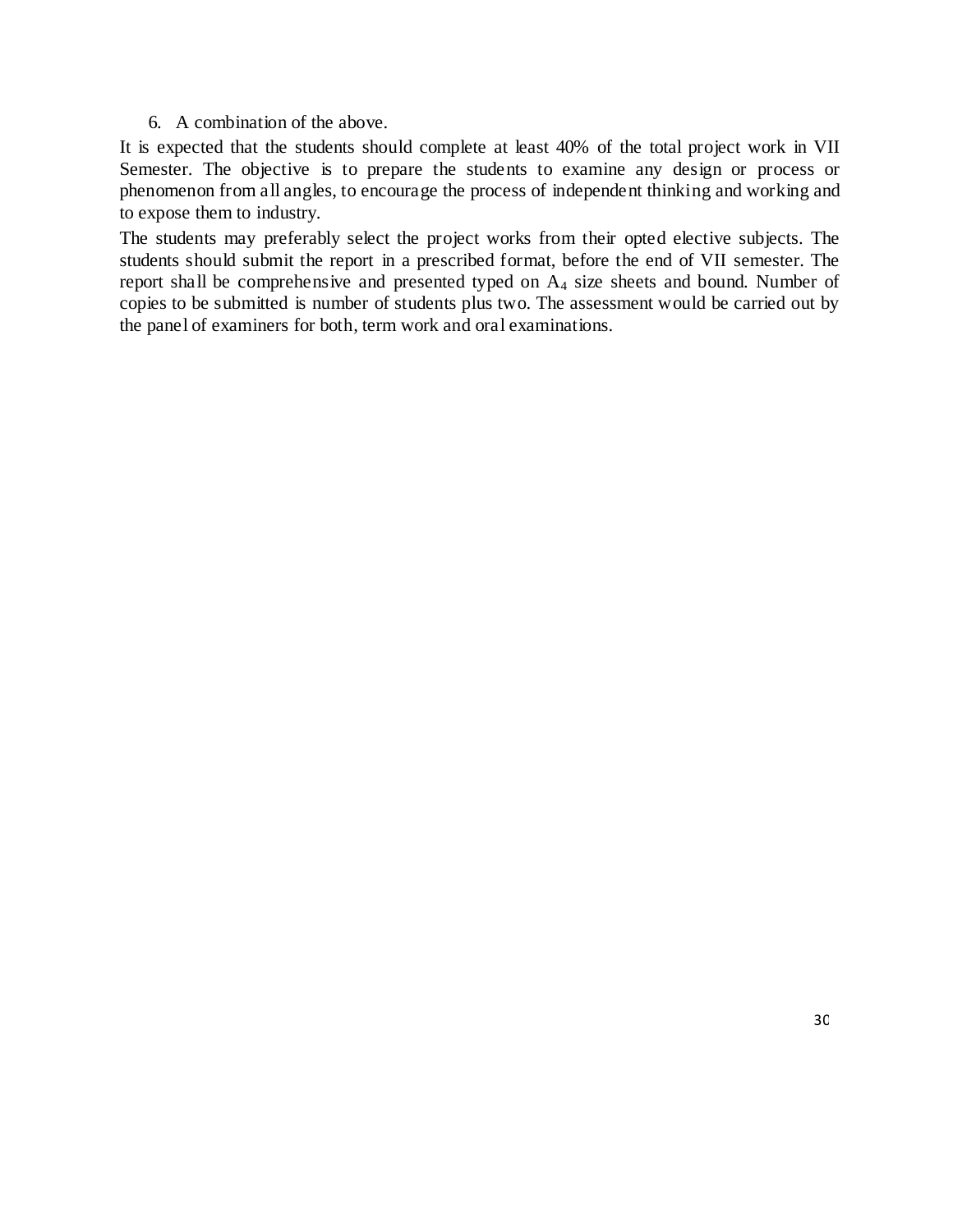6. A combination of the above.

It is expected that the students should complete at least 40% of the total project work in VII Semester. The objective is to prepare the students to examine any design or process or phenomenon from all angles, to encourage the process of independent thinking and working and to expose them to industry.

The students may preferably select the project works from their opted elective subjects. The students should submit the report in a prescribed format, before the end of VII semester. The report shall be comprehensive and presented typed on  $A<sub>4</sub>$  size sheets and bound. Number of copies to be submitted is number of students plus two. The assessment would be carried out by the panel of examiners for both, term work and oral examinations.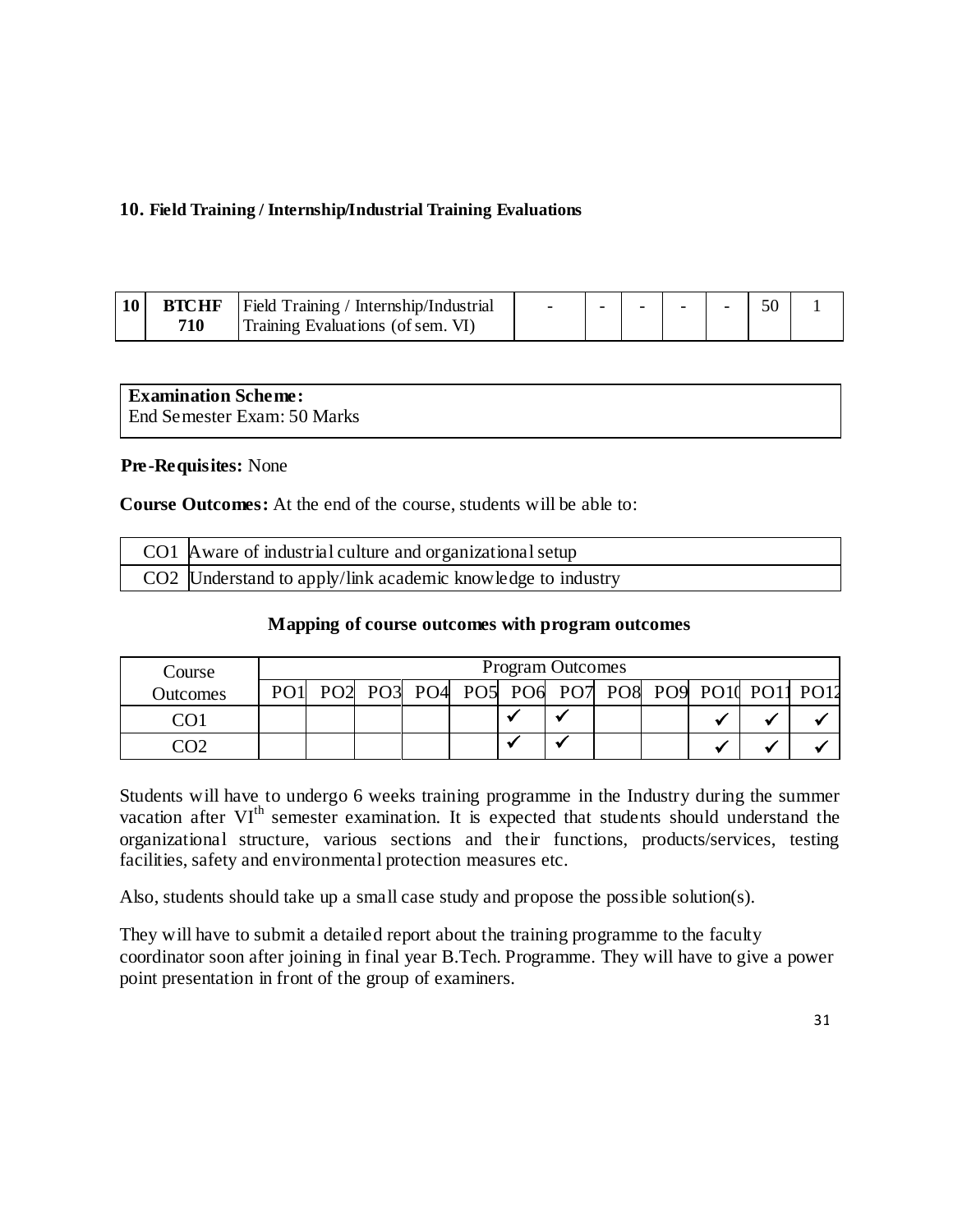# **10. Field Training / Internship/Industrial Training Evaluations**

| <b>BTCHF</b> | Field Training / Internship/Industrial |  | - |  |  |
|--------------|----------------------------------------|--|---|--|--|
| 710          | Training Evaluations (of sem. VI)      |  |   |  |  |

| <b>Examination Scheme:</b>  |  |
|-----------------------------|--|
| End Semester Exam: 50 Marks |  |

#### **Pre-Requisites:** None

**Course Outcomes:** At the end of the course, students will be able to:

| CO1 Aware of industrial culture and organizational setup    |
|-------------------------------------------------------------|
| CO2 Understand to apply/link academic knowledge to industry |

## **Mapping of course outcomes with program outcomes**

| Course   |                 |  |                                                |  | <b>Program Outcomes</b> |  |  |  |
|----------|-----------------|--|------------------------------------------------|--|-------------------------|--|--|--|
| Outcomes | PO <sub>1</sub> |  | PO2 PO3 PO4 PO5 PO6 PO7 PO8 PO9 PO10 PO11 PO12 |  |                         |  |  |  |
|          |                 |  |                                                |  |                         |  |  |  |
|          |                 |  |                                                |  |                         |  |  |  |

Students will have to undergo 6 weeks training programme in the Industry during the summer vacation after VI<sup>th</sup> semester examination. It is expected that students should understand the organizational structure, various sections and their functions, products/services, testing facilities, safety and environmental protection measures etc.

Also, students should take up a small case study and propose the possible solution(s).

They will have to submit a detailed report about the training programme to the faculty coordinator soon after joining in final year B.Tech. Programme. They will have to give a power point presentation in front of the group of examiners.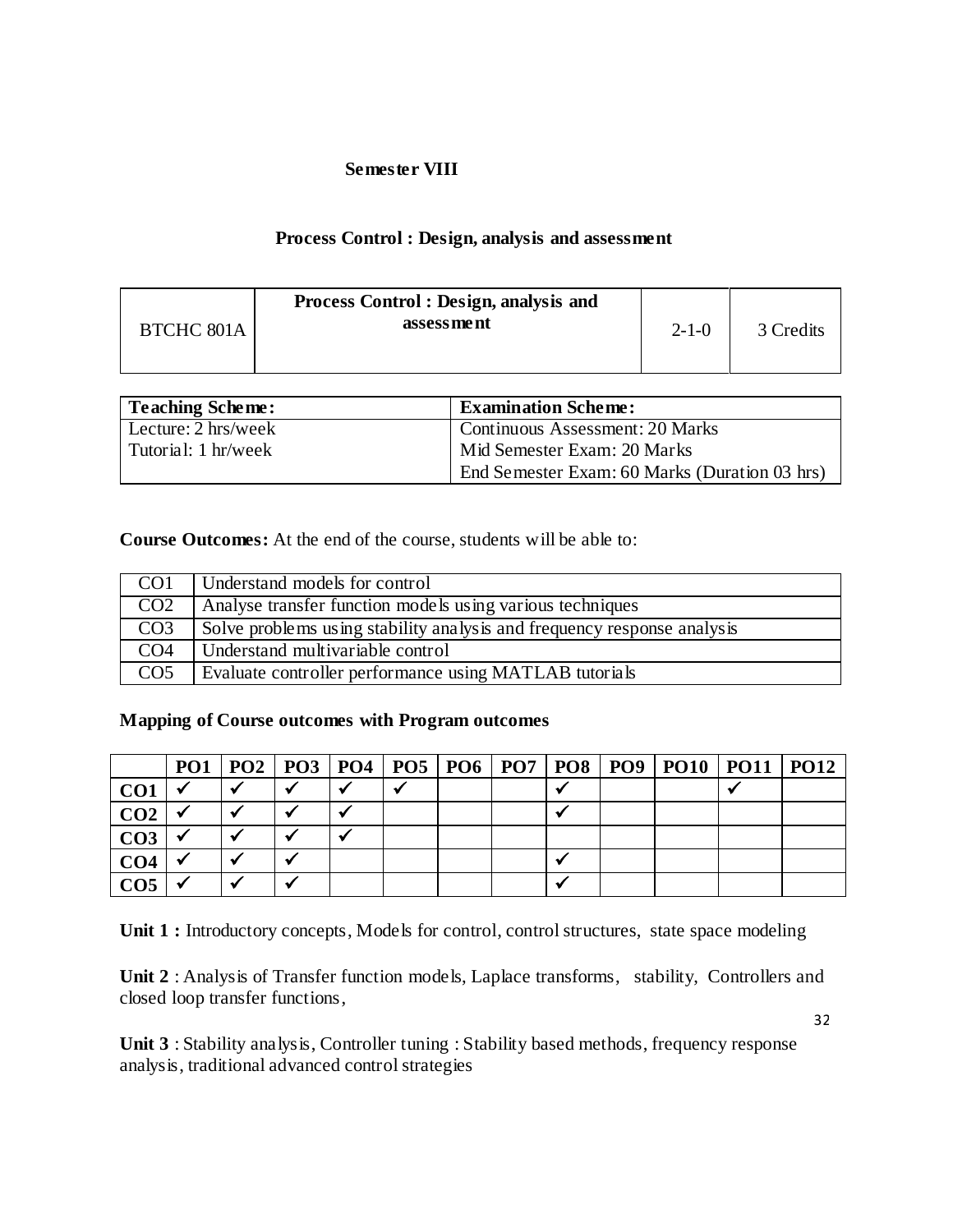## **Semester VIII**

# **Process Control : Design, analysis and assessment**

| <b>BTCHC 801A</b> | <b>Process Control: Design, analysis and</b><br>assessment | $2 - 1 - 0$ | 3 Credits |
|-------------------|------------------------------------------------------------|-------------|-----------|
|                   |                                                            |             |           |

| <b>Teaching Scheme:</b>       | <b>Examination Scheme:</b>                    |
|-------------------------------|-----------------------------------------------|
| Lecture: $2 \text{ hrs/week}$ | <b>Continuous Assessment: 20 Marks</b>        |
| Tutorial: 1 hr/week           | Mid Semester Exam: 20 Marks                   |
|                               | End Semester Exam: 60 Marks (Duration 03 hrs) |

**Course Outcomes:** At the end of the course, students will be able to:

| CO1             | Understand models for control                                           |
|-----------------|-------------------------------------------------------------------------|
| CO <sub>2</sub> | Analyse transfer function models using various techniques               |
| CO <sub>3</sub> | Solve problems using stability analysis and frequency response analysis |
| CO <sub>4</sub> | Understand multivariable control                                        |
| CO <sub>5</sub> | Evaluate controller performance using MATLAB tutorials                  |

## **Mapping of Course outcomes with Program outcomes**

|                 |  |  |  |  | PO1   PO2   PO3   PO4   PO5   PO6   PO7   PO8   PO9   PO10   PO11   PO12 |  |
|-----------------|--|--|--|--|--------------------------------------------------------------------------|--|
| CO <sub>1</sub> |  |  |  |  |                                                                          |  |
| CO <sub>2</sub> |  |  |  |  |                                                                          |  |
| CO <sub>3</sub> |  |  |  |  |                                                                          |  |
| CO <sub>4</sub> |  |  |  |  |                                                                          |  |
|                 |  |  |  |  |                                                                          |  |

Unit 1 : Introductory concepts, Models for control, control structures, state space modeling

**Unit 2** : Analysis of Transfer function models, Laplace transforms, stability, Controllers and closed loop transfer functions,

32

**Unit 3** : Stability analysis, Controller tuning : Stability based methods, frequency response analysis, traditional advanced control strategies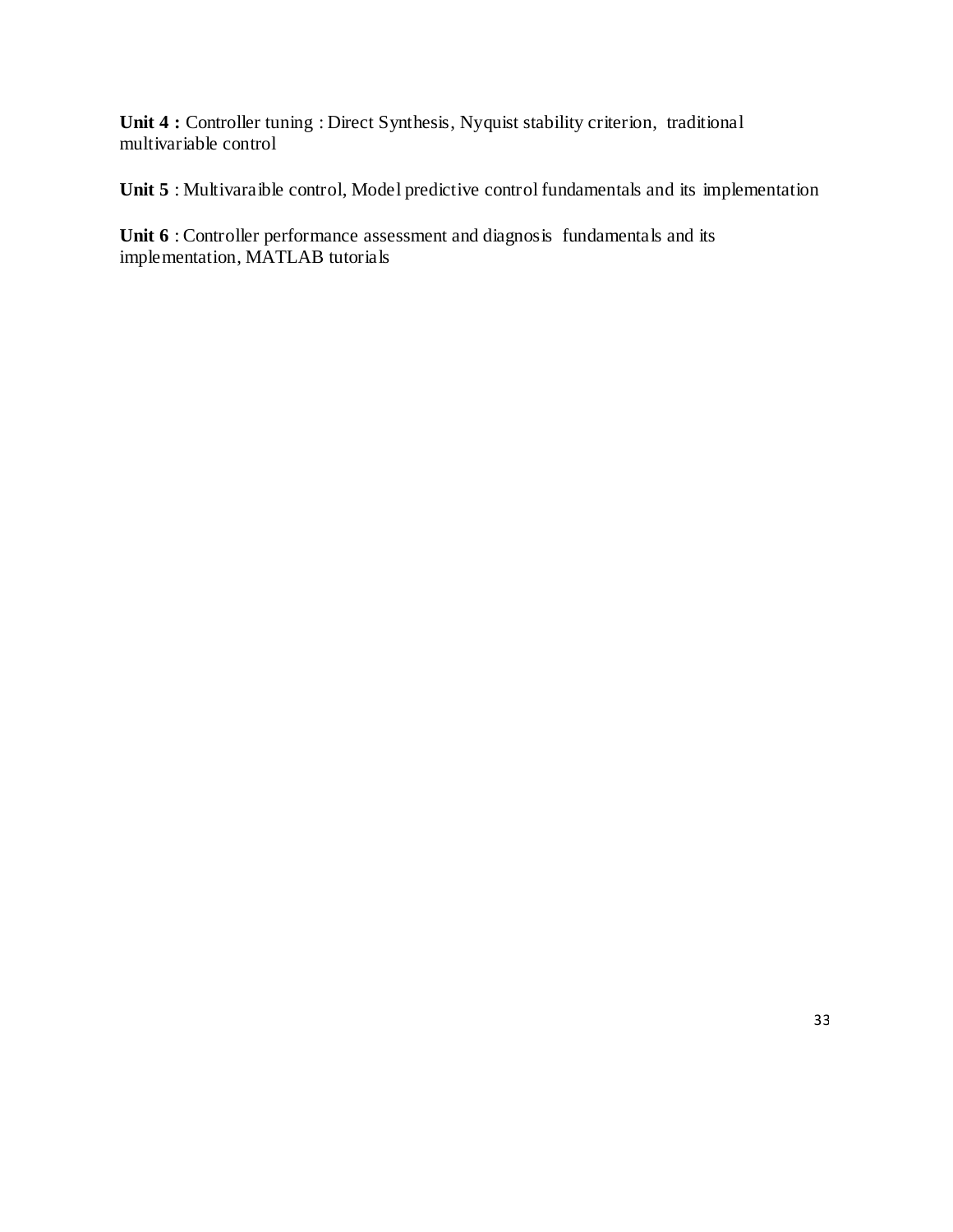**Unit 4 :** Controller tuning : Direct Synthesis, Nyquist stability criterion, traditional multivariable control

Unit 5 : Multivaraible control, Model predictive control fundamentals and its implementation

Unit 6 : Controller performance assessment and diagnosis fundamentals and its implementation, MATLAB tutorials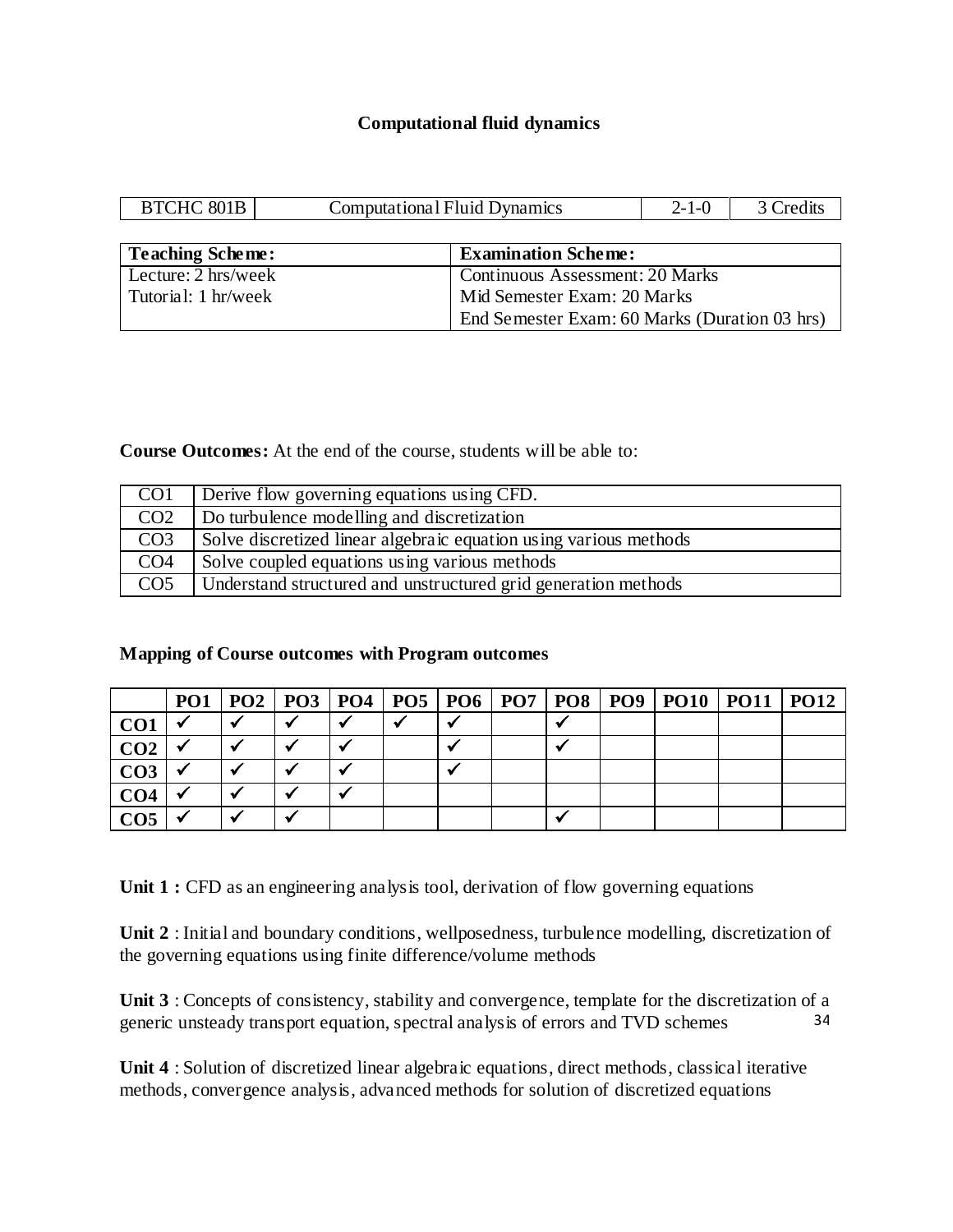## **Computational fluid dynamics**

| BTCHC 801B                    | <b>Computational Fluid Dynamics</b> |                                               | $2 - 1 - 0$ | 3 Credits |  |  |  |
|-------------------------------|-------------------------------------|-----------------------------------------------|-------------|-----------|--|--|--|
|                               |                                     |                                               |             |           |  |  |  |
| <b>Teaching Scheme:</b>       |                                     | <b>Examination Scheme:</b>                    |             |           |  |  |  |
| Lecture: $2 \text{ hrs/week}$ |                                     | <b>Continuous Assessment: 20 Marks</b>        |             |           |  |  |  |
| Tutorial: 1 hr/week           |                                     | Mid Semester Exam: 20 Marks                   |             |           |  |  |  |
|                               |                                     | End Semester Exam: 60 Marks (Duration 03 hrs) |             |           |  |  |  |

**Course Outcomes:** At the end of the course, students will be able to:

| CO1             | Derive flow governing equations using CFD.                        |
|-----------------|-------------------------------------------------------------------|
| CO <sub>2</sub> | Do turbulence modelling and discretization                        |
| CO <sub>3</sub> | Solve discretized linear algebraic equation using various methods |
| CO <sub>4</sub> | Solve coupled equations using various methods                     |
| CO <sub>5</sub> | Understand structured and unstructured grid generation methods    |

## **Mapping of Course outcomes with Program outcomes**

|                 |  |  |  |  | PO1   PO2   PO3   PO4   PO5   PO6   PO7   PO8   PO9   PO10   PO11   PO12 |  |
|-----------------|--|--|--|--|--------------------------------------------------------------------------|--|
| CO <sub>1</sub> |  |  |  |  |                                                                          |  |
| CO <sub>2</sub> |  |  |  |  |                                                                          |  |
| CO <sub>3</sub> |  |  |  |  |                                                                          |  |
| CO <sub>4</sub> |  |  |  |  |                                                                          |  |
| CO <sub>5</sub> |  |  |  |  |                                                                          |  |

Unit 1 : CFD as an engineering analysis tool, derivation of flow governing equations

**Unit 2** : Initial and boundary conditions, wellposedness, turbulence modelling, discretization of the governing equations using finite difference/volume methods

34 **Unit 3** : Concepts of consistency, stability and convergence, template for the discretization of a generic unsteady transport equation, spectral analysis of errors and TVD schemes

**Unit 4** : Solution of discretized linear algebraic equations, direct methods, classical iterative methods, convergence analysis, advanced methods for solution of discretized equations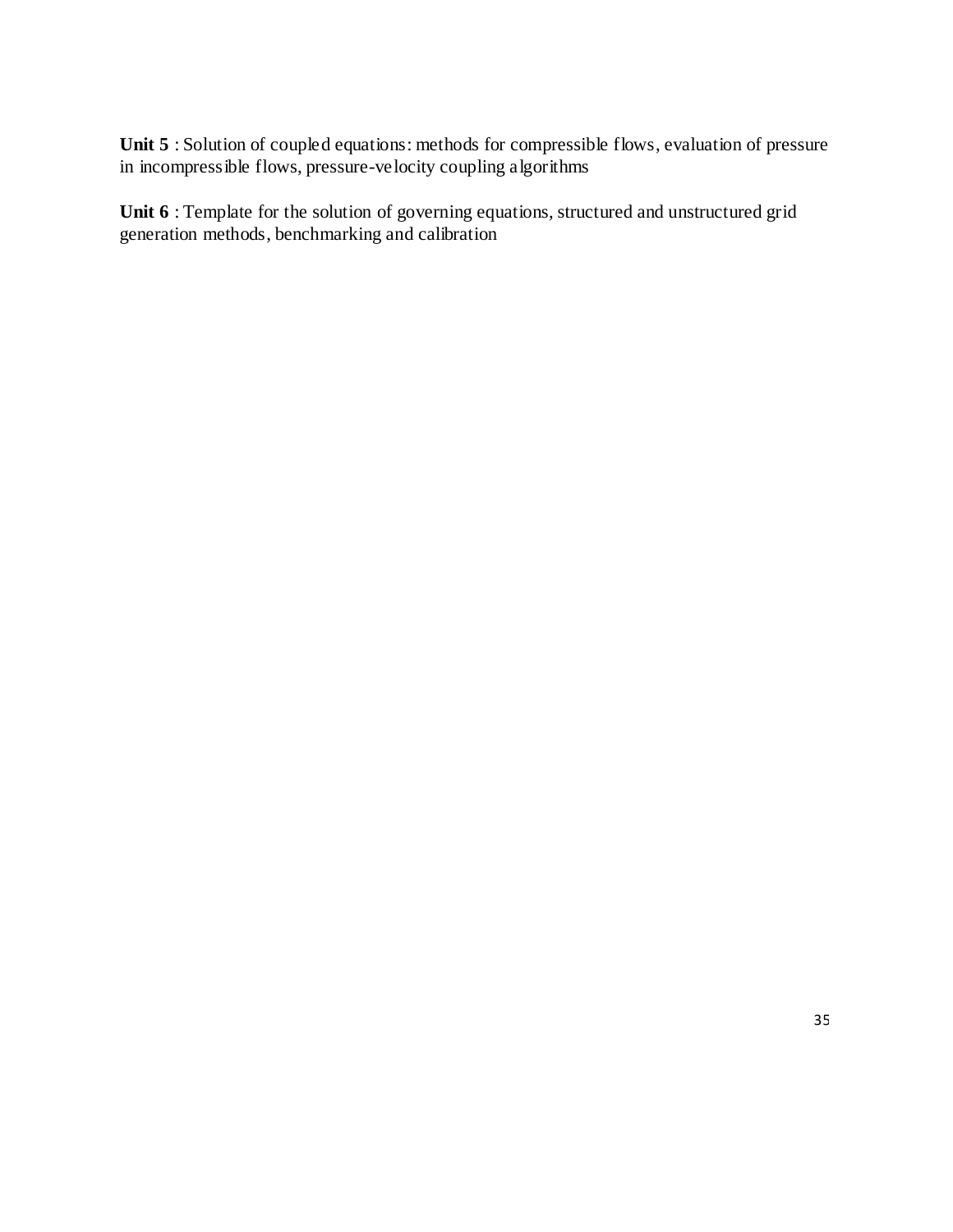Unit 5 : Solution of coupled equations: methods for compressible flows, evaluation of pressure in incompressible flows, pressure-velocity coupling algorithms

Unit 6 : Template for the solution of governing equations, structured and unstructured grid generation methods, benchmarking and calibration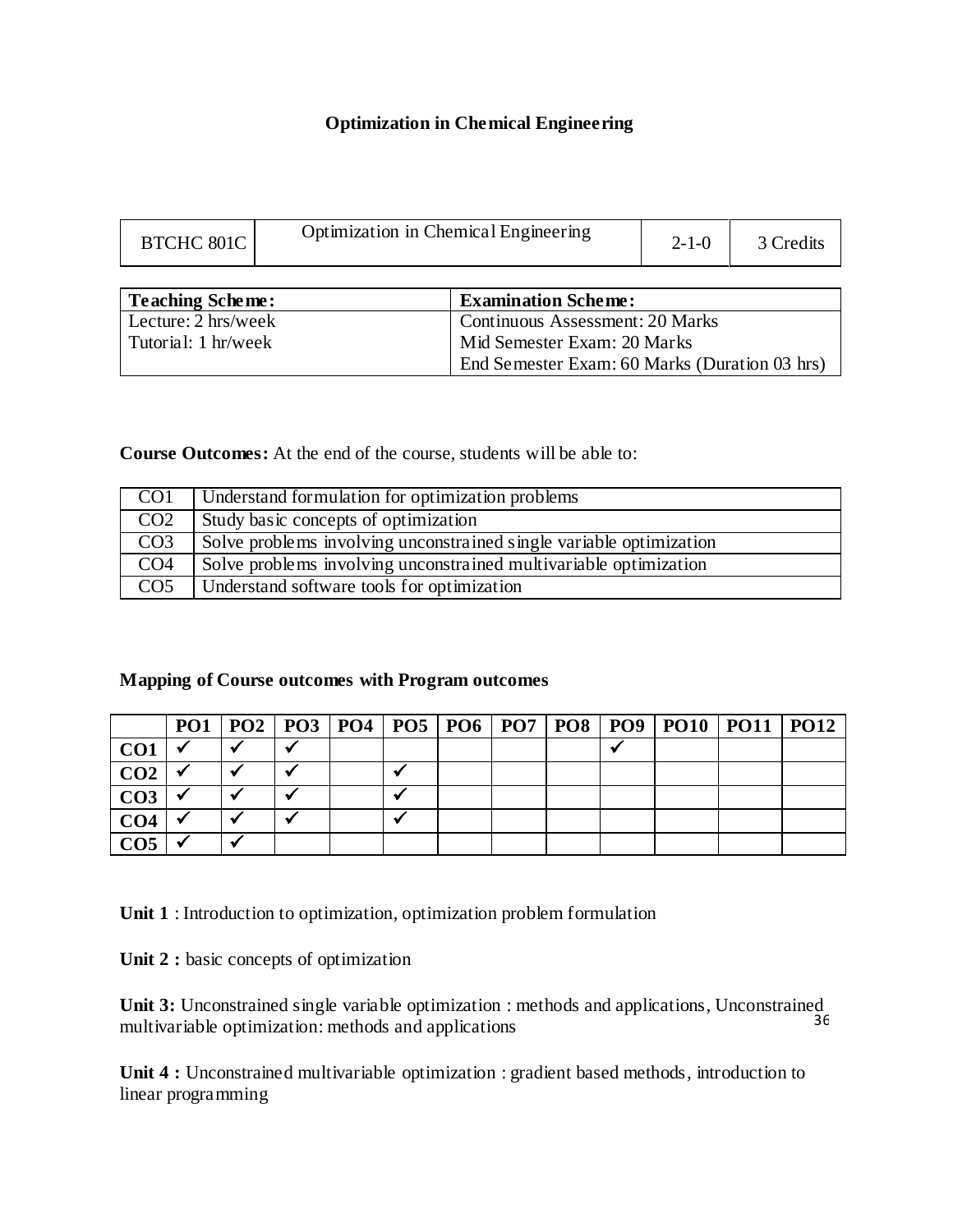# **Optimization in Chemical Engineering**

| <b>BTCHC 801C</b> | Optimization in Chemical Engineering | $2 - 1 - 0$ | 3 Credits |
|-------------------|--------------------------------------|-------------|-----------|
|                   |                                      |             |           |

| Teaching Scheme:    | <b>Examination Scheme:</b>                    |
|---------------------|-----------------------------------------------|
| Lecture: 2 hrs/week | <b>Continuous Assessment: 20 Marks</b>        |
| Tutorial: 1 hr/week | Mid Semester Exam: 20 Marks                   |
|                     | End Semester Exam: 60 Marks (Duration 03 hrs) |

**Course Outcomes:** At the end of the course, students will be able to:

| CO <sub>1</sub> | Understand formulation for optimization problems                    |
|-----------------|---------------------------------------------------------------------|
| CO <sub>2</sub> | Study basic concepts of optimization                                |
| CO <sub>3</sub> | Solve problems involving unconstrained single variable optimization |
| CO <sub>4</sub> | Solve problems involving unconstrained multivariable optimization   |
| CO <sub>5</sub> | Understand software tools for optimization                          |

# **Mapping of Course outcomes with Program outcomes**

|                 |  |  |  |  | PO1   PO2   PO3   PO4   PO5   PO6   PO7   PO8   PO9   PO10   PO11   PO12 |  |
|-----------------|--|--|--|--|--------------------------------------------------------------------------|--|
| CO <sub>1</sub> |  |  |  |  |                                                                          |  |
| CO <sub>2</sub> |  |  |  |  |                                                                          |  |
| CO <sub>3</sub> |  |  |  |  |                                                                          |  |
| CO <sub>4</sub> |  |  |  |  |                                                                          |  |
| CO <sub>5</sub> |  |  |  |  |                                                                          |  |

**Unit 1** : Introduction to optimization, optimization problem formulation

Unit 2 : basic concepts of optimization

36 **Unit 3:** Unconstrained single variable optimization : methods and applications, Unconstrained multivariable optimization: methods and applications

**Unit 4 :** Unconstrained multivariable optimization : gradient based methods, introduction to linear programming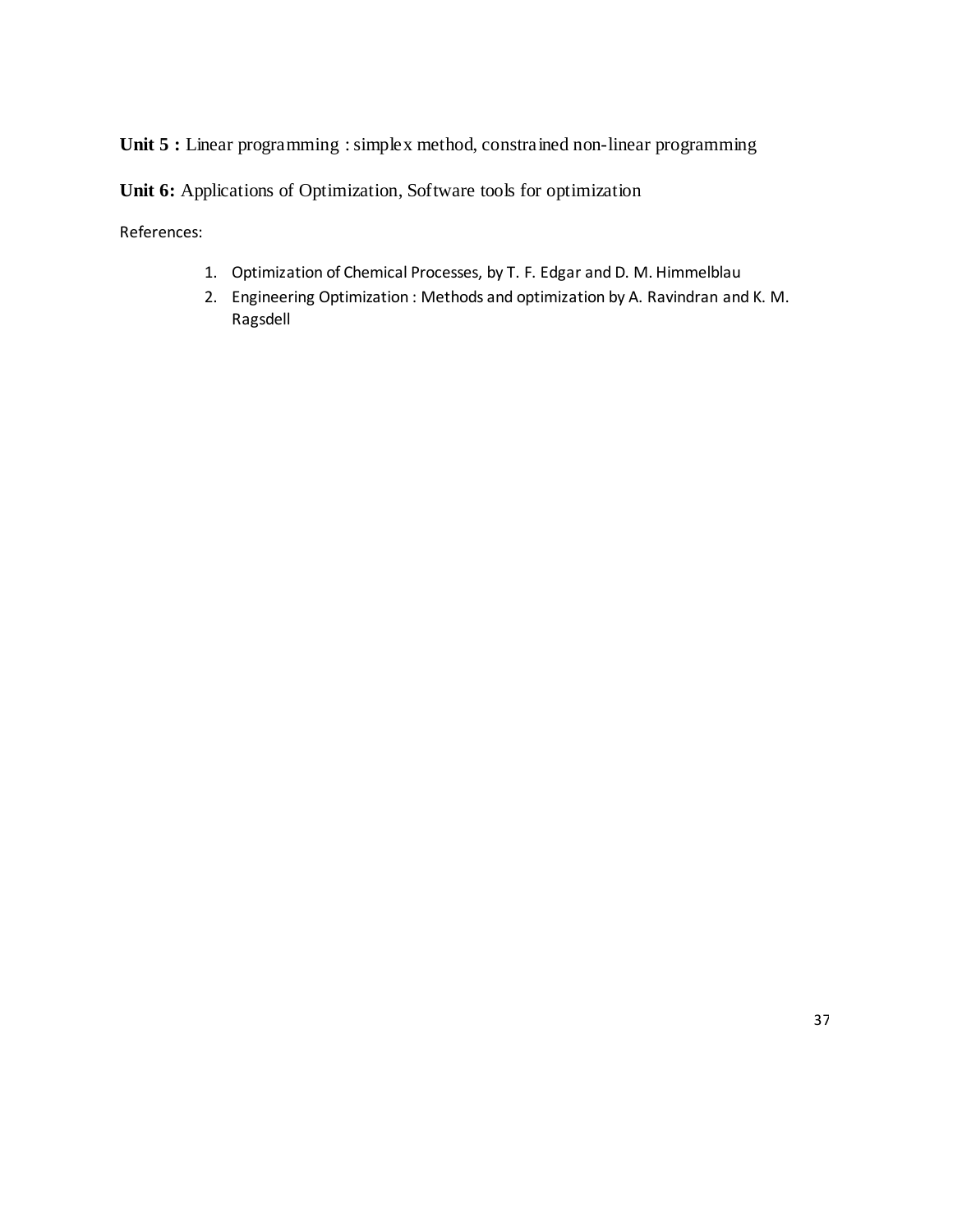Unit 5 : Linear programming : simplex method, constrained non-linear programming

**Unit 6:** Applications of Optimization, Software tools for optimization

References:

- 1. Optimization of Chemical Processes, by T. F. Edgar and D. M. Himmelblau
- 2. Engineering Optimization : Methods and optimization by A. Ravindran and K. M. Ragsdell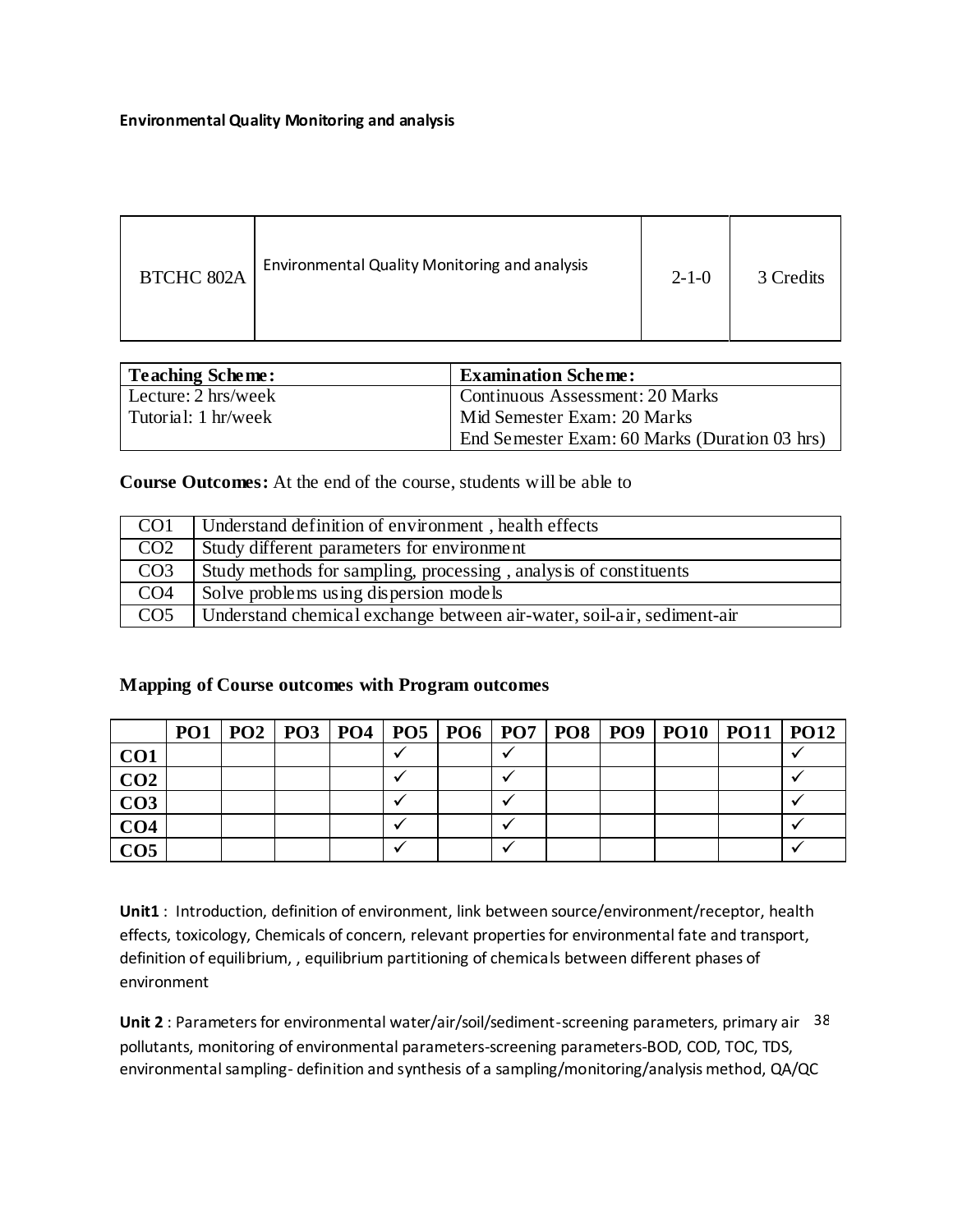#### **Environmental Quality Monitoring and analysis**

| <b>BTCHC 802A</b> | Environmental Quality Monitoring and analysis | $2 - 1 - 0$ | 3 Credits |
|-------------------|-----------------------------------------------|-------------|-----------|
|-------------------|-----------------------------------------------|-------------|-----------|

| Teaching Scheme:    | <b>Examination Scheme:</b>                    |
|---------------------|-----------------------------------------------|
| Lecture: 2 hrs/week | Continuous Assessment: 20 Marks               |
| Tutorial: 1 hr/week | Mid Semester Exam: 20 Marks                   |
|                     | End Semester Exam: 60 Marks (Duration 03 hrs) |

**Course Outcomes:** At the end of the course, students will be able to

| CO <sub>1</sub> | Understand definition of environment, health effects                   |
|-----------------|------------------------------------------------------------------------|
| CO <sub>2</sub> | Study different parameters for environment                             |
| CO <sub>3</sub> | Study methods for sampling, processing, analysis of constituents       |
| CO <sub>4</sub> | Solve problems using dispersion models                                 |
| CO <sub>5</sub> | Understand chemical exchange between air-water, soil-air, sediment-air |

## **Mapping of Course outcomes with Program outcomes**

|                 |  |  |  |  | PO1   PO2   PO3   PO4   PO5   PO6   PO7   PO8   PO9   PO10   PO11   PO12 |  |
|-----------------|--|--|--|--|--------------------------------------------------------------------------|--|
| CO <sub>1</sub> |  |  |  |  |                                                                          |  |
| CO <sub>2</sub> |  |  |  |  |                                                                          |  |
| CO <sub>3</sub> |  |  |  |  |                                                                          |  |
| CO <sub>4</sub> |  |  |  |  |                                                                          |  |
| CO <sub>5</sub> |  |  |  |  |                                                                          |  |

**Unit1** : Introduction, definition of environment, link between source/environment/receptor, health effects, toxicology, Chemicals of concern, relevant properties for environmental fate and transport, definition of equilibrium, , equilibrium partitioning of chemicals between different phases of environment

Unit 2 : Parameters for environmental water/air/soil/sediment-screening parameters, primary air 38 pollutants, monitoring of environmental parameters-screening parameters-BOD, COD, TOC, TDS, environmental sampling- definition and synthesis of a sampling/monitoring/analysis method, QA/QC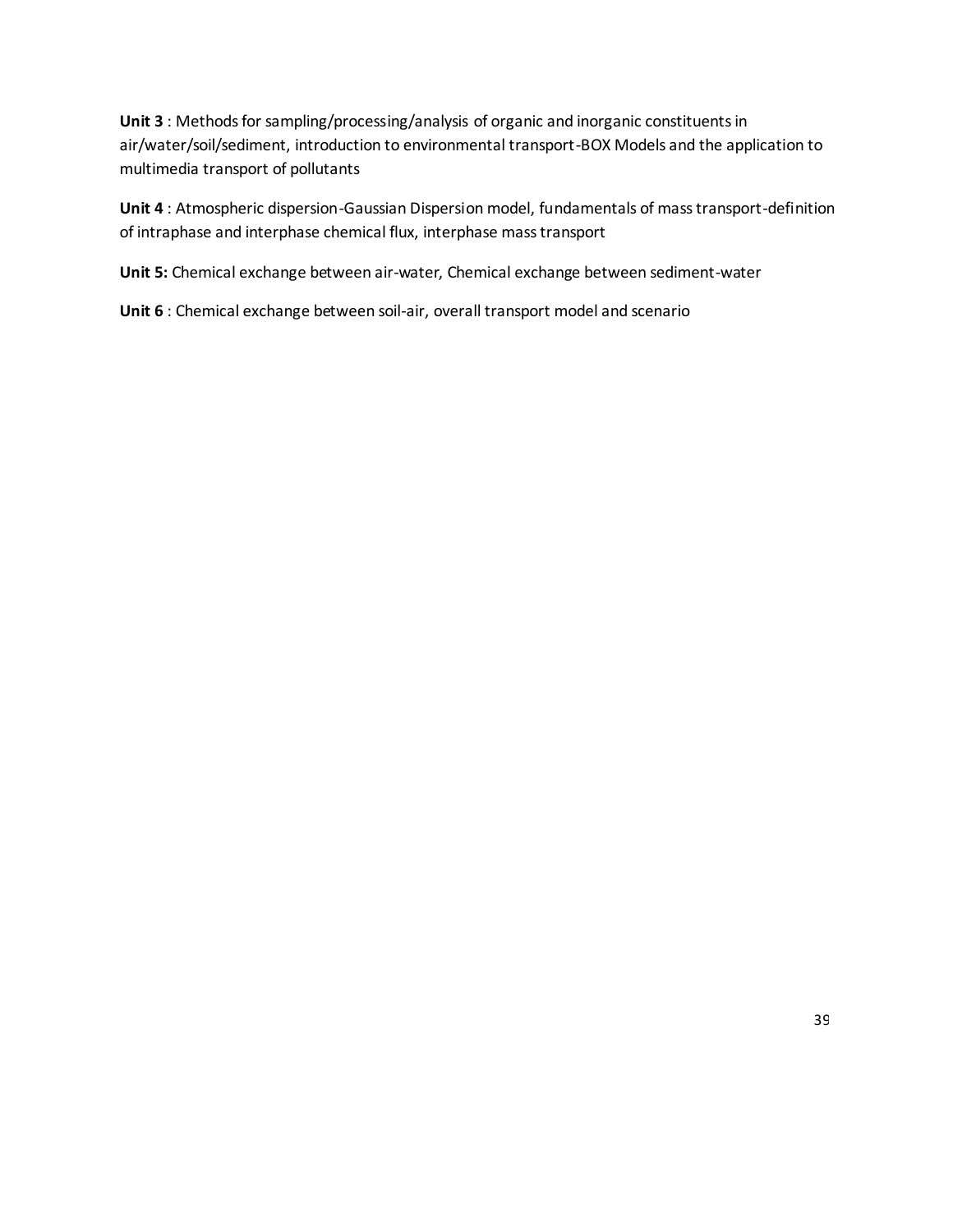**Unit 3** : Methods for sampling/processing/analysis of organic and inorganic constituents in air/water/soil/sediment, introduction to environmental transport-BOX Models and the application to multimedia transport of pollutants

**Unit 4** : Atmospheric dispersion-Gaussian Dispersion model, fundamentals of mass transport-definition of intraphase and interphase chemical flux, interphase mass transport

**Unit 5:** Chemical exchange between air-water, Chemical exchange between sediment-water

**Unit 6** : Chemical exchange between soil-air, overall transport model and scenario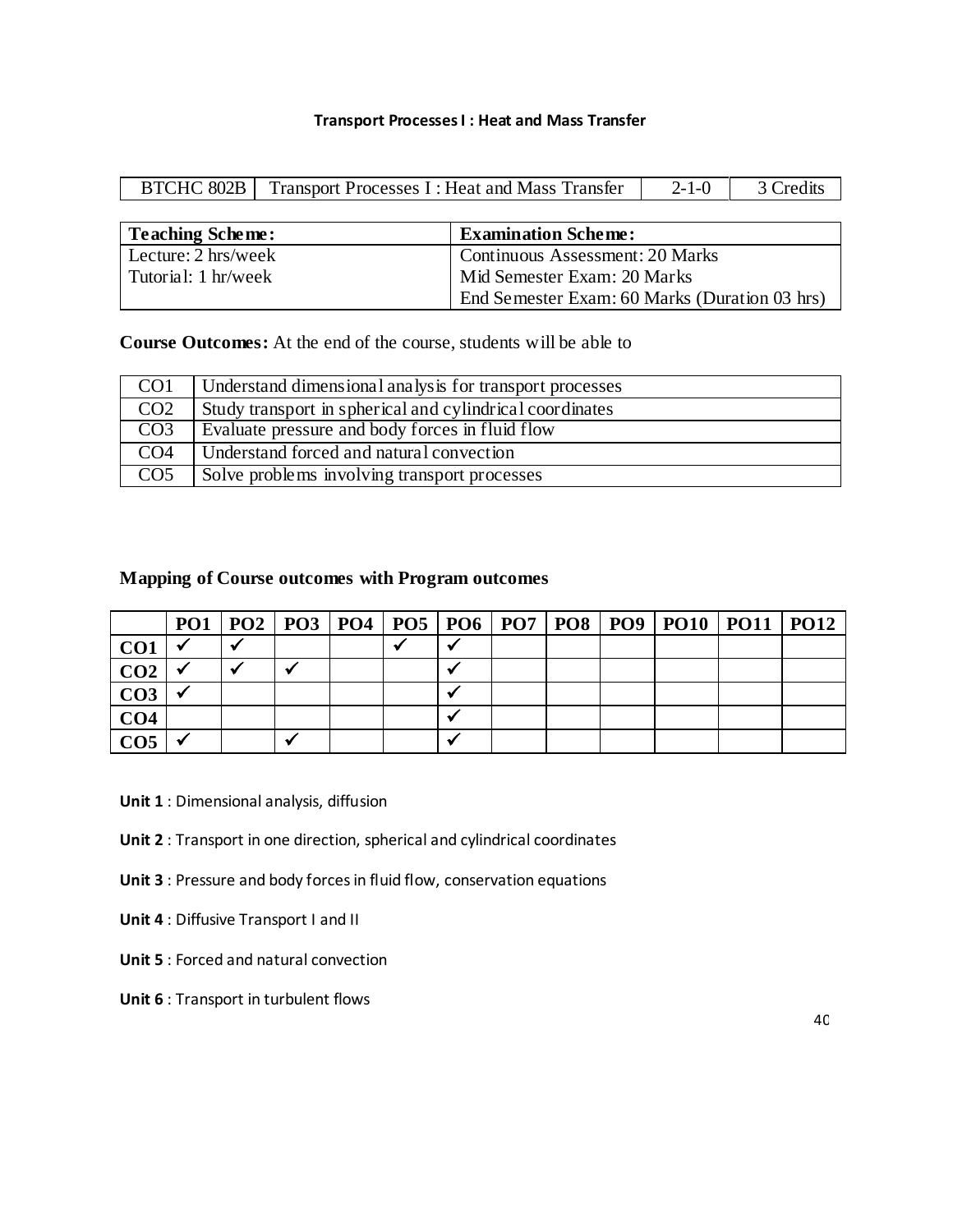#### **Transport Processes I : Heat and Mass Transfer**

|  | BTCHC 802B   Transport Processes I : Heat and Mass Transfer | $2-1-0$   $\therefore$ | 3 Credits |
|--|-------------------------------------------------------------|------------------------|-----------|
|  |                                                             |                        |           |

| Teaching Scheme:    | <b>Examination Scheme:</b>                    |
|---------------------|-----------------------------------------------|
| Lecture: 2 hrs/week | <b>Continuous Assessment: 20 Marks</b>        |
| Tutorial: 1 hr/week | Mid Semester Exam: 20 Marks                   |
|                     | End Semester Exam: 60 Marks (Duration 03 hrs) |

**Course Outcomes:** At the end of the course, students will be able to

| CO <sub>1</sub>  | Understand dimensional analysis for transport processes  |
|------------------|----------------------------------------------------------|
| CO <sub>2</sub>  | Study transport in spherical and cylindrical coordinates |
| CO <sub>3</sub>  | Evaluate pressure and body forces in fluid flow          |
| CO <sub>4</sub>  | Understand forced and natural convection                 |
| $\overline{CO5}$ | Solve problems involving transport processes             |

# **Mapping of Course outcomes with Program outcomes**

|                 |  |  |  |  | PO1   PO2   PO3   PO4   PO5   PO6   PO7   PO8   PO9   PO10   PO11   PO12 |  |
|-----------------|--|--|--|--|--------------------------------------------------------------------------|--|
| CO <sub>1</sub> |  |  |  |  |                                                                          |  |
| CO <sub>2</sub> |  |  |  |  |                                                                          |  |
| CO <sub>3</sub> |  |  |  |  |                                                                          |  |
| CO <sub>4</sub> |  |  |  |  |                                                                          |  |
| CO <sub>5</sub> |  |  |  |  |                                                                          |  |

**Unit 1** : Dimensional analysis, diffusion

**Unit 2** : Transport in one direction, spherical and cylindrical coordinates

**Unit 3** : Pressure and body forces in fluid flow, conservation equations

**Unit 4** : Diffusive Transport I and II

**Unit 5** : Forced and natural convection

**Unit 6** : Transport in turbulent flows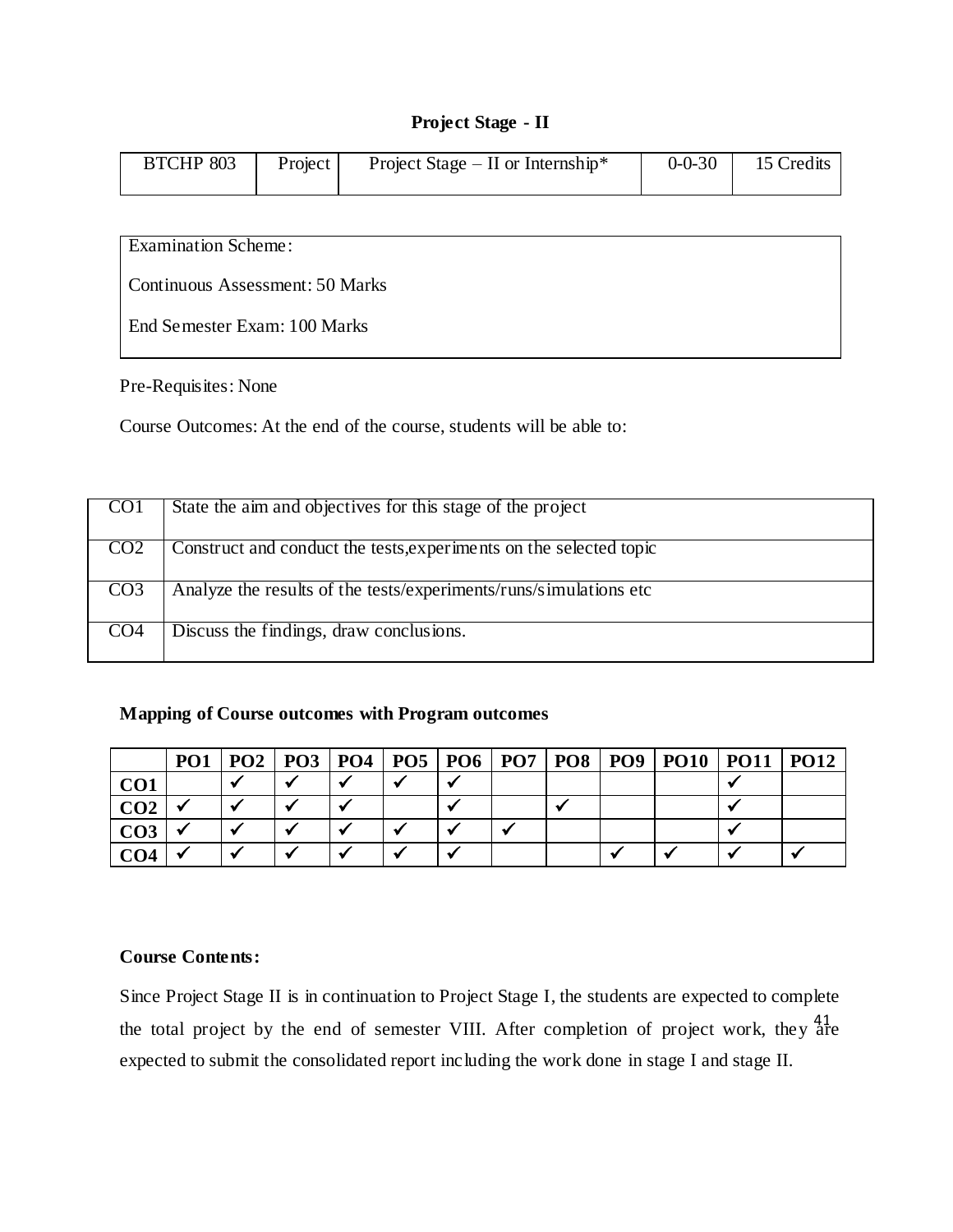### **Project Stage - II**

| <b>BTCHP 803</b> | Project | Project Stage – II or Internship* | $0 - 0 - 30$ | 15 Credits |
|------------------|---------|-----------------------------------|--------------|------------|
|                  |         |                                   |              |            |
|                  |         |                                   |              |            |

Examination Scheme:

Continuous Assessment: 50 Marks

End Semester Exam: 100 Marks

Pre-Requisites: None

Course Outcomes: At the end of the course, students will be able to:

| <b>COT</b>      | State the aim and objectives for this stage of the project         |
|-----------------|--------------------------------------------------------------------|
| CO <sub>2</sub> | Construct and conduct the tests, experiments on the selected topic |
| CO <sub>3</sub> | Analyze the results of the tests/experiments/runs/simulations etc. |
| CO <sub>4</sub> | Discuss the findings, draw conclusions.                            |

# **Mapping of Course outcomes with Program outcomes**

|                 | PO <sub>1</sub> | PO2   PO3   PO4   PO5   PO6   PO7   PO8 |  |  | PO <sub>9</sub> | $ $ PO10 | $PO11$   $PO12$ |  |
|-----------------|-----------------|-----------------------------------------|--|--|-----------------|----------|-----------------|--|
| CO1             |                 |                                         |  |  |                 |          |                 |  |
| CO <sub>2</sub> |                 |                                         |  |  |                 |          |                 |  |
| CO3             |                 |                                         |  |  |                 |          |                 |  |
| CO <sub>4</sub> |                 |                                         |  |  |                 |          |                 |  |

## **Course Contents:**

the total project by the end of semester VIII. After completion of project work, they  $_{\text{are}}^{41}$ Since Project Stage II is in continuation to Project Stage I, the students are expected to complete expected to submit the consolidated report including the work done in stage I and stage II.